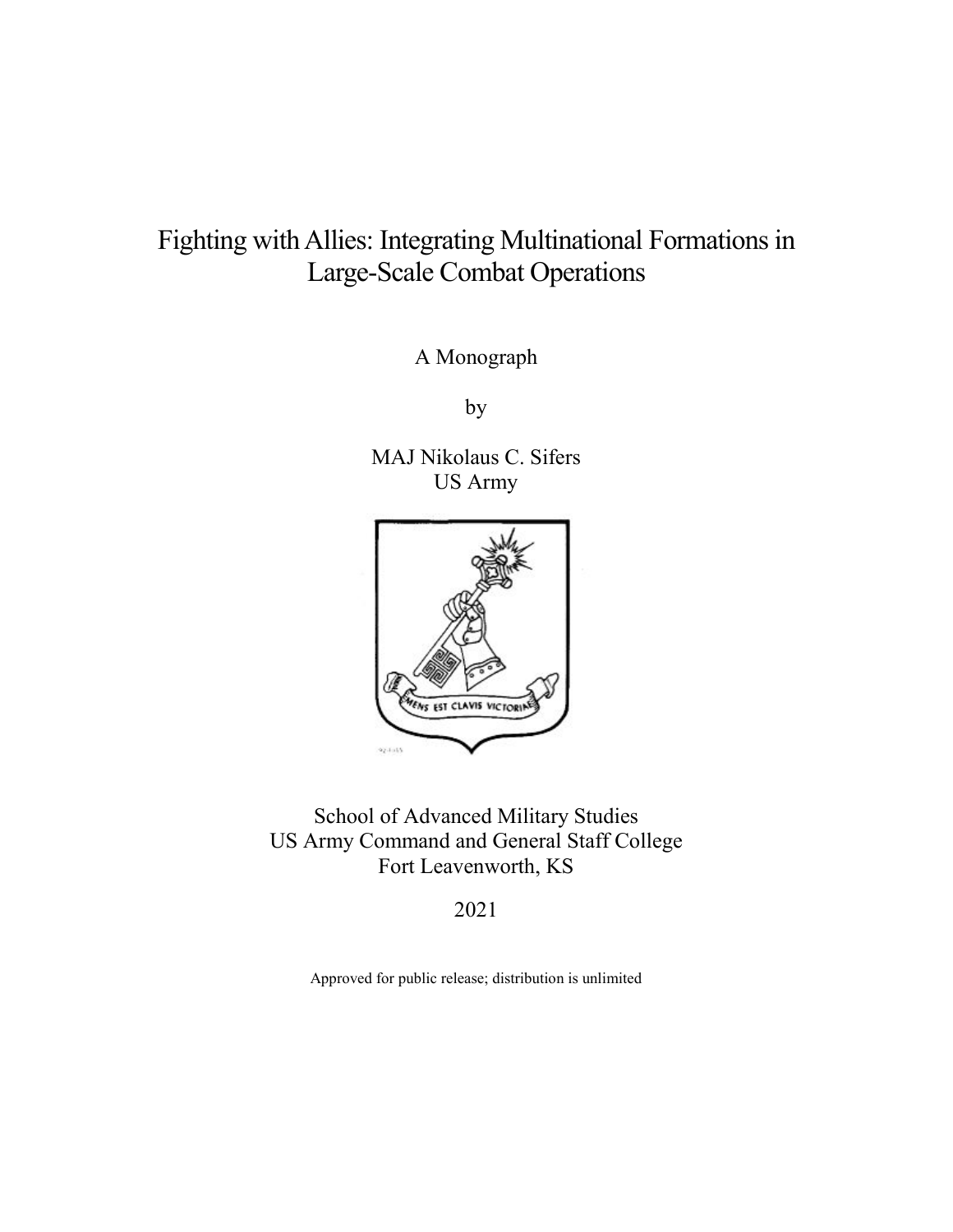# Fighting with Allies: Integrating Multinational Formations in Large-Scale Combat Operations

A Monograph

by

 US Army MAJ Nikolaus C. Sifers



School of Advanced Military Studies US Army Command and General Staff College Fort Leavenworth, KS

2021

Approved for public release; distribution is unlimited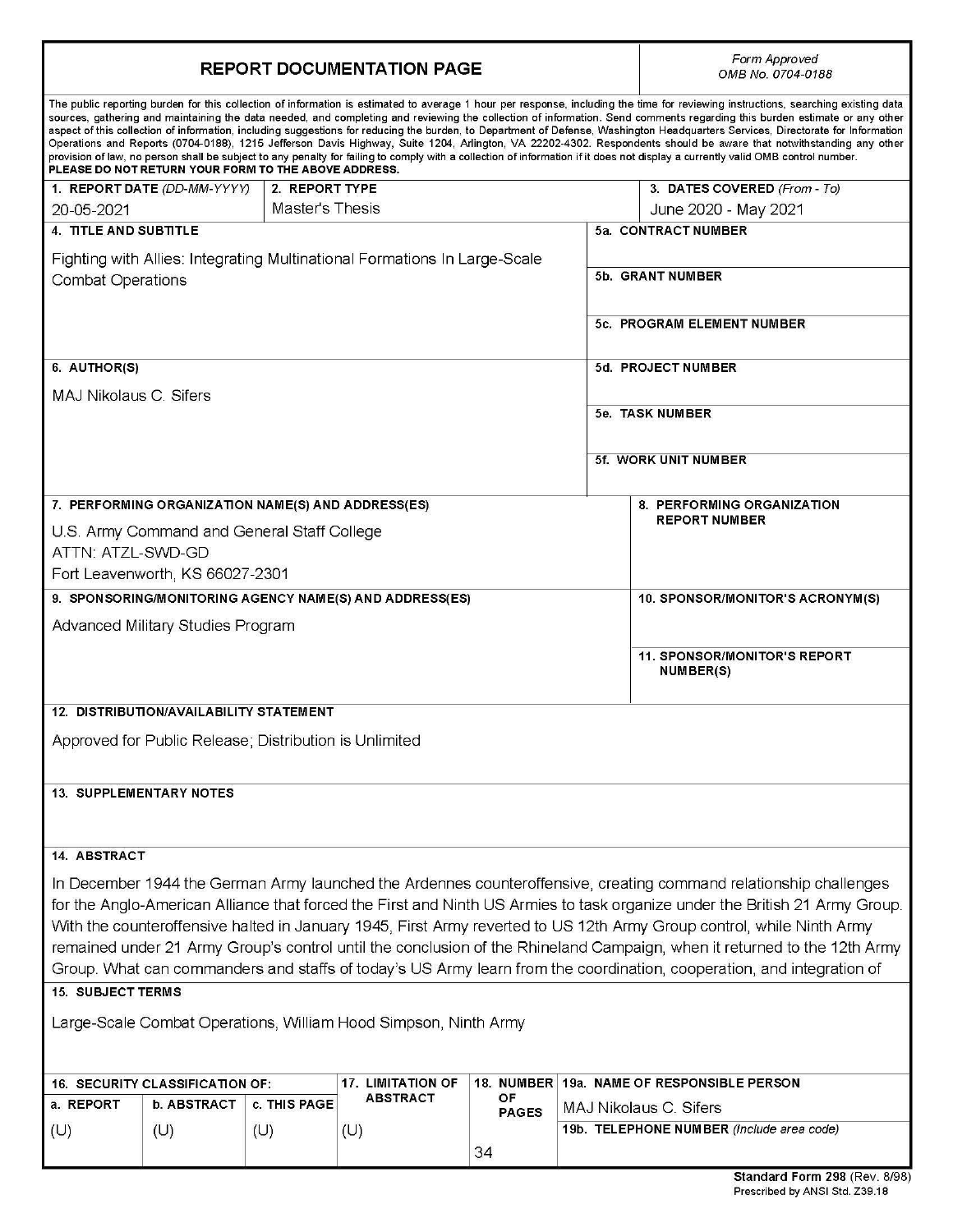|                                                                                                                                                                                                                                                  | <b>REPORT DOCUMENTATION PAGE</b>                       | Form Approved<br>OMB No. 0704-0188 |                          |              |                  |                                                                                                                                                                                                                                                                                                                                                                                                                                                                                                                                                                                                                                                                                                                                                                                                                                                                                                              |  |  |
|--------------------------------------------------------------------------------------------------------------------------------------------------------------------------------------------------------------------------------------------------|--------------------------------------------------------|------------------------------------|--------------------------|--------------|------------------|--------------------------------------------------------------------------------------------------------------------------------------------------------------------------------------------------------------------------------------------------------------------------------------------------------------------------------------------------------------------------------------------------------------------------------------------------------------------------------------------------------------------------------------------------------------------------------------------------------------------------------------------------------------------------------------------------------------------------------------------------------------------------------------------------------------------------------------------------------------------------------------------------------------|--|--|
|                                                                                                                                                                                                                                                  | PLEASE DO NOT RETURN YOUR FORM TO THE ABOVE ADDRESS.   |                                    |                          |              |                  | The public reporting burden for this collection of information is estimated to average 1 hour per response, including the time for reviewing instructions, searching existing data<br>sources, gathering and maintaining the data needed, and completing and reviewing the collection of information. Send comments regarding this burden estimate or any other<br>aspect of this collection of information, including suggestions for reducing the burden, to Department of Defense, Washington Headquarters Services, Directorate for Information<br>Operations and Reports (0704-0188), 1215 Jefferson Davis Highway, Suite 1204, Arlington, VA 22202-4302. Respondents should be aware that notwithstanding any other<br>provision of law, no person shall be subject to any penalty for failing to comply with a collection of information if it does not display a currently valid OMB control number. |  |  |
|                                                                                                                                                                                                                                                  | 2. REPORT TYPE<br>1. REPORT DATE (DD-MM-YYYY)          |                                    |                          |              |                  | 3. DATES COVERED (From - To)                                                                                                                                                                                                                                                                                                                                                                                                                                                                                                                                                                                                                                                                                                                                                                                                                                                                                 |  |  |
| 20-05-2021                                                                                                                                                                                                                                       | Master's Thesis                                        |                                    |                          |              |                  | June 2020 - May 2021                                                                                                                                                                                                                                                                                                                                                                                                                                                                                                                                                                                                                                                                                                                                                                                                                                                                                         |  |  |
|                                                                                                                                                                                                                                                  | <b>4. TITLE AND SUBTITLE</b>                           |                                    |                          |              |                  | 5a. CONTRACT NUMBER                                                                                                                                                                                                                                                                                                                                                                                                                                                                                                                                                                                                                                                                                                                                                                                                                                                                                          |  |  |
|                                                                                                                                                                                                                                                  |                                                        |                                    |                          |              |                  |                                                                                                                                                                                                                                                                                                                                                                                                                                                                                                                                                                                                                                                                                                                                                                                                                                                                                                              |  |  |
| Fighting with Allies: Integrating Multinational Formations In Large-Scale<br><b>Combat Operations</b>                                                                                                                                            |                                                        |                                    |                          |              | 5b. GRANT NUMBER |                                                                                                                                                                                                                                                                                                                                                                                                                                                                                                                                                                                                                                                                                                                                                                                                                                                                                                              |  |  |
|                                                                                                                                                                                                                                                  |                                                        |                                    |                          |              |                  | 5c. PROGRAM ELEMENT NUMBER                                                                                                                                                                                                                                                                                                                                                                                                                                                                                                                                                                                                                                                                                                                                                                                                                                                                                   |  |  |
| 6. AUTHOR(S)                                                                                                                                                                                                                                     |                                                        |                                    |                          |              |                  | 5d. PROJECT NUMBER                                                                                                                                                                                                                                                                                                                                                                                                                                                                                                                                                                                                                                                                                                                                                                                                                                                                                           |  |  |
|                                                                                                                                                                                                                                                  |                                                        |                                    |                          |              |                  |                                                                                                                                                                                                                                                                                                                                                                                                                                                                                                                                                                                                                                                                                                                                                                                                                                                                                                              |  |  |
| MAJ Nikolaus C. Sifers                                                                                                                                                                                                                           |                                                        |                                    |                          |              |                  |                                                                                                                                                                                                                                                                                                                                                                                                                                                                                                                                                                                                                                                                                                                                                                                                                                                                                                              |  |  |
|                                                                                                                                                                                                                                                  |                                                        |                                    |                          |              |                  | 5e. TASK NUMBER                                                                                                                                                                                                                                                                                                                                                                                                                                                                                                                                                                                                                                                                                                                                                                                                                                                                                              |  |  |
|                                                                                                                                                                                                                                                  |                                                        |                                    |                          |              |                  |                                                                                                                                                                                                                                                                                                                                                                                                                                                                                                                                                                                                                                                                                                                                                                                                                                                                                                              |  |  |
|                                                                                                                                                                                                                                                  |                                                        |                                    |                          |              |                  | 5f. WORK UNIT NUMBER                                                                                                                                                                                                                                                                                                                                                                                                                                                                                                                                                                                                                                                                                                                                                                                                                                                                                         |  |  |
|                                                                                                                                                                                                                                                  |                                                        |                                    |                          |              |                  |                                                                                                                                                                                                                                                                                                                                                                                                                                                                                                                                                                                                                                                                                                                                                                                                                                                                                                              |  |  |
|                                                                                                                                                                                                                                                  | 7. PERFORMING ORGANIZATION NAME(S) AND ADDRESS(ES)     |                                    |                          |              |                  | 8. PERFORMING ORGANIZATION<br><b>REPORT NUMBER</b>                                                                                                                                                                                                                                                                                                                                                                                                                                                                                                                                                                                                                                                                                                                                                                                                                                                           |  |  |
|                                                                                                                                                                                                                                                  | U.S. Army Command and General Staff College            |                                    |                          |              |                  |                                                                                                                                                                                                                                                                                                                                                                                                                                                                                                                                                                                                                                                                                                                                                                                                                                                                                                              |  |  |
| ATTN: ATZL-SWD-GD                                                                                                                                                                                                                                |                                                        |                                    |                          |              |                  |                                                                                                                                                                                                                                                                                                                                                                                                                                                                                                                                                                                                                                                                                                                                                                                                                                                                                                              |  |  |
|                                                                                                                                                                                                                                                  | Fort Leavenworth, KS 66027-2301                        |                                    |                          |              |                  |                                                                                                                                                                                                                                                                                                                                                                                                                                                                                                                                                                                                                                                                                                                                                                                                                                                                                                              |  |  |
| 9. SPONSORING/MONITORING AGENCY NAME(S) AND ADDRESS(ES)                                                                                                                                                                                          |                                                        |                                    |                          |              |                  | 10. SPONSOR/MONITOR'S ACRONYM(S)                                                                                                                                                                                                                                                                                                                                                                                                                                                                                                                                                                                                                                                                                                                                                                                                                                                                             |  |  |
| Advanced Military Studies Program                                                                                                                                                                                                                |                                                        |                                    |                          |              |                  |                                                                                                                                                                                                                                                                                                                                                                                                                                                                                                                                                                                                                                                                                                                                                                                                                                                                                                              |  |  |
|                                                                                                                                                                                                                                                  |                                                        |                                    |                          |              |                  | <b>11. SPONSOR/MONITOR'S REPORT</b><br>NUMBER(S)                                                                                                                                                                                                                                                                                                                                                                                                                                                                                                                                                                                                                                                                                                                                                                                                                                                             |  |  |
|                                                                                                                                                                                                                                                  |                                                        |                                    |                          |              |                  |                                                                                                                                                                                                                                                                                                                                                                                                                                                                                                                                                                                                                                                                                                                                                                                                                                                                                                              |  |  |
| <b>12. DISTRIBUTION/AVAILABILITY STATEMENT</b>                                                                                                                                                                                                   |                                                        |                                    |                          |              |                  |                                                                                                                                                                                                                                                                                                                                                                                                                                                                                                                                                                                                                                                                                                                                                                                                                                                                                                              |  |  |
|                                                                                                                                                                                                                                                  | Approved for Public Release; Distribution is Unlimited |                                    |                          |              |                  |                                                                                                                                                                                                                                                                                                                                                                                                                                                                                                                                                                                                                                                                                                                                                                                                                                                                                                              |  |  |
|                                                                                                                                                                                                                                                  |                                                        |                                    |                          |              |                  |                                                                                                                                                                                                                                                                                                                                                                                                                                                                                                                                                                                                                                                                                                                                                                                                                                                                                                              |  |  |
| <b>13. SUPPLEMENTARY NOTES</b>                                                                                                                                                                                                                   |                                                        |                                    |                          |              |                  |                                                                                                                                                                                                                                                                                                                                                                                                                                                                                                                                                                                                                                                                                                                                                                                                                                                                                                              |  |  |
| <b>14. ABSTRACT</b>                                                                                                                                                                                                                              |                                                        |                                    |                          |              |                  |                                                                                                                                                                                                                                                                                                                                                                                                                                                                                                                                                                                                                                                                                                                                                                                                                                                                                                              |  |  |
|                                                                                                                                                                                                                                                  |                                                        |                                    |                          |              |                  |                                                                                                                                                                                                                                                                                                                                                                                                                                                                                                                                                                                                                                                                                                                                                                                                                                                                                                              |  |  |
| In December 1944 the German Army launched the Ardennes counteroffensive, creating command relationship challenges<br>for the Anglo-American Alliance that forced the First and Ninth US Armies to task organize under the British 21 Army Group. |                                                        |                                    |                          |              |                  |                                                                                                                                                                                                                                                                                                                                                                                                                                                                                                                                                                                                                                                                                                                                                                                                                                                                                                              |  |  |
| With the counteroffensive halted in January 1945, First Army reverted to US 12th Army Group control, while Ninth Army                                                                                                                            |                                                        |                                    |                          |              |                  |                                                                                                                                                                                                                                                                                                                                                                                                                                                                                                                                                                                                                                                                                                                                                                                                                                                                                                              |  |  |
| remained under 21 Army Group's control until the conclusion of the Rhineland Campaign, when it returned to the 12th Army                                                                                                                         |                                                        |                                    |                          |              |                  |                                                                                                                                                                                                                                                                                                                                                                                                                                                                                                                                                                                                                                                                                                                                                                                                                                                                                                              |  |  |
| Group. What can commanders and staffs of today's US Army learn from the coordination, cooperation, and integration of                                                                                                                            |                                                        |                                    |                          |              |                  |                                                                                                                                                                                                                                                                                                                                                                                                                                                                                                                                                                                                                                                                                                                                                                                                                                                                                                              |  |  |
| <b>15. SUBJECT TERMS</b>                                                                                                                                                                                                                         |                                                        |                                    |                          |              |                  |                                                                                                                                                                                                                                                                                                                                                                                                                                                                                                                                                                                                                                                                                                                                                                                                                                                                                                              |  |  |
| Large-Scale Combat Operations, William Hood Simpson, Ninth Army                                                                                                                                                                                  |                                                        |                                    |                          |              |                  |                                                                                                                                                                                                                                                                                                                                                                                                                                                                                                                                                                                                                                                                                                                                                                                                                                                                                                              |  |  |
|                                                                                                                                                                                                                                                  |                                                        |                                    |                          |              |                  |                                                                                                                                                                                                                                                                                                                                                                                                                                                                                                                                                                                                                                                                                                                                                                                                                                                                                                              |  |  |
|                                                                                                                                                                                                                                                  | <b>16. SECURITY CLASSIFICATION OF:</b>                 |                                    | <b>17. LIMITATION OF</b> | 18. NUMBER   |                  | 19a. NAME OF RESPONSIBLE PERSON                                                                                                                                                                                                                                                                                                                                                                                                                                                                                                                                                                                                                                                                                                                                                                                                                                                                              |  |  |
| a. REPORT                                                                                                                                                                                                                                        | <b>b. ABSTRACT</b>                                     | c. THIS PAGE                       | <b>ABSTRACT</b>          | OF           |                  | MAJ Nikolaus C. Sifers                                                                                                                                                                                                                                                                                                                                                                                                                                                                                                                                                                                                                                                                                                                                                                                                                                                                                       |  |  |
| (U)                                                                                                                                                                                                                                              | (U)                                                    | (U)                                | (U)                      | <b>PAGES</b> |                  | 19b. TELEPHONE NUMBER (Include area code)                                                                                                                                                                                                                                                                                                                                                                                                                                                                                                                                                                                                                                                                                                                                                                                                                                                                    |  |  |
|                                                                                                                                                                                                                                                  |                                                        |                                    |                          | 34           |                  |                                                                                                                                                                                                                                                                                                                                                                                                                                                                                                                                                                                                                                                                                                                                                                                                                                                                                                              |  |  |
|                                                                                                                                                                                                                                                  |                                                        |                                    |                          |              |                  |                                                                                                                                                                                                                                                                                                                                                                                                                                                                                                                                                                                                                                                                                                                                                                                                                                                                                                              |  |  |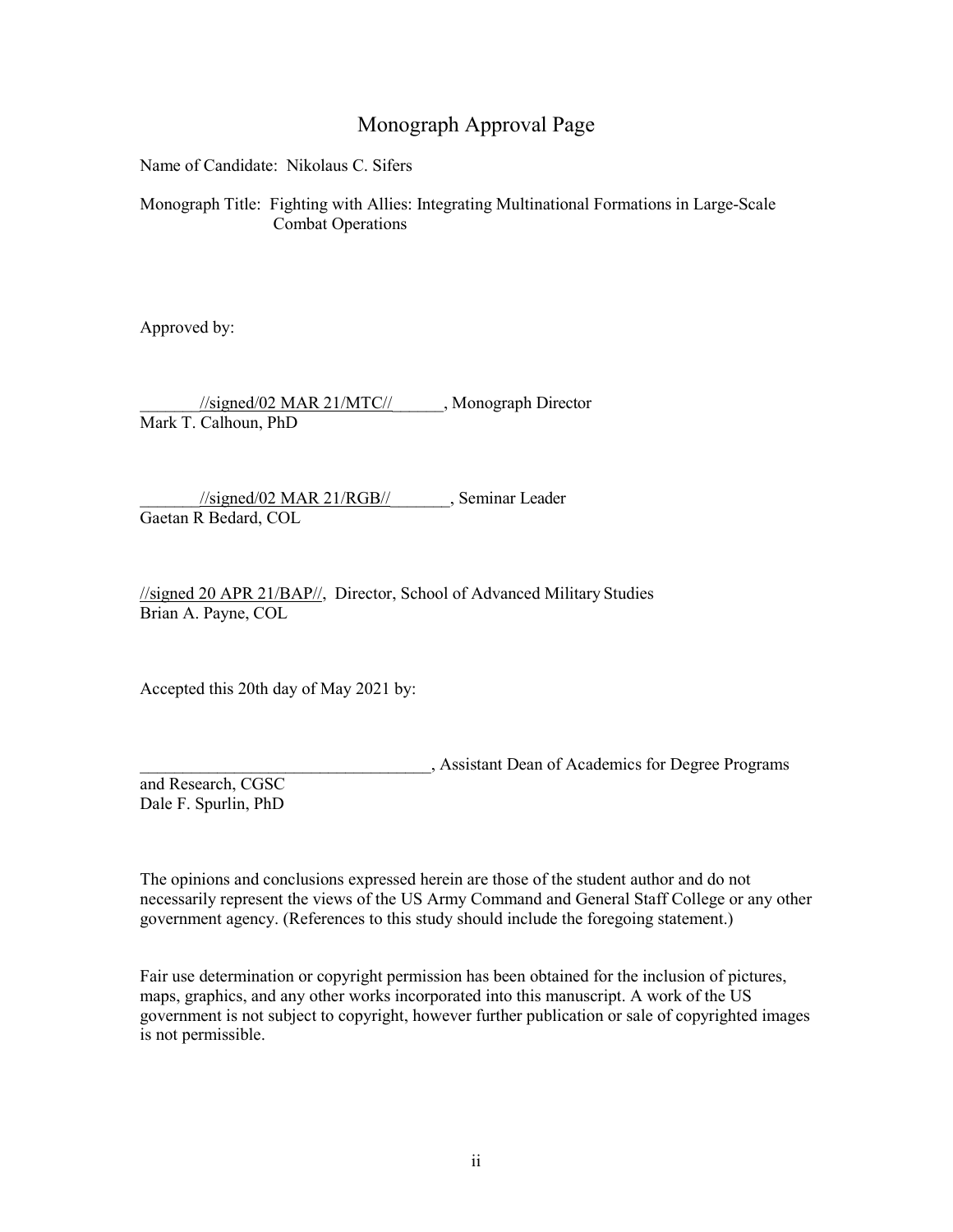## Monograph Approval Page

Name of Candidate: Nikolaus C. Sifers

 Monograph Title: Fighting with Allies: Integrating Multinational Formations in Large-Scale Combat Operations

Approved by:

\_\_\_\_\_\_\_//signed/02 MAR 21/MTC//\_\_\_\_\_\_, Monograph Director Mark T. Calhoun, PhD

 $\frac{1}{\sqrt{2}}$  //signed/02 MAR 21/RGB// Gaetan R Bedard, COL

 //signed 20 APR 21/BAP//, Director, School of Advanced Military Studies Brian A. Payne, COL

Accepted this 20th day of May 2021 by:

\_\_\_\_\_\_\_\_\_\_\_\_\_\_\_\_\_\_\_\_\_\_\_\_\_\_\_\_\_\_\_\_\_\_, Assistant Dean of Academics for Degree Programs

 Dale F. Spurlin, PhD and Research, CGSC

 The opinions and conclusions expressed herein are those of the student author and do not necessarily represent the views of the US Army Command and General Staff College or any other government agency. (References to this study should include the foregoing statement.)

 Fair use determination or copyright permission has been obtained for the inclusion of pictures, maps, graphics, and any other works incorporated into this manuscript. A work of the US government is not subject to copyright, however further publication or sale of copyrighted images is not permissible.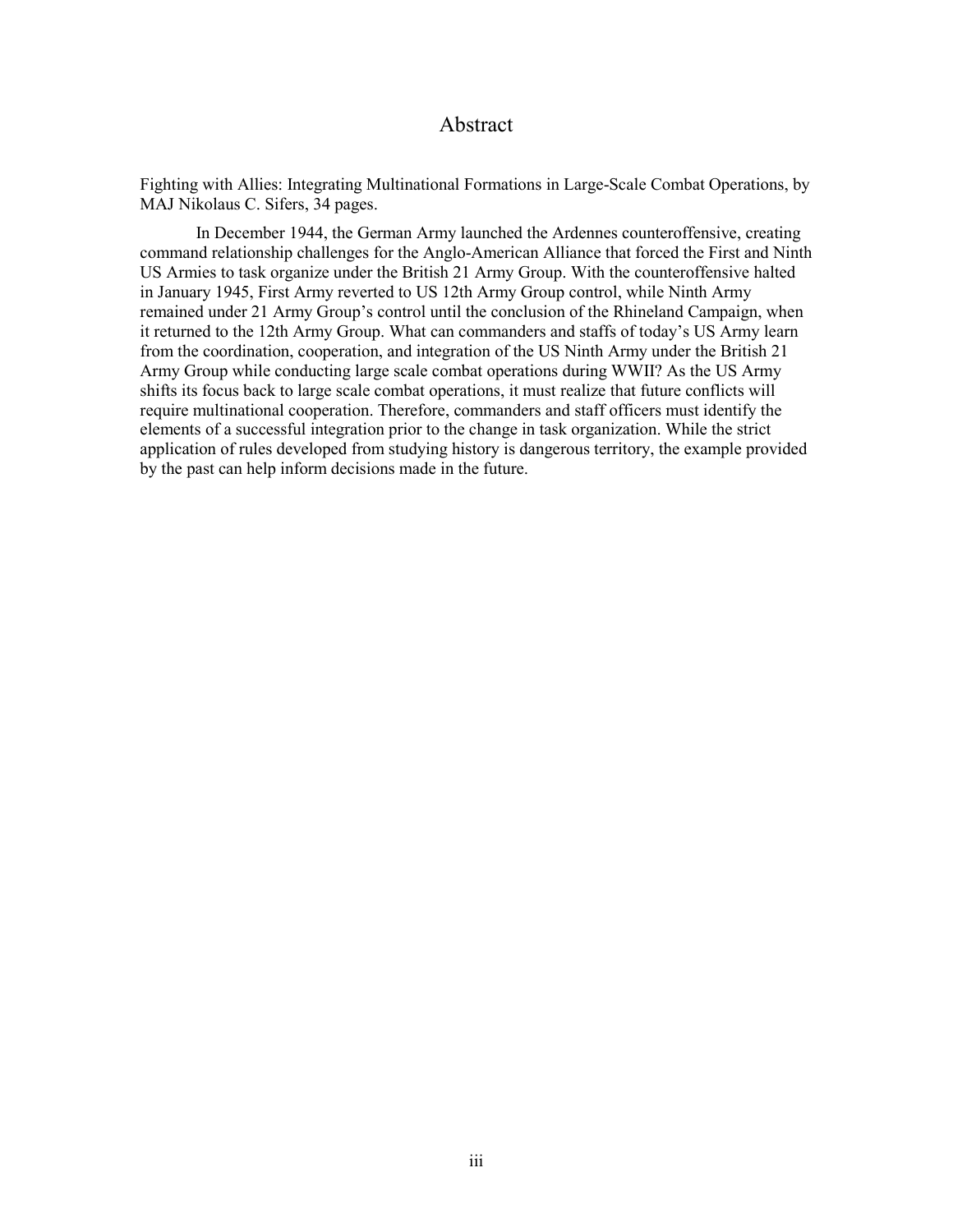#### Abstract

 MAJ Nikolaus C. Sifers, 34 pages. Fighting with Allies: Integrating Multinational Formations in Large-Scale Combat Operations, by

 In December 1944, the German Army launched the Ardennes counteroffensive, creating command relationship challenges for the Anglo-American Alliance that forced the First and Ninth US Armies to task organize under the British 21 Army Group. With the counteroffensive halted remained under 21 Army Group's control until the conclusion of the Rhineland Campaign, when it returned to the 12th Army Group. What can commanders and staffs of today's US Army learn require multinational cooperation. Therefore, commanders and staff officers must identify the application of rules developed from studying history is dangerous territory, the example provided by the past can help inform decisions made in the future. in January 1945, First Army reverted to US 12th Army Group control, while Ninth Army from the coordination, cooperation, and integration of the US Ninth Army under the British 21 Army Group while conducting large scale combat operations during WWII? As the US Army shifts its focus back to large scale combat operations, it must realize that future conflicts will elements of a successful integration prior to the change in task organization. While the strict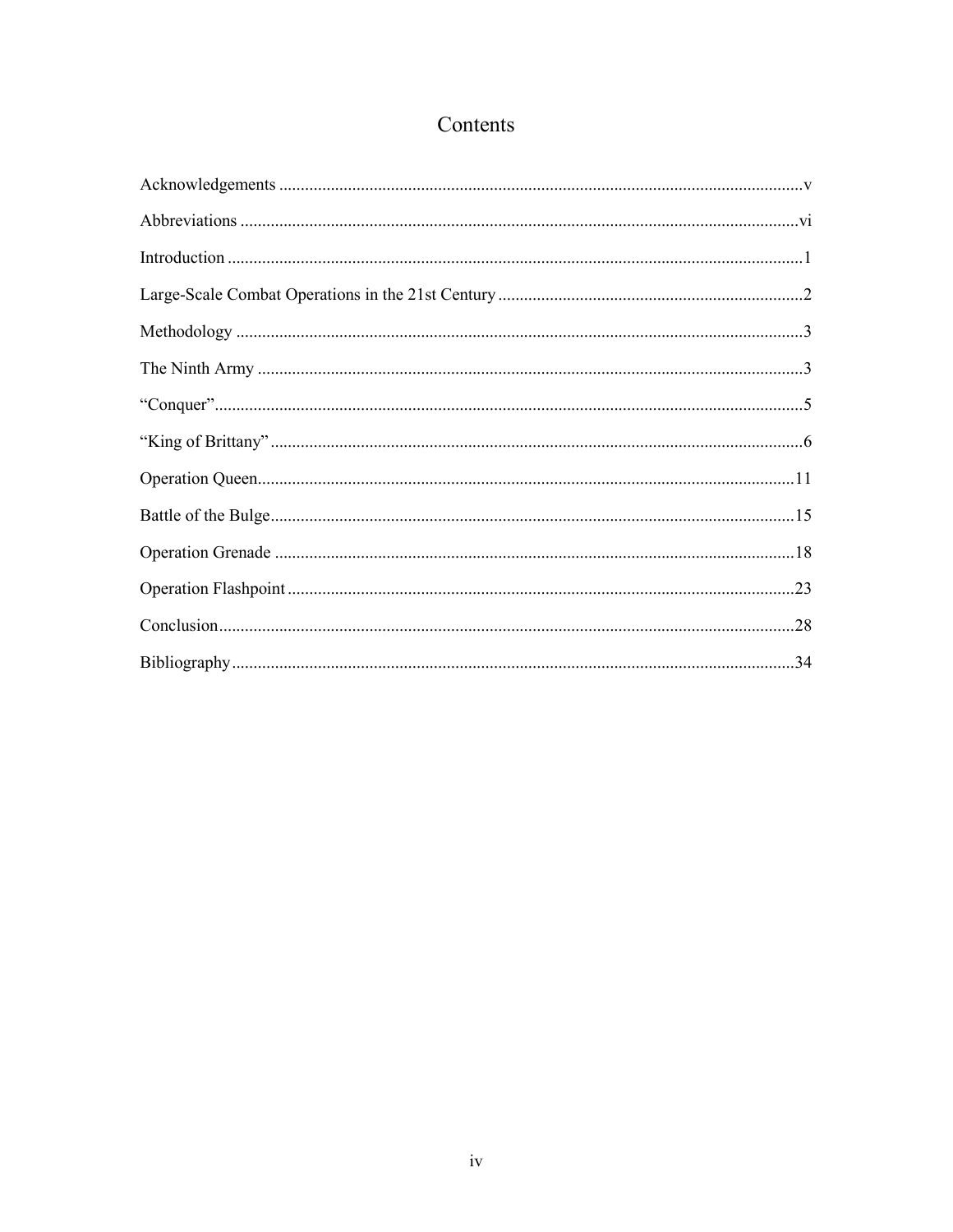## Contents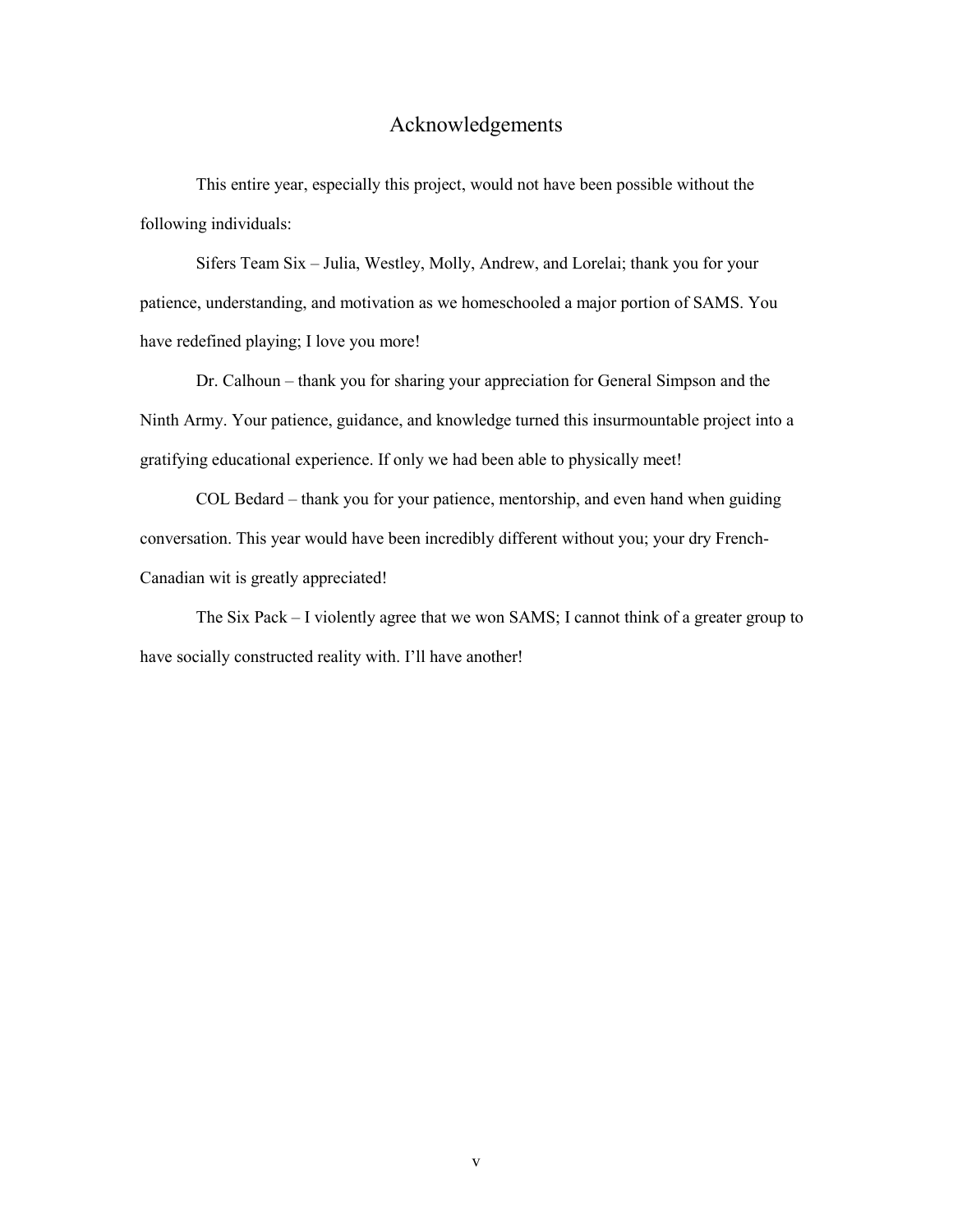## Acknowledgements

<span id="page-5-0"></span>This entire year, especially this project, would not have been possible without the following individuals:

 Sifers Team Six – Julia, Westley, Molly, Andrew, and Lorelai; thank you for your have redefined playing; I love you more! patience, understanding, and motivation as we homeschooled a major portion of SAMS. You

Dr. Calhoun – thank you for sharing your appreciation for General Simpson and the Ninth Army. Your patience, guidance, and knowledge turned this insurmountable project into a gratifying educational experience. If only we had been able to physically meet!

COL Bedard – thank you for your patience, mentorship, and even hand when guiding conversation. This year would have been incredibly different without you; your dry French-Canadian wit is greatly appreciated!

 The Six Pack – I violently agree that we won SAMS; I cannot think of a greater group to have socially constructed reality with. I'll have another!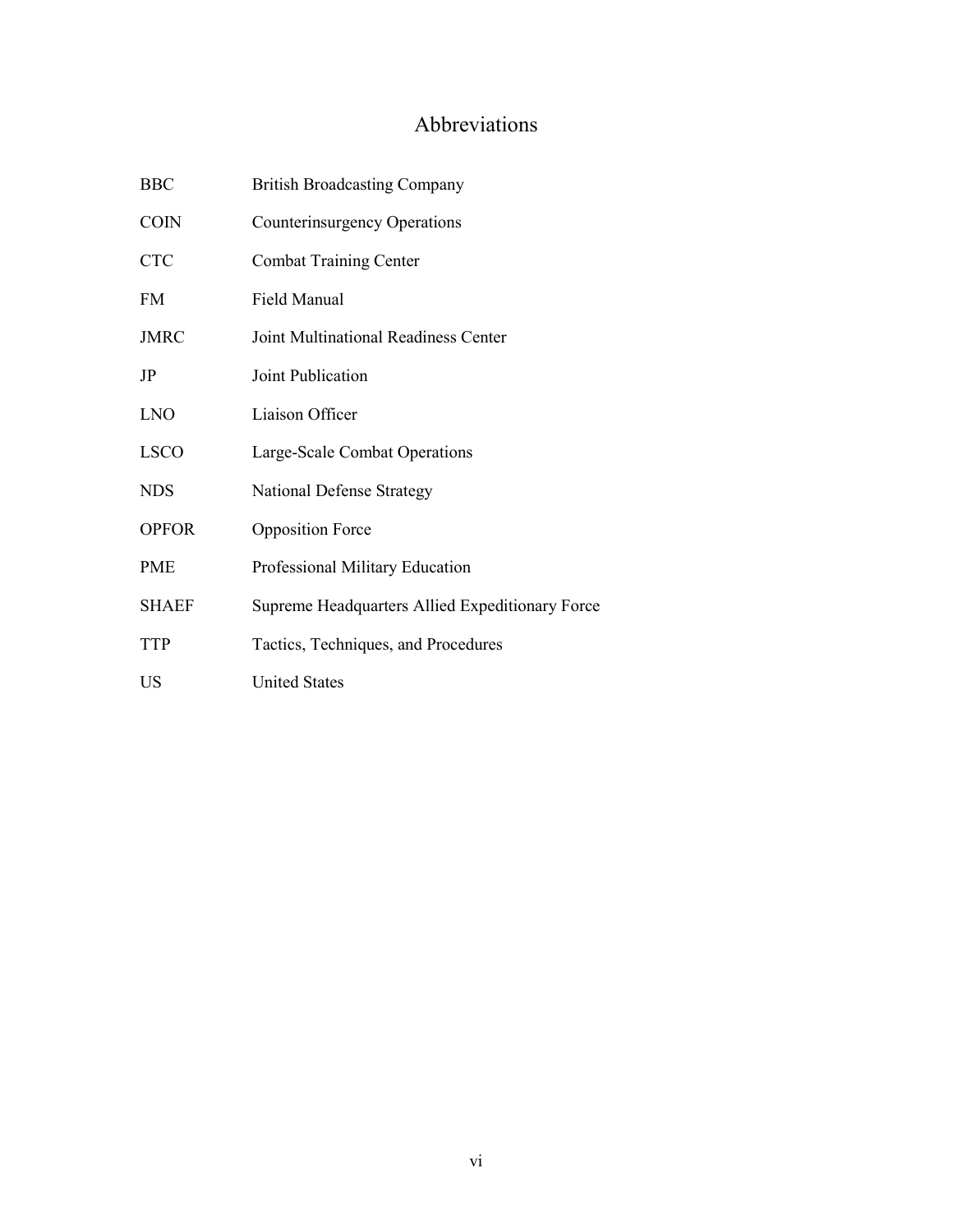## Abbreviations

<span id="page-6-0"></span>

| <b>BBC</b>   | <b>British Broadcasting Company</b>             |
|--------------|-------------------------------------------------|
| <b>COIN</b>  | <b>Counterinsurgency Operations</b>             |
| <b>CTC</b>   | <b>Combat Training Center</b>                   |
| <b>FM</b>    | Field Manual                                    |
| <b>JMRC</b>  | Joint Multinational Readiness Center            |
| JP           | Joint Publication                               |
| <b>LNO</b>   | Liaison Officer                                 |
| <b>LSCO</b>  | Large-Scale Combat Operations                   |
| <b>NDS</b>   | <b>National Defense Strategy</b>                |
| <b>OPFOR</b> | <b>Opposition Force</b>                         |
| <b>PME</b>   | Professional Military Education                 |
| <b>SHAEF</b> | Supreme Headquarters Allied Expeditionary Force |
| <b>TTP</b>   | Tactics, Techniques, and Procedures             |
| US           | <b>United States</b>                            |
|              |                                                 |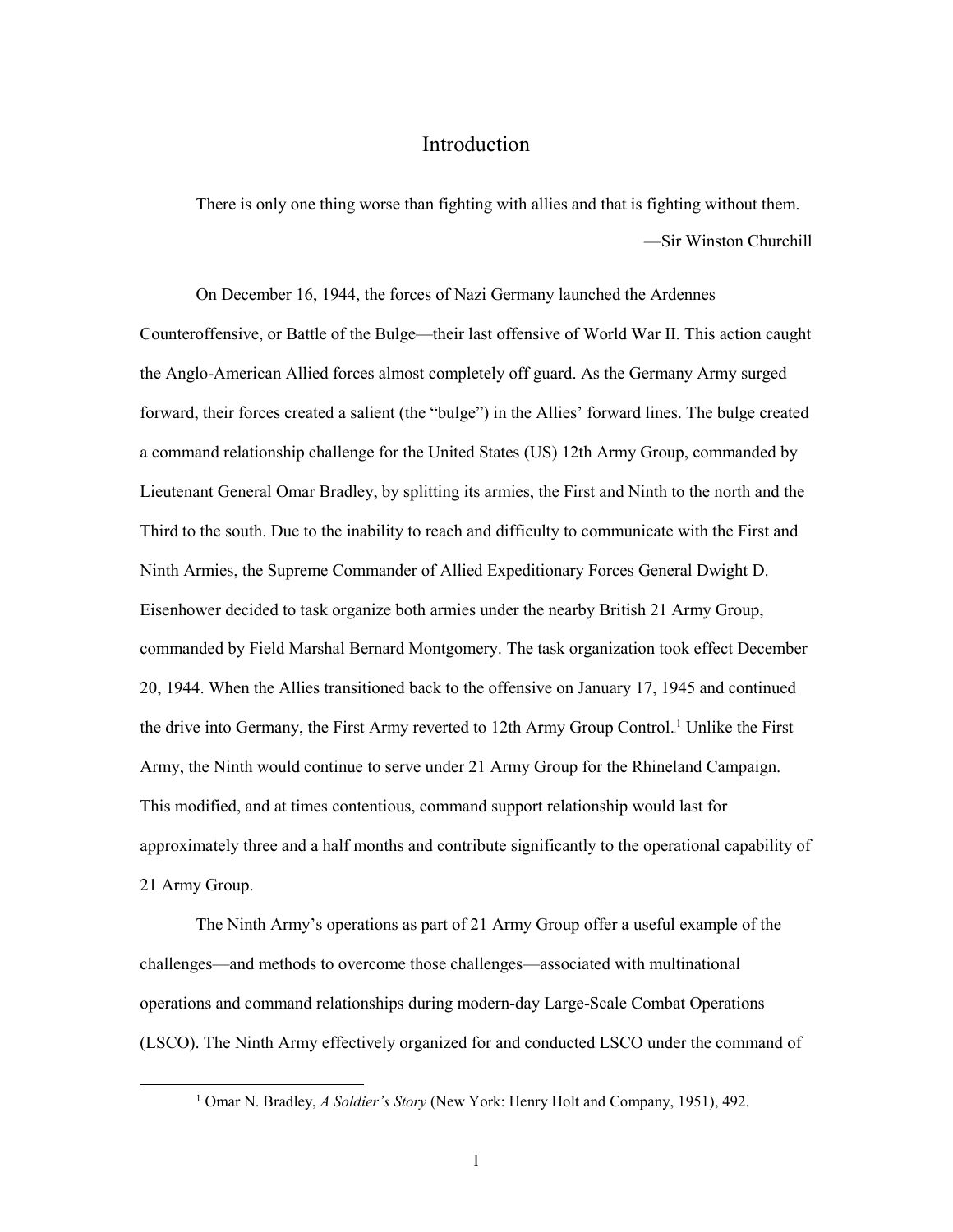### Introduction

<span id="page-7-0"></span>There is only one thing worse than fighting with allies and that is fighting without them. —Sir Winston Churchill

 On December 16, 1944, the forces of Nazi Germany launched the Ardennes forward, their forces created a salient (the "bulge") in the Allies' forward lines. The bulge created Ninth Armies, the Supreme Commander of Allied Expeditionary Forces General Dwight D. Eisenhower decided to task organize both armies under the nearby British 21 Army Group, Army, the Ninth would continue to serve under 21 Army Group for the Rhineland Campaign. approximately three and a half months and contribute significantly to the operational capability of 21 Army Group. Counteroffensive, or Battle of the Bulge—their last offensive of World War II. This action caught the Anglo-American Allied forces almost completely off guard. As the Germany Army surged a command relationship challenge for the United States (US) 12th Army Group, commanded by Lieutenant General Omar Bradley, by splitting its armies, the First and Ninth to the north and the Third to the south. Due to the inability to reach and difficulty to communicate with the First and commanded by Field Marshal Bernard Montgomery. The task organization took effect December 20, 1944. When the Allies transitioned back to the offensive on January 17, 1945 and continued the drive into Germany, the First Army reverted to 12th Army Group Control.<sup>1</sup> Unlike the First This modified, and at times contentious, command support relationship would last for

 The Ninth Army's operations as part of 21 Army Group offer a useful example of the challenges—and methods to overcome those challenges—associated with multinational operations and command relationships during modern-day Large-Scale Combat Operations (LSCO). The Ninth Army effectively organized for and conducted LSCO under the command of

<sup>1</sup> Omar N. Bradley, *A Soldier's Story* (New York: Henry Holt and Company, 1951), 492.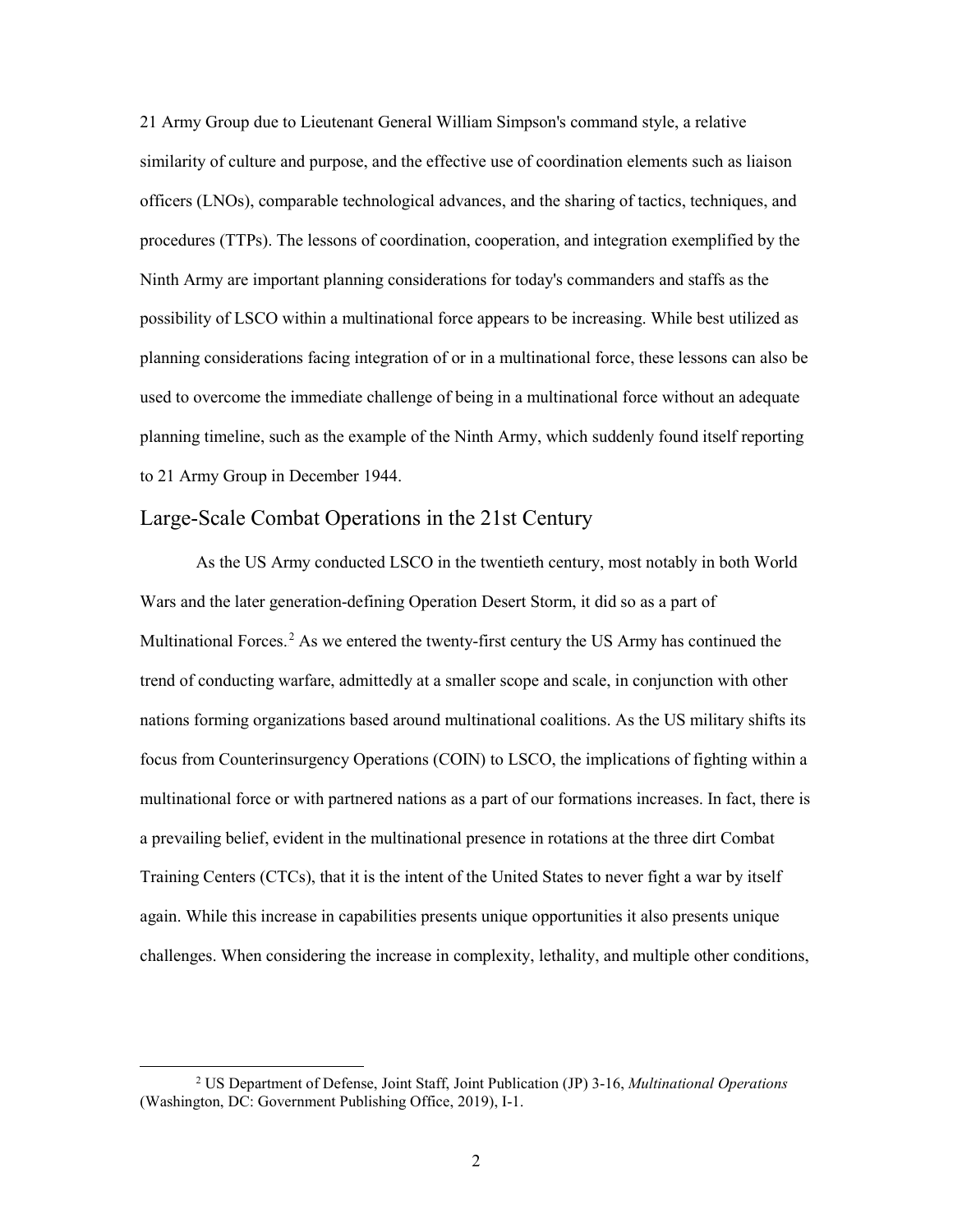21 Army Group due to Lieutenant General William Simpson's command style, a relative Ninth Army are important planning considerations for today's commanders and staffs as the possibility of LSCO within a multinational force appears to be increasing. While best utilized as planning timeline, such as the example of the Ninth Army, which suddenly found itself reporting to 21 Army Group in December 1944. similarity of culture and purpose, and the effective use of coordination elements such as liaison officers (LNOs), comparable technological advances, and the sharing of tactics, techniques, and procedures (TTPs). The lessons of coordination, cooperation, and integration exemplified by the planning considerations facing integration of or in a multinational force, these lessons can also be used to overcome the immediate challenge of being in a multinational force without an adequate

### <span id="page-8-0"></span>Large-Scale Combat Operations in the 21st Century

 As the US Army conducted LSCO in the twentieth century, most notably in both World Wars and the later generation-defining Operation Desert Storm, it did so as a part of trend of conducting warfare, admittedly at a smaller scope and scale, in conjunction with other a prevailing belief, evident in the multinational presence in rotations at the three dirt Combat Training Centers (CTCs), that it is the intent of the United States to never fight a war by itself again. While this increase in capabilities presents unique opportunities it also presents unique challenges. When considering the increase in complexity, lethality, and multiple other conditions, Multinational Forces.<sup>2</sup> As we entered the twenty-first century the US Army has continued the nations forming organizations based around multinational coalitions. As the US military shifts its focus from Counterinsurgency Operations (COIN) to LSCO, the implications of fighting within a multinational force or with partnered nations as a part of our formations increases. In fact, there is

-

<sup>2</sup> US Department of Defense, Joint Staff, Joint Publication (JP) 3-16, *Multinational Operations*  (Washington, DC: Government Publishing Office, 2019), I-1.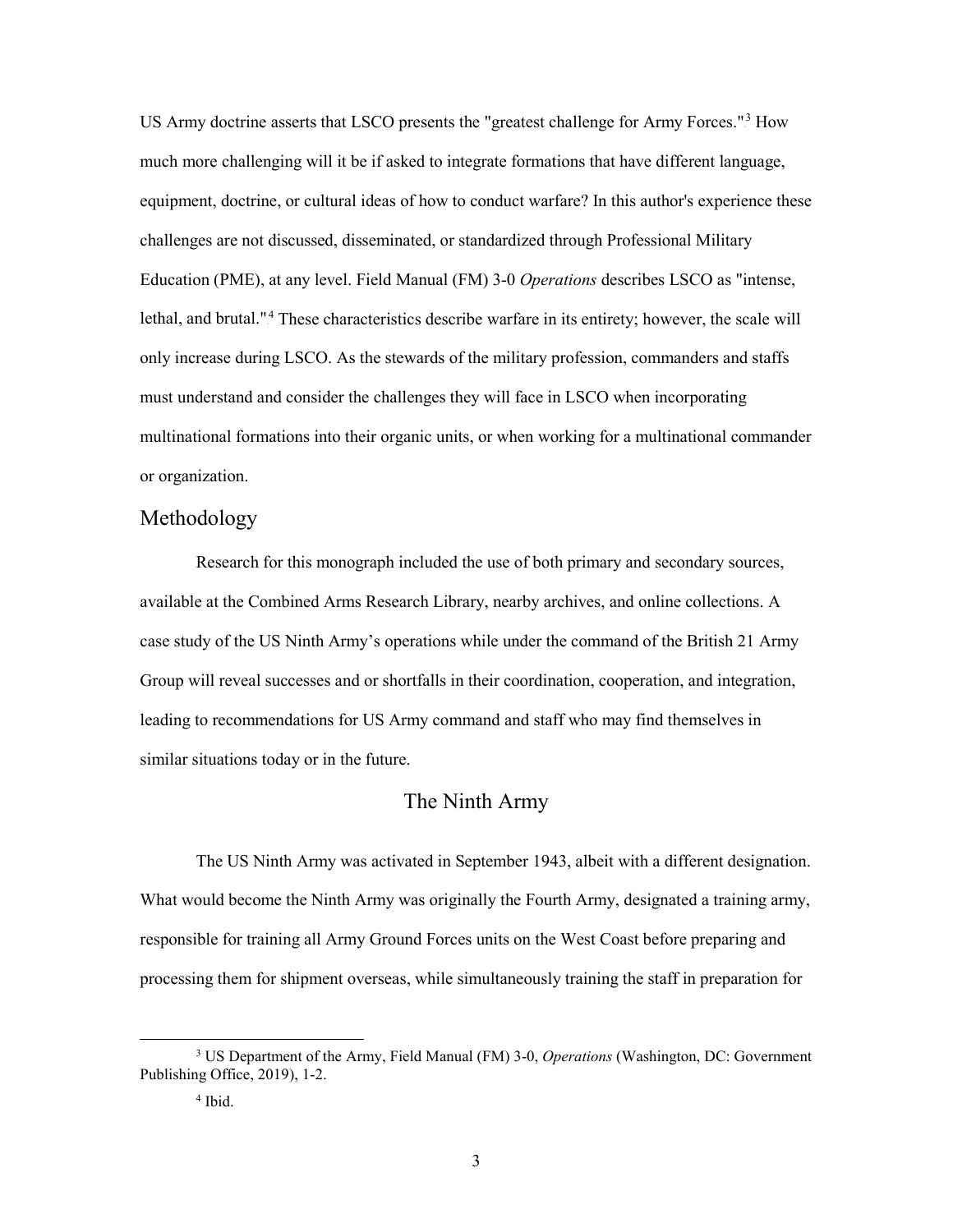equipment, doctrine, or cultural ideas of how to conduct warfare? In this author's experience these challenges are not discussed, disseminated, or standardized through Professional Military lethal, and brutal."<sup>4</sup> These characteristics describe warfare in its entirety; however, the scale will multinational formations into their organic units, or when working for a multinational commander US Army doctrine asserts that LSCO presents the "greatest challenge for Army Forces."<sup>3</sup> How much more challenging will it be if asked to integrate formations that have different language, Education (PME), at any level. Field Manual (FM) 3-0 *Operations* describes LSCO as "intense, only increase during LSCO. As the stewards of the military profession, commanders and staffs must understand and consider the challenges they will face in LSCO when incorporating or organization.

#### <span id="page-9-0"></span>Methodology

 Research for this monograph included the use of both primary and secondary sources, case study of the US Ninth Army's operations while under the command of the British 21 Army leading to recommendations for US Army command and staff who may find themselves in similar situations today or in the future. available at the Combined Arms Research Library, nearby archives, and online collections. A Group will reveal successes and or shortfalls in their coordination, cooperation, and integration,

#### The Ninth Army

<span id="page-9-1"></span> responsible for training all Army Ground Forces units on the West Coast before preparing and The US Ninth Army was activated in September 1943, albeit with a different designation. What would become the Ninth Army was originally the Fourth Army, designated a training army, processing them for shipment overseas, while simultaneously training the staff in preparation for

<sup>3</sup> US Department of the Army, Field Manual (FM) 3-0, *Operations* (Washington, DC: Government Publishing Office, 2019), 1-2.

 4 Ibid.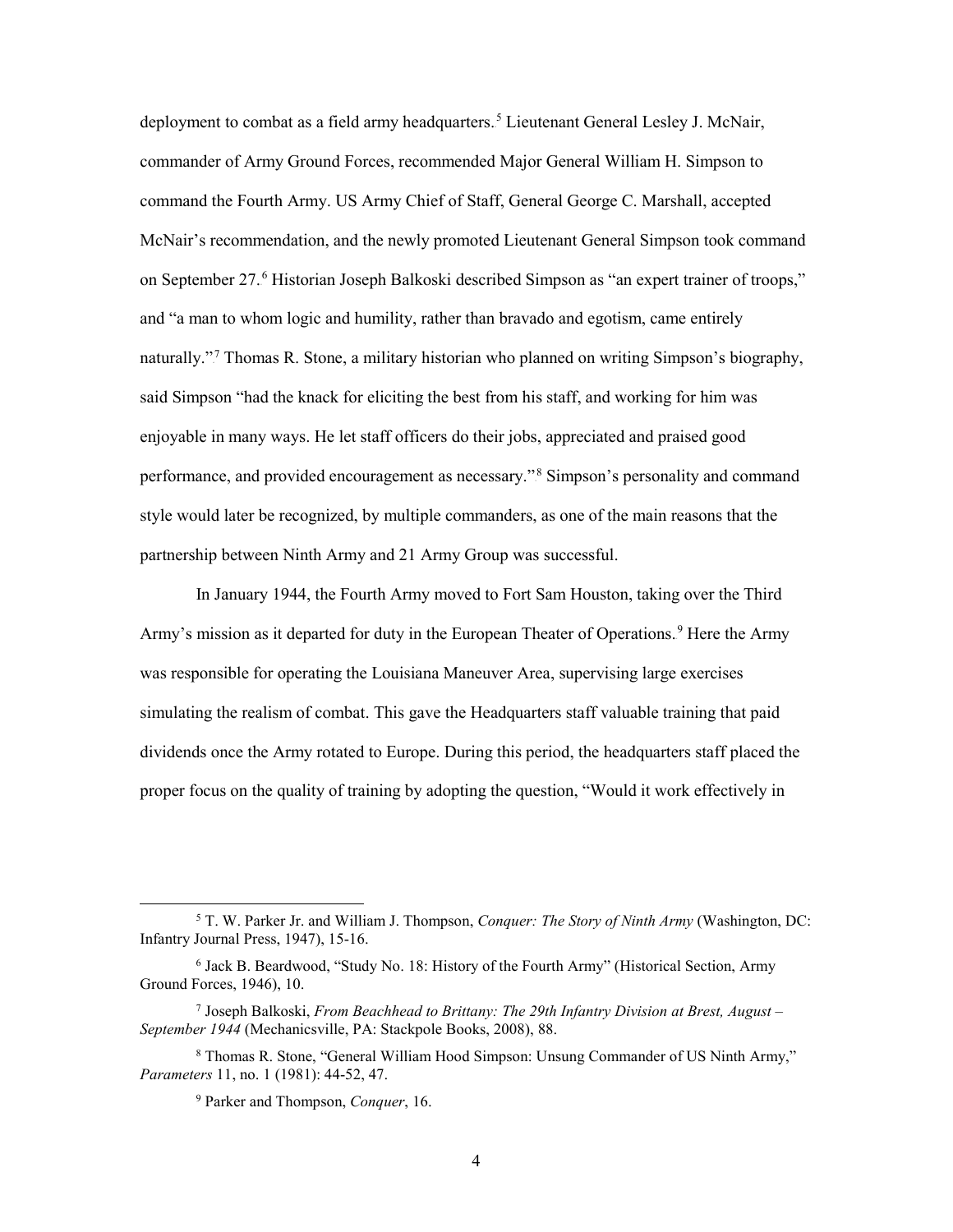deployment to combat as a field army headquarters.<sup>5</sup> Lieutenant General Lesley J. McNair, commander of Army Ground Forces, recommended Major General William H. Simpson to command the Fourth Army. US Army Chief of Staff, General George C. Marshall, accepted McNair's recommendation, and the newly promoted Lieutenant General Simpson took command on September 27.<sup>6</sup> Historian Joseph Balkoski described Simpson as "an expert trainer of troops," and "a man to whom logic and humility, rather than bravado and egotism, came entirely naturally."<sup>7</sup> Thomas R. Stone, a military historian who planned on writing Simpson's biography, said Simpson "had the knack for eliciting the best from his staff, and working for him was enjoyable in many ways. He let staff officers do their jobs, appreciated and praised good performance, and provided encouragement as necessary."<sup>8</sup> Simpson's personality and command style would later be recognized, by multiple commanders, as one of the main reasons that the partnership between Ninth Army and 21 Army Group was successful.

 proper focus on the quality of training by adopting the question, "Would it work effectively in In January 1944, the Fourth Army moved to Fort Sam Houston, taking over the Third Army's mission as it departed for duty in the European Theater of Operations.<sup>9</sup> Here the Army was responsible for operating the Louisiana Maneuver Area, supervising large exercises simulating the realism of combat. This gave the Headquarters staff valuable training that paid dividends once the Army rotated to Europe. During this period, the headquarters staff placed the

 5 T. W. Parker Jr. and William J. Thompson, *Conquer: The Story of Ninth Army* (Washington, DC: Infantry Journal Press, 1947), 15-16.

<sup>&</sup>lt;sup>6</sup> Jack B. Beardwood, "Study No. 18: History of the Fourth Army" (Historical Section, Army Ground Forces, 1946), 10.

<sup>7</sup> Joseph Balkoski, *From Beachhead to Brittany: The 29th Infantry Division at Brest, August – September 1944* (Mechanicsville, PA: Stackpole Books, 2008), 88.

<sup>&</sup>lt;sup>8</sup> Thomas R. Stone, "General William Hood Simpson: Unsung Commander of US Ninth Army," *Parameters* 11, no. 1 (1981): 44-52, 47.

<sup>9</sup> Parker and Thompson, *Conquer*, 16.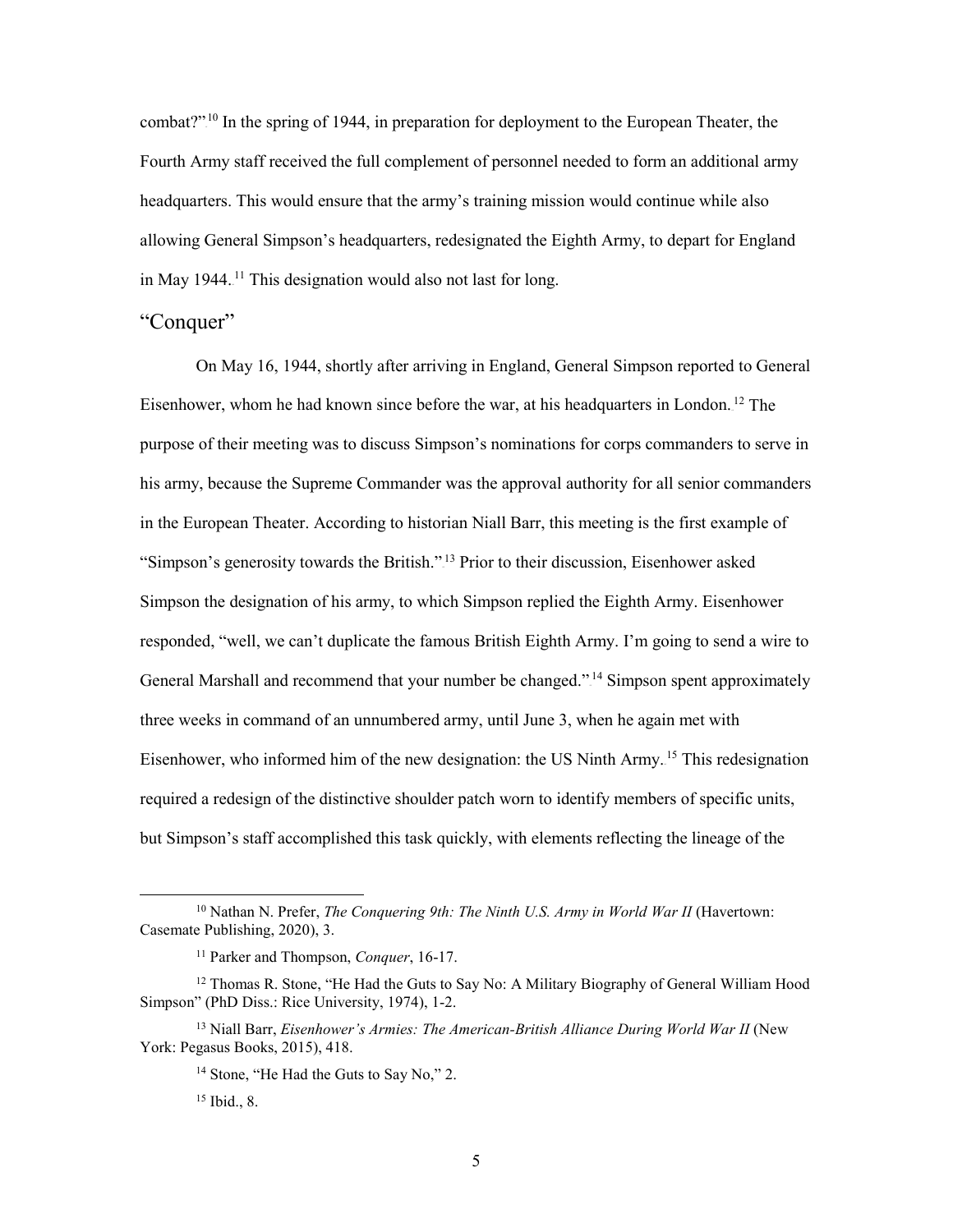combat?"<sup>10</sup> In the spring of 1944, in preparation for deployment to the European Theater, the in May 1944.<sup>11</sup> This designation would also not last for long. Fourth Army staff received the full complement of personnel needed to form an additional army headquarters. This would ensure that the army's training mission would continue while also allowing General Simpson's headquarters, redesignated the Eighth Army, to depart for England

#### <span id="page-11-0"></span>"Conquer"

Eisenhower, whom he had known since before the war, at his headquarters in London.<sup>12</sup> The purpose of their meeting was to discuss Simpson's nominations for corps commanders to serve in his army, because the Supreme Commander was the approval authority for all senior commanders "Simpson's generosity towards the British."<sup>13</sup> Prior to their discussion, Eisenhower asked Simpson the designation of his army, to which Simpson replied the Eighth Army. Eisenhower responded, "well, we can't duplicate the famous British Eighth Army. I'm going to send a wire to required a redesign of the distinctive shoulder patch worn to identify members of specific units, On May 16, 1944, shortly after arriving in England, General Simpson reported to General in the European Theater. According to historian Niall Barr, this meeting is the first example of General Marshall and recommend that your number be changed."<sup>14</sup> Simpson spent approximately three weeks in command of an unnumbered army, until June 3, when he again met with Eisenhower, who informed him of the new designation: the US Ninth Army.<sup>15</sup> This redesignation but Simpson's staff accomplished this task quickly, with elements reflecting the lineage of the

<sup>&</sup>lt;sup>10</sup> Nathan N. Prefer, *The Conquering 9th: The Ninth U.S. Army in World War II* (Havertown: Casemate Publishing, 2020), 3.

<sup>11</sup> Parker and Thompson, *Conquer*, 16-17.

<sup>&</sup>lt;sup>12</sup> Thomas R. Stone, "He Had the Guts to Say No: A Military Biography of General William Hood Simpson" (PhD Diss.: Rice University, 1974), 1-2.

 York: Pegasus Books, 2015), 418. <sup>13</sup> Niall Barr, *Eisenhower's Armies: The American-British Alliance During World War II* (New

<sup>&</sup>lt;sup>14</sup> Stone, "He Had the Guts to Say No," 2.

 15 Ibid., 8.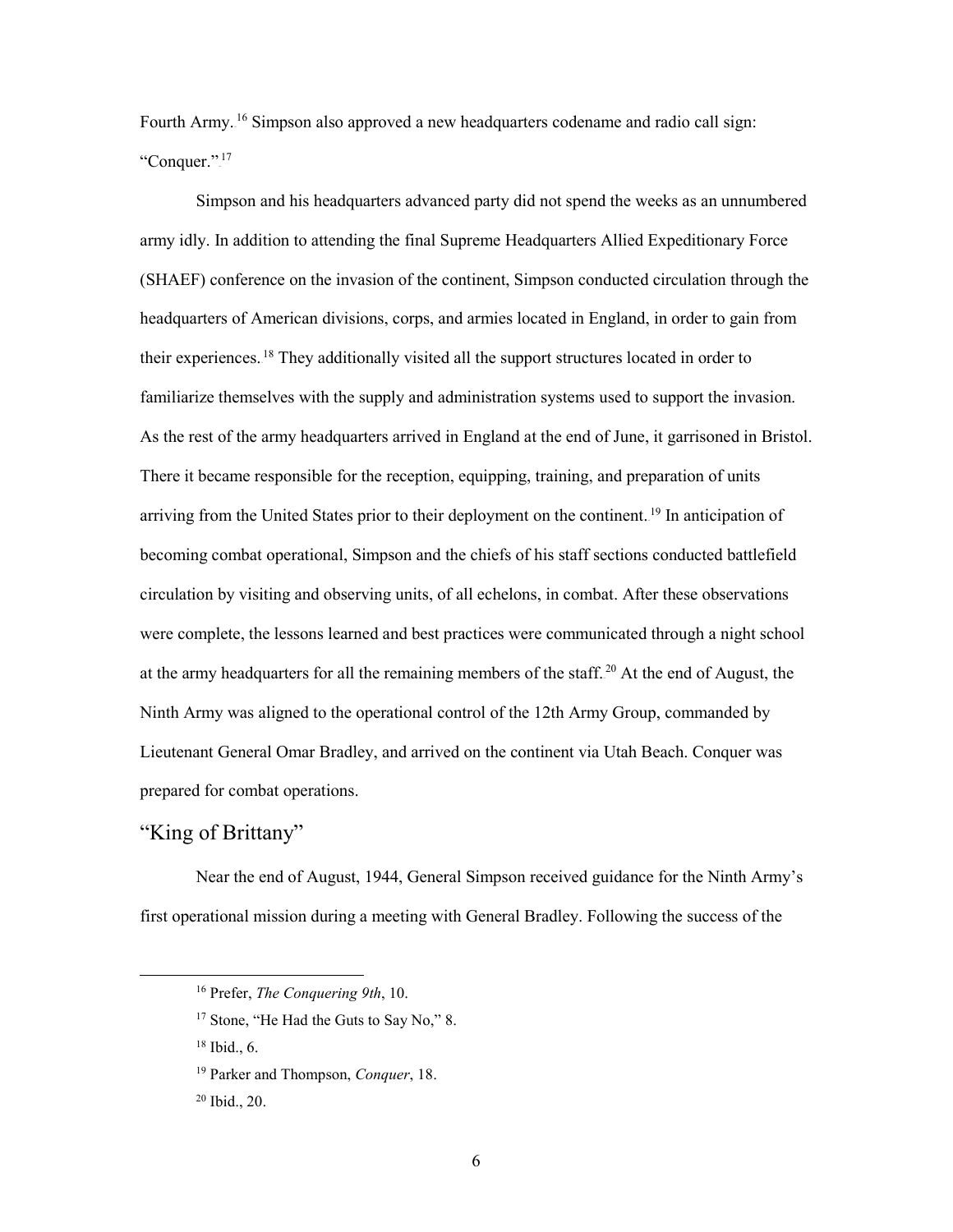Fourth Army.<sup>16</sup> Simpson also approved a new headquarters codename and radio call sign: "Conquer.". $^{17}$ 

their experiences.<sup>18</sup> They additionally visited all the support structures located in order to familiarize themselves with the supply and administration systems used to support the invasion. arriving from the United States prior to their deployment on the continent.<sup>19</sup> In anticipation of were complete, the lessons learned and best practices were communicated through a night school at the army headquarters for all the remaining members of the staff.<sup>20</sup> At the end of August, the Ninth Army was aligned to the operational control of the 12th Army Group, commanded by Simpson and his headquarters advanced party did not spend the weeks as an unnumbered army idly. In addition to attending the final Supreme Headquarters Allied Expeditionary Force (SHAEF) conference on the invasion of the continent, Simpson conducted circulation through the headquarters of American divisions, corps, and armies located in England, in order to gain from As the rest of the army headquarters arrived in England at the end of June, it garrisoned in Bristol. There it became responsible for the reception, equipping, training, and preparation of units becoming combat operational, Simpson and the chiefs of his staff sections conducted battlefield circulation by visiting and observing units, of all echelons, in combat. After these observations Lieutenant General Omar Bradley, and arrived on the continent via Utah Beach. Conquer was prepared for combat operations.

## <span id="page-12-0"></span>"King of Brittany"

 Near the end of August, 1944, General Simpson received guidance for the Ninth Army's first operational mission during a meeting with General Bradley. Following the success of the

 $\ddot{\phantom{a}}$ 

<sup>16</sup> Prefer, *The Conquering 9th*, 10.

<sup>&</sup>lt;sup>17</sup> Stone, "He Had the Guts to Say No," 8.

 18 Ibid., 6.

<sup>19</sup> Parker and Thompson, *Conquer*, 18.

 20 Ibid., 20.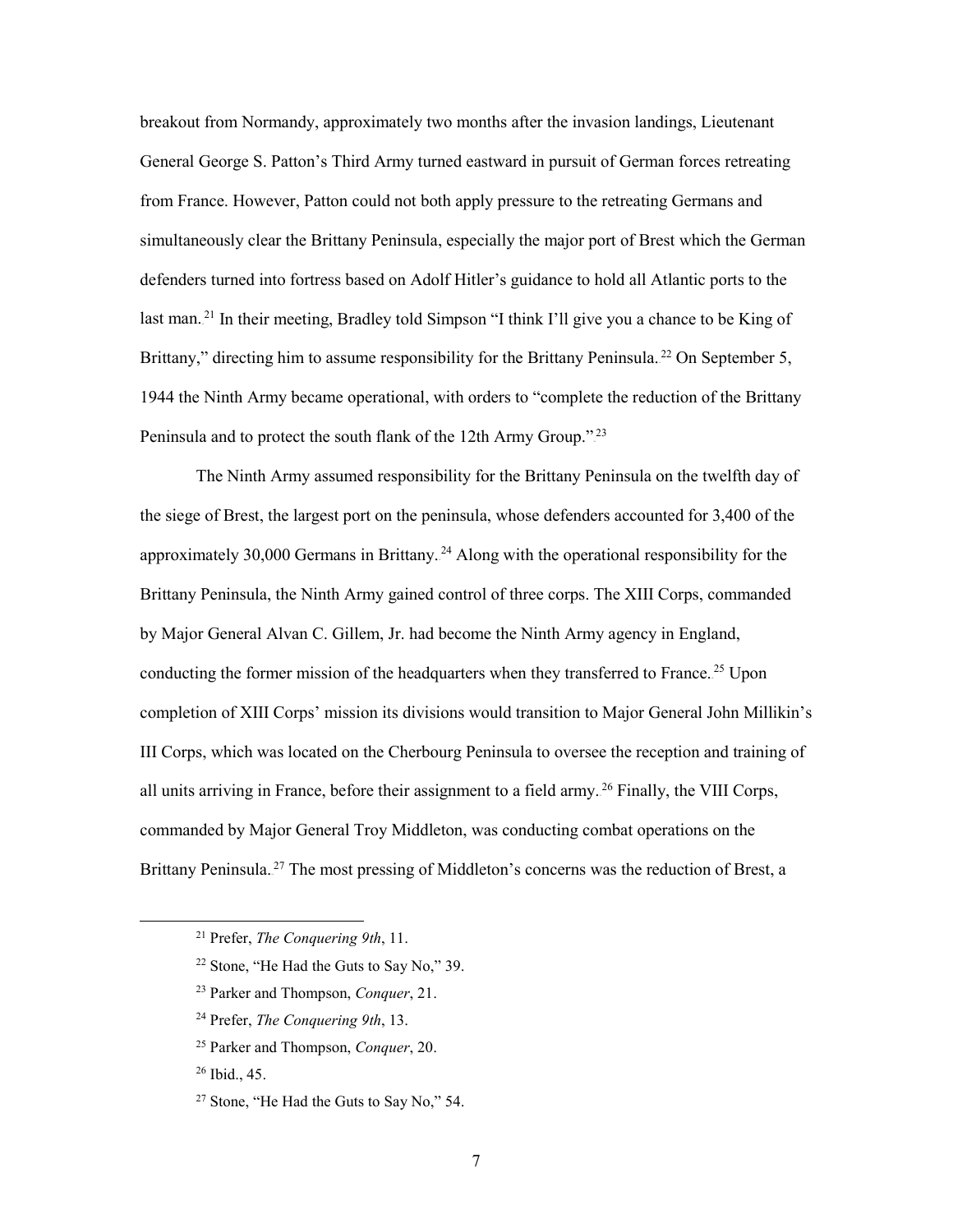General George S. Patton's Third Army turned eastward in pursuit of German forces retreating defenders turned into fortress based on Adolf Hitler's guidance to hold all Atlantic ports to the 1944 the Ninth Army became operational, with orders to "complete the reduction of the Brittany breakout from Normandy, approximately two months after the invasion landings, Lieutenant from France. However, Patton could not both apply pressure to the retreating Germans and simultaneously clear the Brittany Peninsula, especially the major port of Brest which the German last man.<sup>21</sup> In their meeting, Bradley told Simpson "I think I'll give you a chance to be King of Brittany," directing him to assume responsibility for the Brittany Peninsula.<sup>22</sup> On September 5, Peninsula and to protect the south flank of the 12th Army Group."<sup>23</sup>

 the siege of Brest, the largest port on the peninsula, whose defenders accounted for 3,400 of the Brittany Peninsula, the Ninth Army gained control of three corps. The XIII Corps, commanded completion of XIII Corps' mission its divisions would transition to Major General John Millikin's all units arriving in France, before their assignment to a field army.<sup>26</sup> Finally, the VIII Corps, Brittany Peninsula.<sup>27</sup> The most pressing of Middleton's concerns was the reduction of Brest, a The Ninth Army assumed responsibility for the Brittany Peninsula on the twelfth day of approximately 30,000 Germans in Brittany.<sup>24</sup> Along with the operational responsibility for the by Major General Alvan C. Gillem, Jr. had become the Ninth Army agency in England, conducting the former mission of the headquarters when they transferred to France.<sup>25</sup> Upon III Corps, which was located on the Cherbourg Peninsula to oversee the reception and training of commanded by Major General Troy Middleton, was conducting combat operations on the

- 24 Prefer, *The Conquering 9th*, 13.
- 25 Parker and Thompson, *Conquer*, 20.

26 Ibid., 45.

<sup>21</sup> Prefer, *The Conquering 9th*, 11.

<sup>22</sup> Stone, "He Had the Guts to Say No," 39.

<sup>23</sup> Parker and Thompson, *Conquer*, 21.

<sup>&</sup>lt;sup>27</sup> Stone, "He Had the Guts to Say No," 54.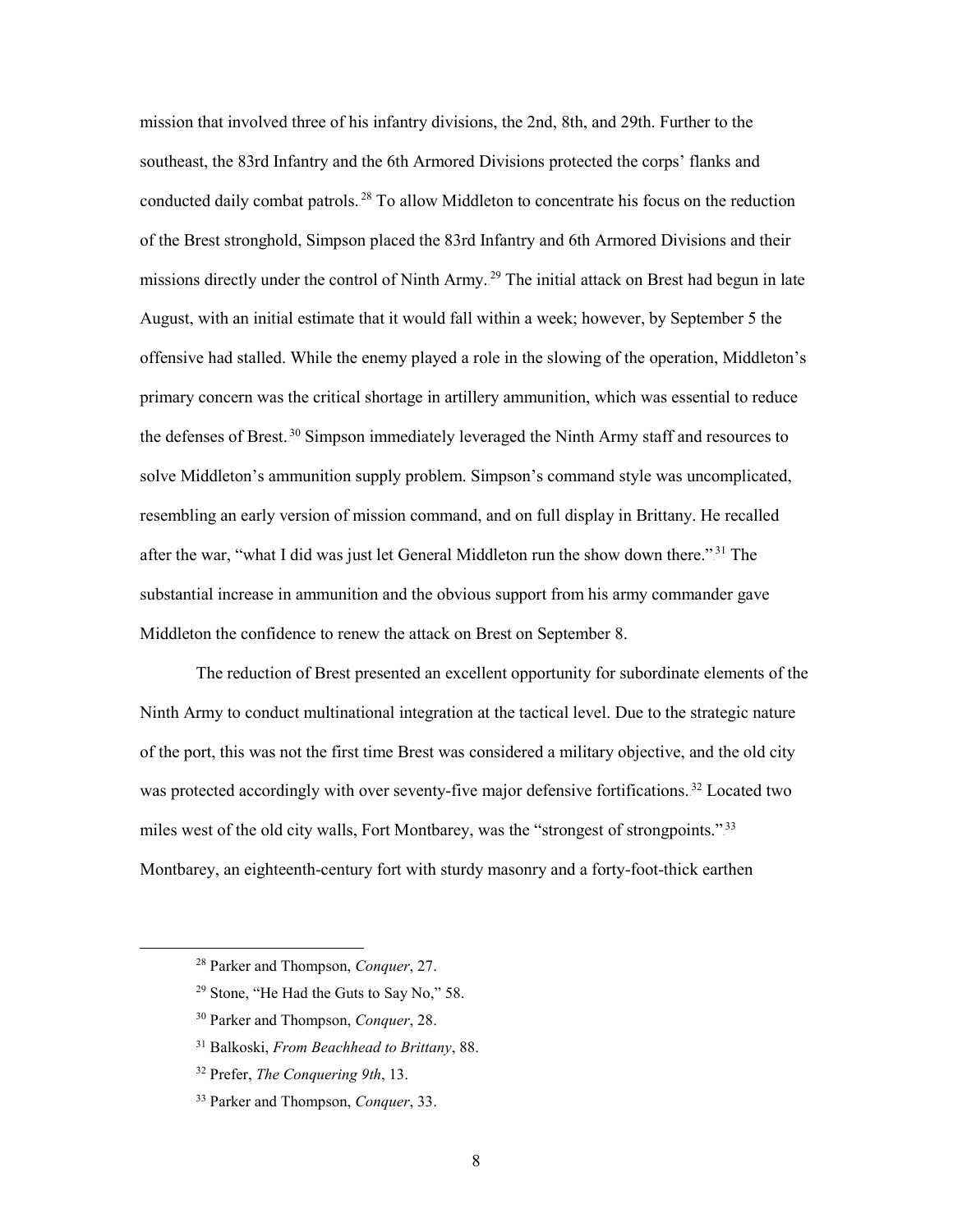mission that involved three of his infantry divisions, the 2nd, 8th, and 29th. Further to the conducted daily combat patrols.<sup>28</sup> To allow Middleton to concentrate his focus on the reduction of the Brest stronghold, Simpson placed the 83rd Infantry and 6th Armored Divisions and their missions directly under the control of Ninth Army.<sup>29</sup> The initial attack on Brest had begun in late August, with an initial estimate that it would fall within a week; however, by September 5 the the defenses of Brest.<sup>30</sup> Simpson immediately leveraged the Ninth Army staff and resources to after the war, "what I did was just let General Middleton run the show down there."<sup>31</sup> The Middleton the confidence to renew the attack on Brest on September 8. southeast, the 83rd Infantry and the 6th Armored Divisions protected the corps' flanks and offensive had stalled. While the enemy played a role in the slowing of the operation, Middleton's primary concern was the critical shortage in artillery ammunition, which was essential to reduce solve Middleton's ammunition supply problem. Simpson's command style was uncomplicated, resembling an early version of mission command, and on full display in Brittany. He recalled substantial increase in ammunition and the obvious support from his army commander gave

 The reduction of Brest presented an excellent opportunity for subordinate elements of the of the port, this was not the first time Brest was considered a military objective, and the old city was protected accordingly with over seventy-five major defensive fortifications.<sup>32</sup> Located two miles west of the old city walls, Fort Montbarey, was the "strongest of strongpoints."<sup>33</sup> Ninth Army to conduct multinational integration at the tactical level. Due to the strategic nature Montbarey, an eighteenth-century fort with sturdy masonry and a forty-foot-thick earthen

<sup>28</sup> Parker and Thompson, *Conquer*, 27.

<sup>29</sup> Stone, "He Had the Guts to Say No," 58.

<sup>30</sup> Parker and Thompson, *Conquer*, 28.

<sup>31</sup> Balkoski, *From Beachhead to Brittany*, 88.

<sup>32</sup> Prefer, *The Conquering 9th*, 13.

<sup>33</sup> Parker and Thompson, *Conquer*, 33.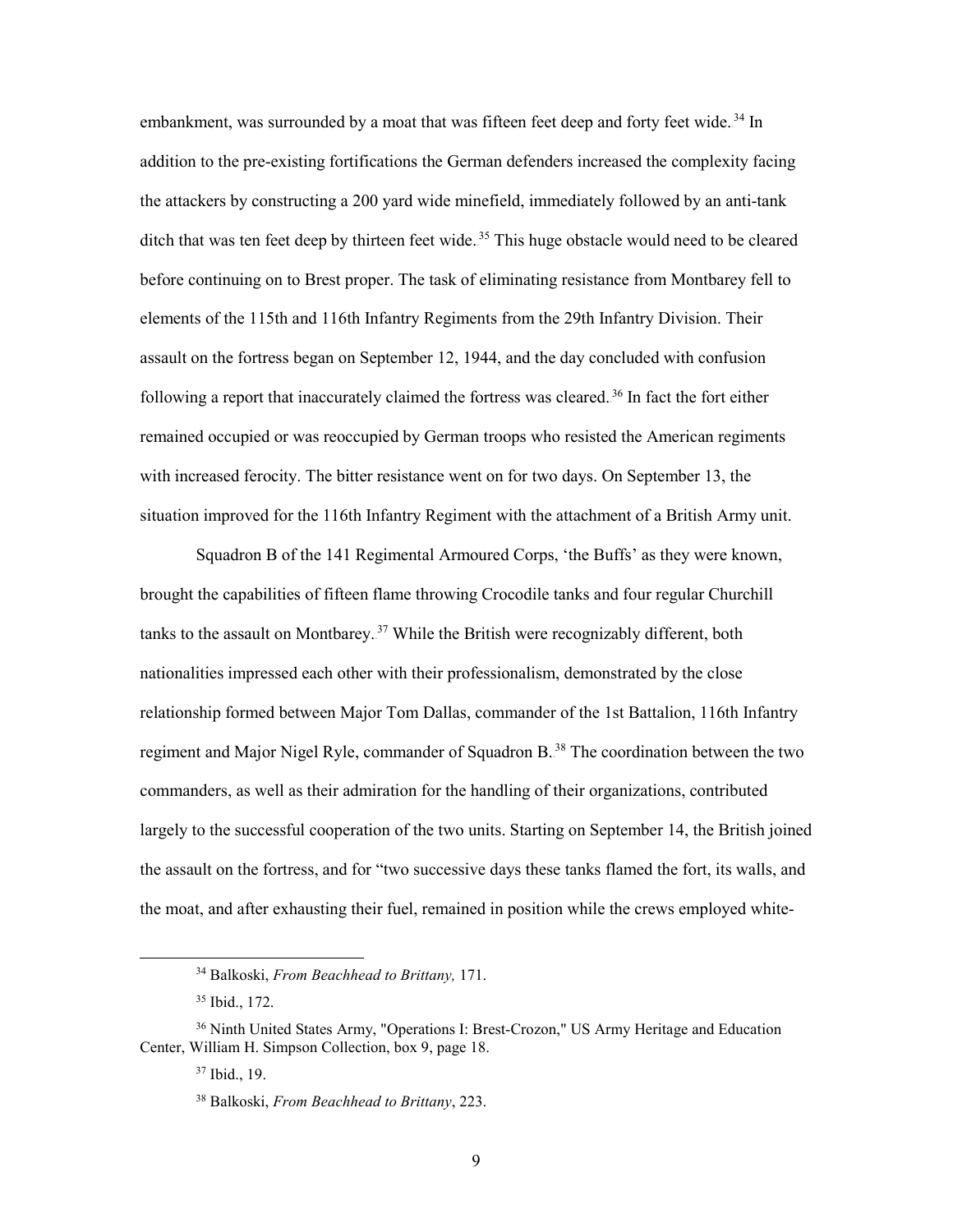ditch that was ten feet deep by thirteen feet wide.<sup>35</sup> This huge obstacle would need to be cleared elements of the 115th and 116th Infantry Regiments from the 29th Infantry Division. Their following a report that inaccurately claimed the fortress was cleared.<sup>36</sup> In fact the fort either remained occupied or was reoccupied by German troops who resisted the American regiments embankment, was surrounded by a moat that was fifteen feet deep and forty feet wide.<sup>34</sup> In addition to the pre-existing fortifications the German defenders increased the complexity facing the attackers by constructing a 200 yard wide minefield, immediately followed by an anti-tank before continuing on to Brest proper. The task of eliminating resistance from Montbarey fell to assault on the fortress began on September 12, 1944, and the day concluded with confusion with increased ferocity. The bitter resistance went on for two days. On September 13, the situation improved for the 116th Infantry Regiment with the attachment of a British Army unit.

 Squadron B of the 141 Regimental Armoured Corps, 'the Buffs' as they were known, brought the capabilities of fifteen flame throwing Crocodile tanks and four regular Churchill the assault on the fortress, and for "two successive days these tanks flamed the fort, its walls, and tanks to the assault on Montbarey.<sup>37</sup> While the British were recognizably different, both nationalities impressed each other with their professionalism, demonstrated by the close relationship formed between Major Tom Dallas, commander of the 1st Battalion, 116th Infantry regiment and Major Nigel Ryle, commander of Squadron B.<sup>38</sup> The coordination between the two commanders, as well as their admiration for the handling of their organizations, contributed largely to the successful cooperation of the two units. Starting on September 14, the British joined the moat, and after exhausting their fuel, remained in position while the crews employed white-

<sup>34</sup> Balkoski, *From Beachhead to Brittany,* 171.

 35 Ibid., 172.

<sup>&</sup>lt;sup>36</sup> Ninth United States Army, "Operations I: Brest-Crozon," US Army Heritage and Education Center, William H. Simpson Collection, box 9, page 18.

 37 Ibid., 19.

<sup>38</sup> Balkoski, *From Beachhead to Brittany*, 223.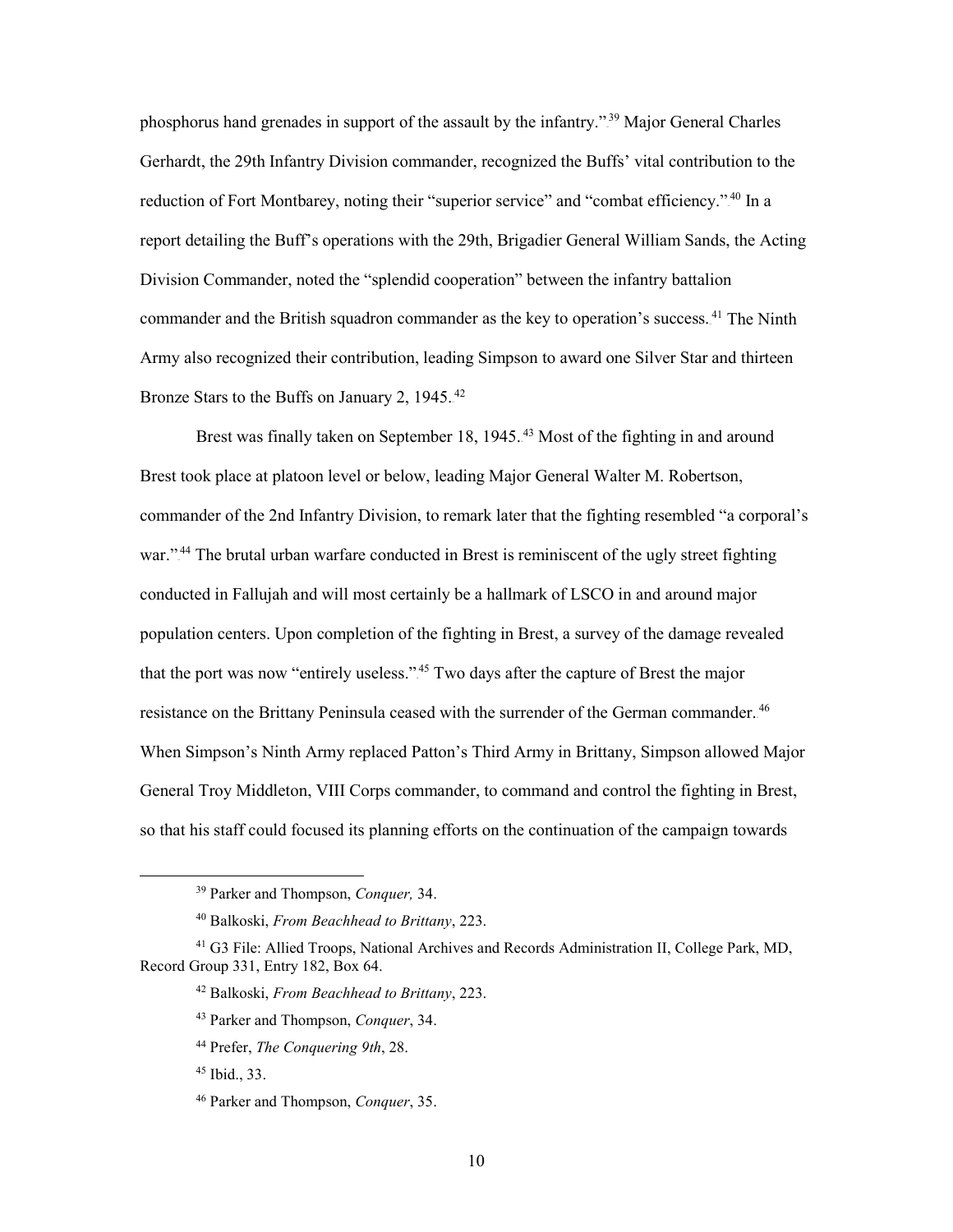Army also recognized their contribution, leading Simpson to award one Silver Star and thirteen phosphorus hand grenades in support of the assault by the infantry."<sup>39</sup> Major General Charles Gerhardt, the 29th Infantry Division commander, recognized the Buffs' vital contribution to the reduction of Fort Montbarey, noting their "superior service" and "combat efficiency."<sup>40</sup> In a report detailing the Buff's operations with the 29th, Brigadier General William Sands, the Acting Division Commander, noted the "splendid cooperation" between the infantry battalion commander and the British squadron commander as the key to operation's success.<sup>41</sup> The Ninth Bronze Stars to the Buffs on January 2, 1945.<sup>42</sup>

Brest was finally taken on September 18, 1945.<sup>43</sup> Most of the fighting in and around war."<sup>44</sup> The brutal urban warfare conducted in Brest is reminiscent of the ugly street fighting conducted in Fallujah and will most certainly be a hallmark of LSCO in and around major population centers. Upon completion of the fighting in Brest, a survey of the damage revealed that the port was now "entirely useless."<sup>45</sup> Two days after the capture of Brest the major resistance on the Brittany Peninsula ceased with the surrender of the German commander.<sup>46</sup> General Troy Middleton, VIII Corps commander, to command and control the fighting in Brest, so that his staff could focused its planning efforts on the continuation of the campaign towards Brest took place at platoon level or below, leading Major General Walter M. Robertson, commander of the 2nd Infantry Division, to remark later that the fighting resembled "a corporal's When Simpson's Ninth Army replaced Patton's Third Army in Brittany, Simpson allowed Major

 39 Parker and Thompson, *Conquer,* 34.

<sup>40</sup> Balkoski, *From Beachhead to Brittany*, 223.

<sup>41</sup> G3 File: Allied Troops, National Archives and Records Administration II, College Park, MD, Record Group 331, Entry 182, Box 64.

<sup>42</sup> Balkoski, *From Beachhead to Brittany*, 223.

<sup>43</sup> Parker and Thompson, *Conquer*, 34.

<sup>44</sup> Prefer, *The Conquering 9th*, 28.

 45 Ibid., 33.

<sup>46</sup> Parker and Thompson, *Conquer*, 35.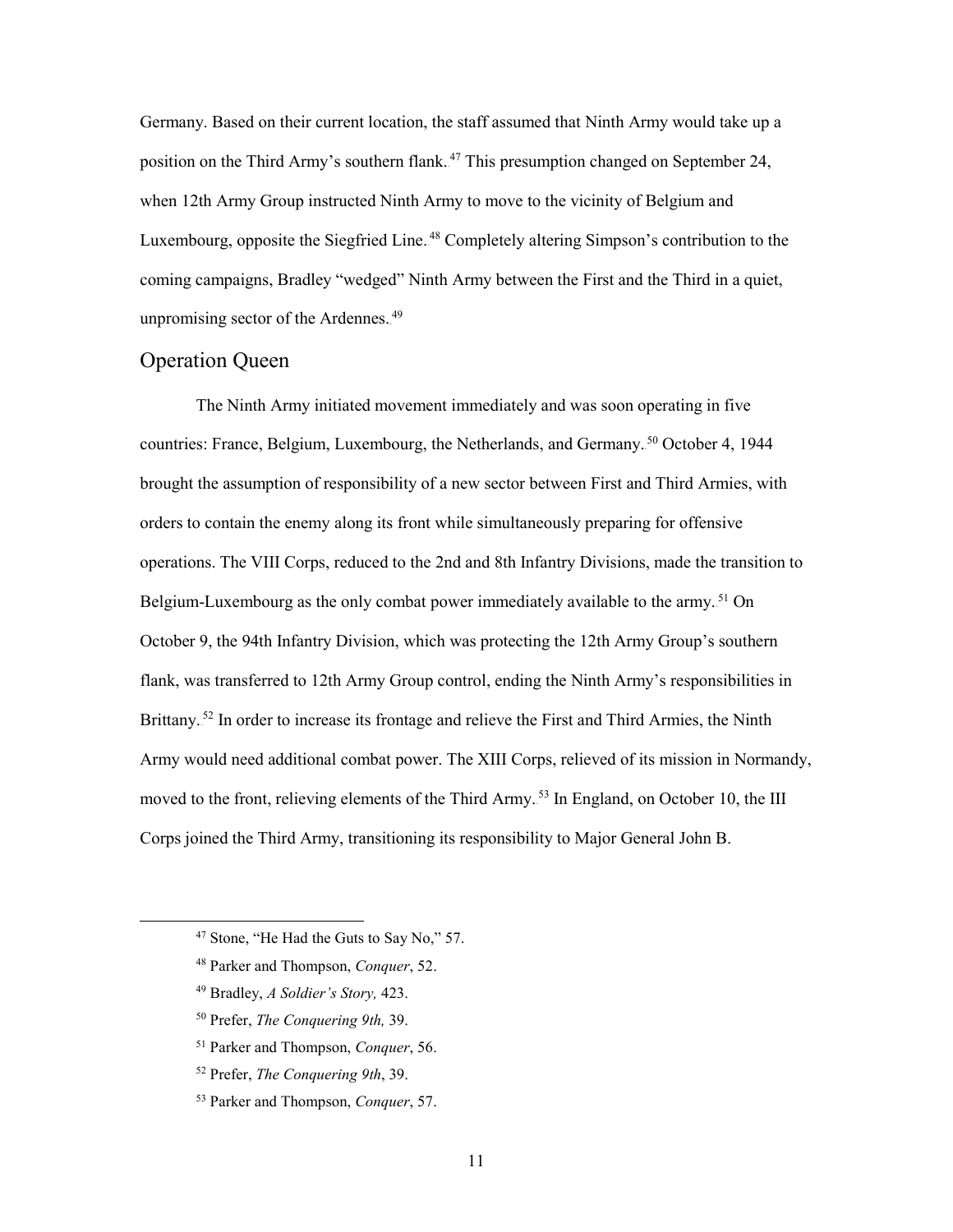position on the Third Army's southern flank.<sup>47</sup> This presumption changed on September 24, coming campaigns, Bradley "wedged" Ninth Army between the First and the Third in a quiet, Germany. Based on their current location, the staff assumed that Ninth Army would take up a when 12th Army Group instructed Ninth Army to move to the vicinity of Belgium and Luxembourg, opposite the Siegfried Line.<sup>48</sup> Completely altering Simpson's contribution to the unpromising sector of the Ardennes.<sup>49</sup>

#### <span id="page-17-0"></span>Operation Queen

 The Ninth Army initiated movement immediately and was soon operating in five orders to contain the enemy along its front while simultaneously preparing for offensive flank, was transferred to 12th Army Group control, ending the Ninth Army's responsibilities in Brittany.<sup>52</sup> In order to increase its frontage and relieve the First and Third Armies, the Ninth moved to the front, relieving elements of the Third Army.<sup>53</sup> In England, on October 10, the III Corps joined the Third Army, transitioning its responsibility to Major General John B. countries: France, Belgium, Luxembourg, the Netherlands, and Germany.<sup>50</sup> October 4, 1944 brought the assumption of responsibility of a new sector between First and Third Armies, with operations. The VIII Corps, reduced to the 2nd and 8th Infantry Divisions, made the transition to Belgium-Luxembourg as the only combat power immediately available to the army.<sup>51</sup> On October 9, the 94th Infantry Division, which was protecting the 12th Army Group's southern Army would need additional combat power. The XIII Corps, relieved of its mission in Normandy,

49 Bradley, *A Soldier's Story,* 423.

- 50 Prefer, *The Conquering 9th,* 39.
- 51 Parker and Thompson, *Conquer*, 56.
- 52 Prefer, *The Conquering 9th*, 39.
- 53 Parker and Thompson, *Conquer*, 57.

<sup>&</sup>lt;sup>47</sup> Stone, "He Had the Guts to Say No," 57.

<sup>48</sup> Parker and Thompson, *Conquer*, 52.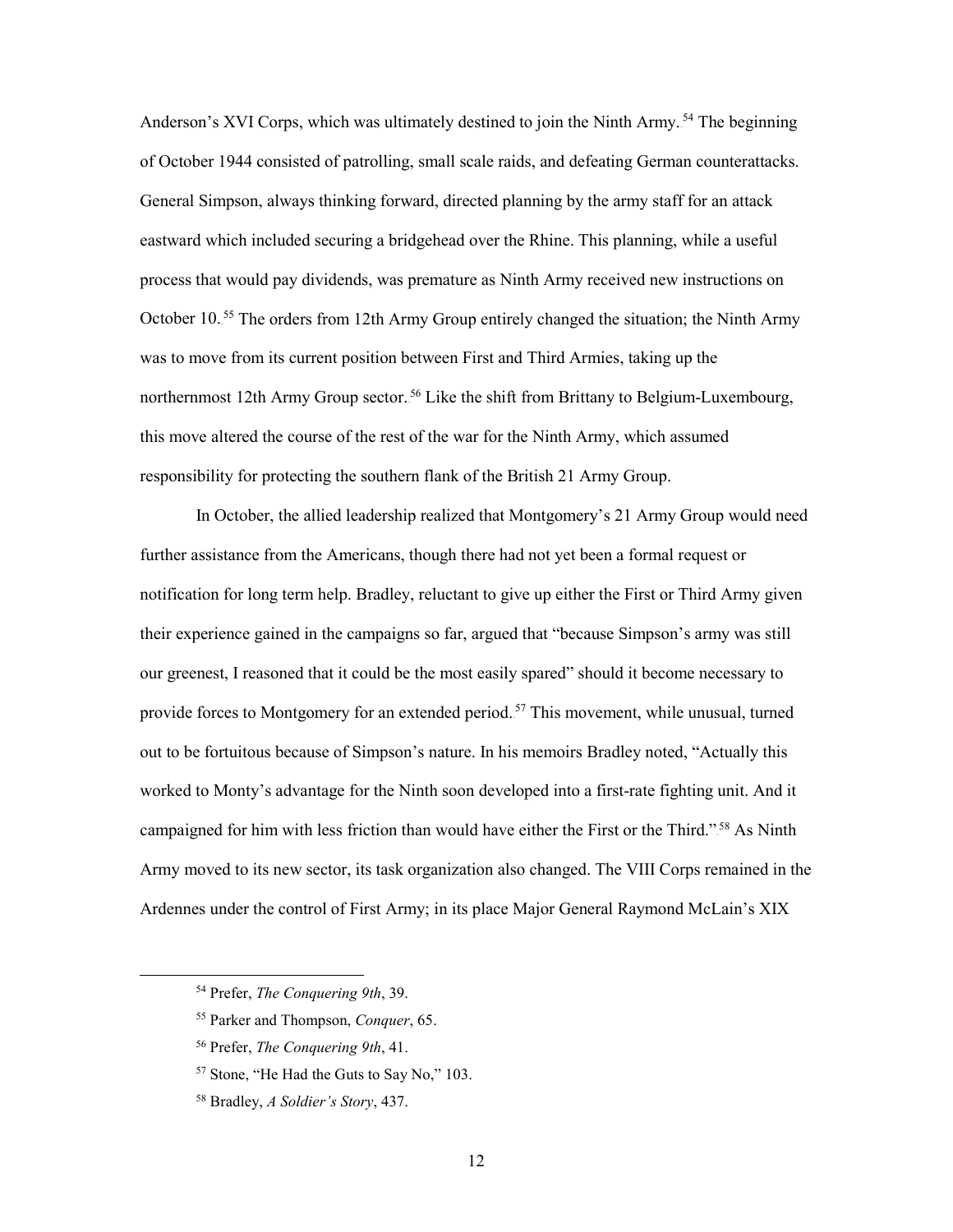eastward which included securing a bridgehead over the Rhine. This planning, while a useful this move altered the course of the rest of the war for the Ninth Army, which assumed Anderson's XVI Corps, which was ultimately destined to join the Ninth Army.<sup>54</sup> The beginning of October 1944 consisted of patrolling, small scale raids, and defeating German counterattacks. General Simpson, always thinking forward, directed planning by the army staff for an attack process that would pay dividends, was premature as Ninth Army received new instructions on October 10.<sup>55</sup> The orders from 12th Army Group entirely changed the situation; the Ninth Army was to move from its current position between First and Third Armies, taking up the northernmost 12th Army Group sector.<sup>56</sup> Like the shift from Brittany to Belgium-Luxembourg, responsibility for protecting the southern flank of the British 21 Army Group.

 further assistance from the Americans, though there had not yet been a formal request or notification for long term help. Bradley, reluctant to give up either the First or Third Army given their experience gained in the campaigns so far, argued that "because Simpson's army was still provide forces to Montgomery for an extended period.<sup>57</sup> This movement, while unusual, turned worked to Monty's advantage for the Ninth soon developed into a first-rate fighting unit. And it campaigned for him with less friction than would have either the First or the Third."<sup>58</sup> As Ninth Army moved to its new sector, its task organization also changed. The VIII Corps remained in the Ardennes under the control of First Army; in its place Major General Raymond McLain's XIX In October, the allied leadership realized that Montgomery's 21 Army Group would need our greenest, I reasoned that it could be the most easily spared" should it become necessary to out to be fortuitous because of Simpson's nature. In his memoirs Bradley noted, "Actually this

-

<sup>54</sup> Prefer, *The Conquering 9th*, 39.

<sup>55</sup> Parker and Thompson, *Conquer*, 65.

<sup>56</sup> Prefer, *The Conquering 9th*, 41.

<sup>57</sup> Stone, "He Had the Guts to Say No," 103.

<sup>58</sup> Bradley, *A Soldier's Story*, 437.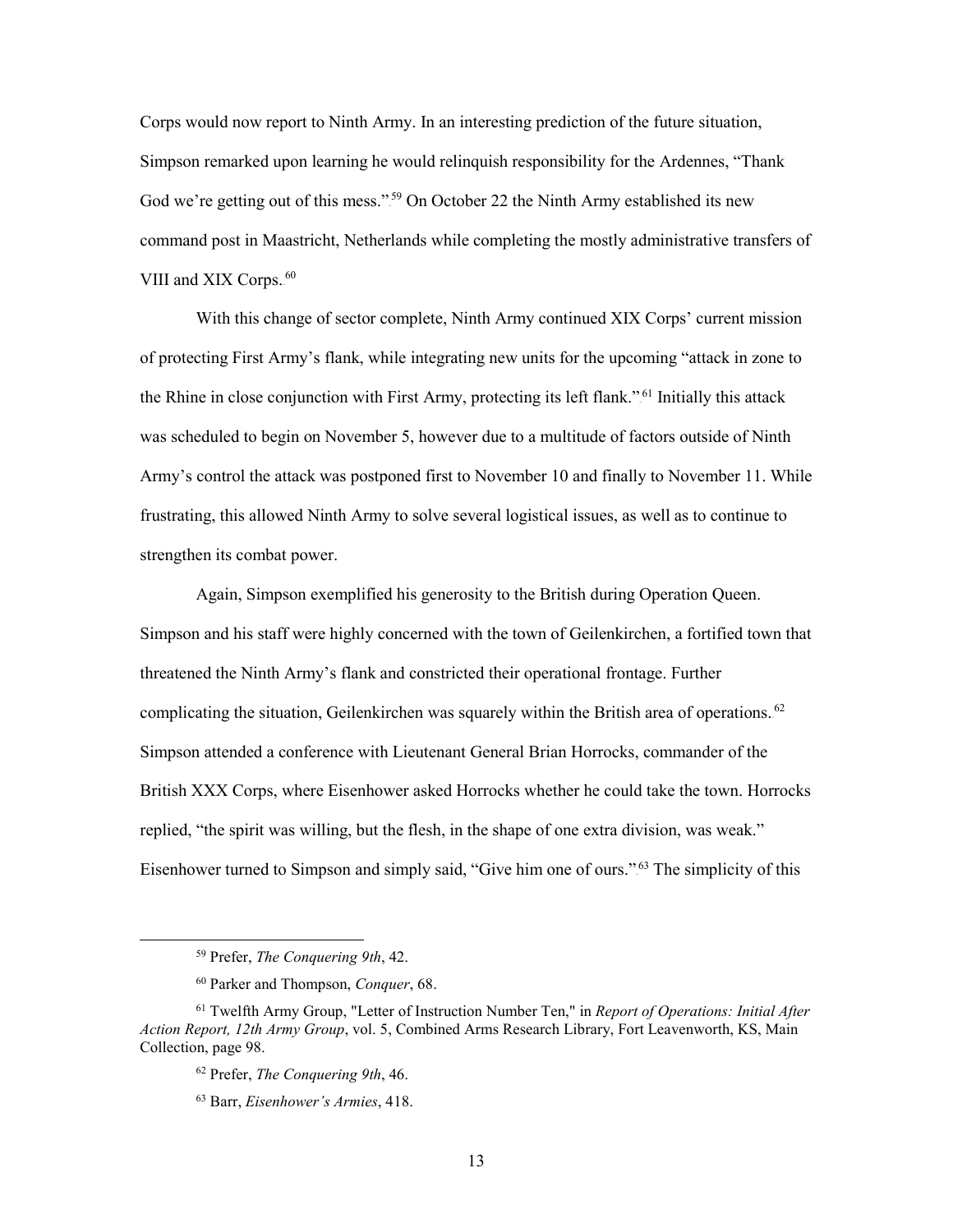God we're getting out of this mess."<sup>59</sup> On October 22 the Ninth Army established its new VIII and XIX Corps.<sup>60</sup> Corps would now report to Ninth Army. In an interesting prediction of the future situation, Simpson remarked upon learning he would relinquish responsibility for the Ardennes, "Thank command post in Maastricht, Netherlands while completing the mostly administrative transfers of

 With this change of sector complete, Ninth Army continued XIX Corps' current mission of protecting First Army's flank, while integrating new units for the upcoming "attack in zone to the Rhine in close conjunction with First Army, protecting its left flank."<sup>61</sup> Initially this attack frustrating, this allowed Ninth Army to solve several logistical issues, as well as to continue to was scheduled to begin on November 5, however due to a multitude of factors outside of Ninth Army's control the attack was postponed first to November 10 and finally to November 11. While strengthen its combat power.

Eisenhower turned to Simpson and simply said, "Give him one of ours."<sup>63</sup> The simplicity of this Again, Simpson exemplified his generosity to the British during Operation Queen. Simpson and his staff were highly concerned with the town of Geilenkirchen, a fortified town that threatened the Ninth Army's flank and constricted their operational frontage. Further complicating the situation, Geilenkirchen was squarely within the British area of operations.<sup>62</sup> Simpson attended a conference with Lieutenant General Brian Horrocks, commander of the British XXX Corps, where Eisenhower asked Horrocks whether he could take the town. Horrocks replied, "the spirit was willing, but the flesh, in the shape of one extra division, was weak."

<sup>59</sup> Prefer, *The Conquering 9th*, 42.

<sup>60</sup> Parker and Thompson, *Conquer*, 68.

<sup>61</sup> Twelfth Army Group, "Letter of Instruction Number Ten," in *Report of Operations: Initial After Action Report, 12th Army Group*, vol. 5, Combined Arms Research Library, Fort Leavenworth, KS, Main Collection, page 98.

<sup>62</sup> Prefer, *The Conquering 9th*, 46.

<sup>63</sup> Barr, *Eisenhower's Armies*, 418.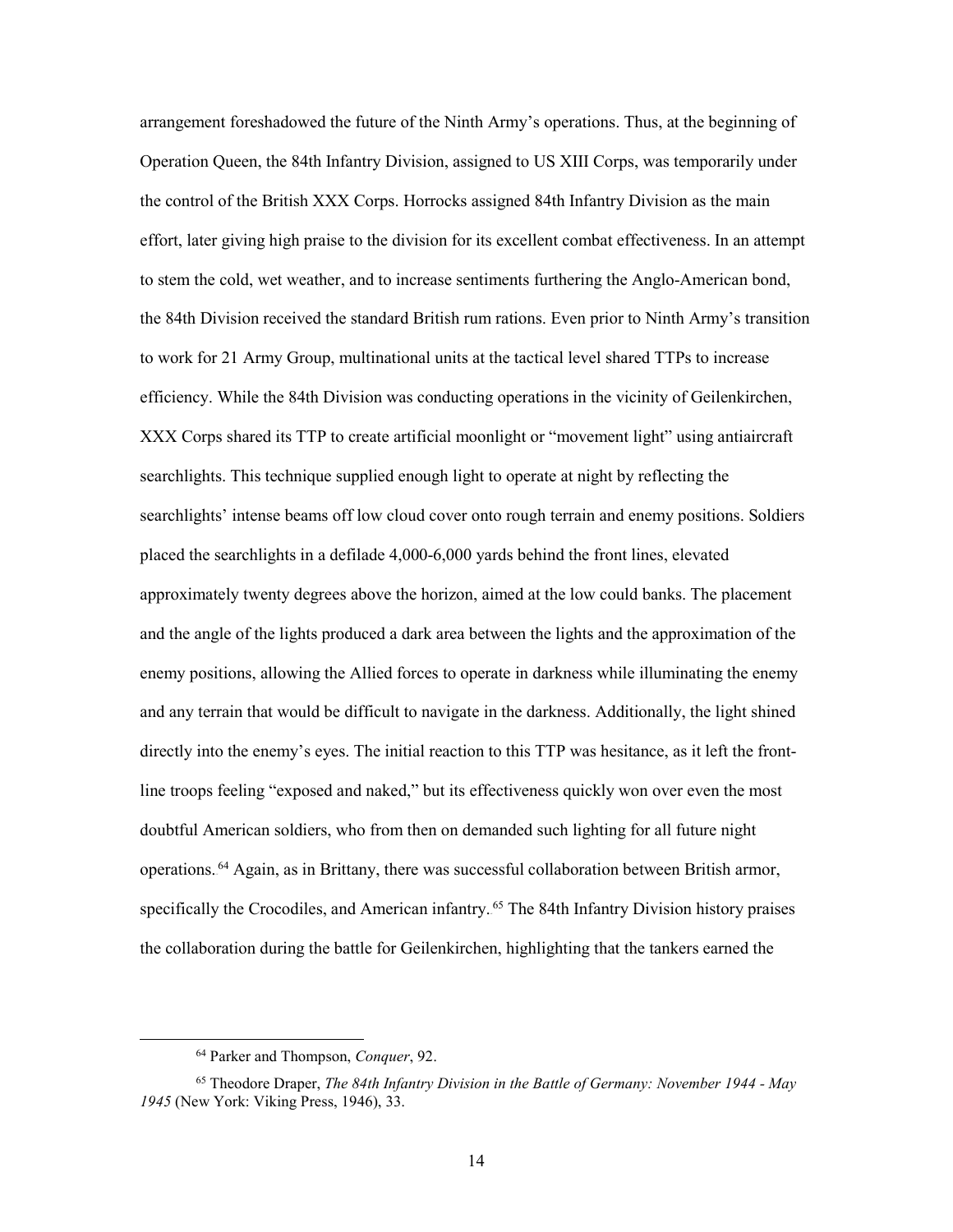arrangement foreshadowed the future of the Ninth Army's operations. Thus, at the beginning of the control of the British XXX Corps. Horrocks assigned 84th Infantry Division as the main effort, later giving high praise to the division for its excellent combat effectiveness. In an attempt to work for 21 Army Group, multinational units at the tactical level shared TTPs to increase approximately twenty degrees above the horizon, aimed at the low could banks. The placement and any terrain that would be difficult to navigate in the darkness. Additionally, the light shined directly into the enemy's eyes. The initial reaction to this TTP was hesitance, as it left the front- line troops feeling "exposed and naked," but its effectiveness quickly won over even the most doubtful American soldiers, who from then on demanded such lighting for all future night Operation Queen, the 84th Infantry Division, assigned to US XIII Corps, was temporarily under to stem the cold, wet weather, and to increase sentiments furthering the Anglo-American bond, the 84th Division received the standard British rum rations. Even prior to Ninth Army's transition efficiency. While the 84th Division was conducting operations in the vicinity of Geilenkirchen, XXX Corps shared its TTP to create artificial moonlight or "movement light" using antiaircraft searchlights. This technique supplied enough light to operate at night by reflecting the searchlights' intense beams off low cloud cover onto rough terrain and enemy positions. Soldiers placed the searchlights in a defilade 4,000-6,000 yards behind the front lines, elevated and the angle of the lights produced a dark area between the lights and the approximation of the enemy positions, allowing the Allied forces to operate in darkness while illuminating the enemy operations.<sup>64</sup> Again, as in Brittany, there was successful collaboration between British armor, specifically the Crocodiles, and American infantry.<sup>65</sup> The 84th Infantry Division history praises the collaboration during the battle for Geilenkirchen, highlighting that the tankers earned the

<sup>64</sup> Parker and Thompson, *Conquer*, 92.

<sup>65</sup> Theodore Draper, *The 84th Infantry Division in the Battle of Germany: November 1944 - May 1945* (New York: Viking Press, 1946), 33.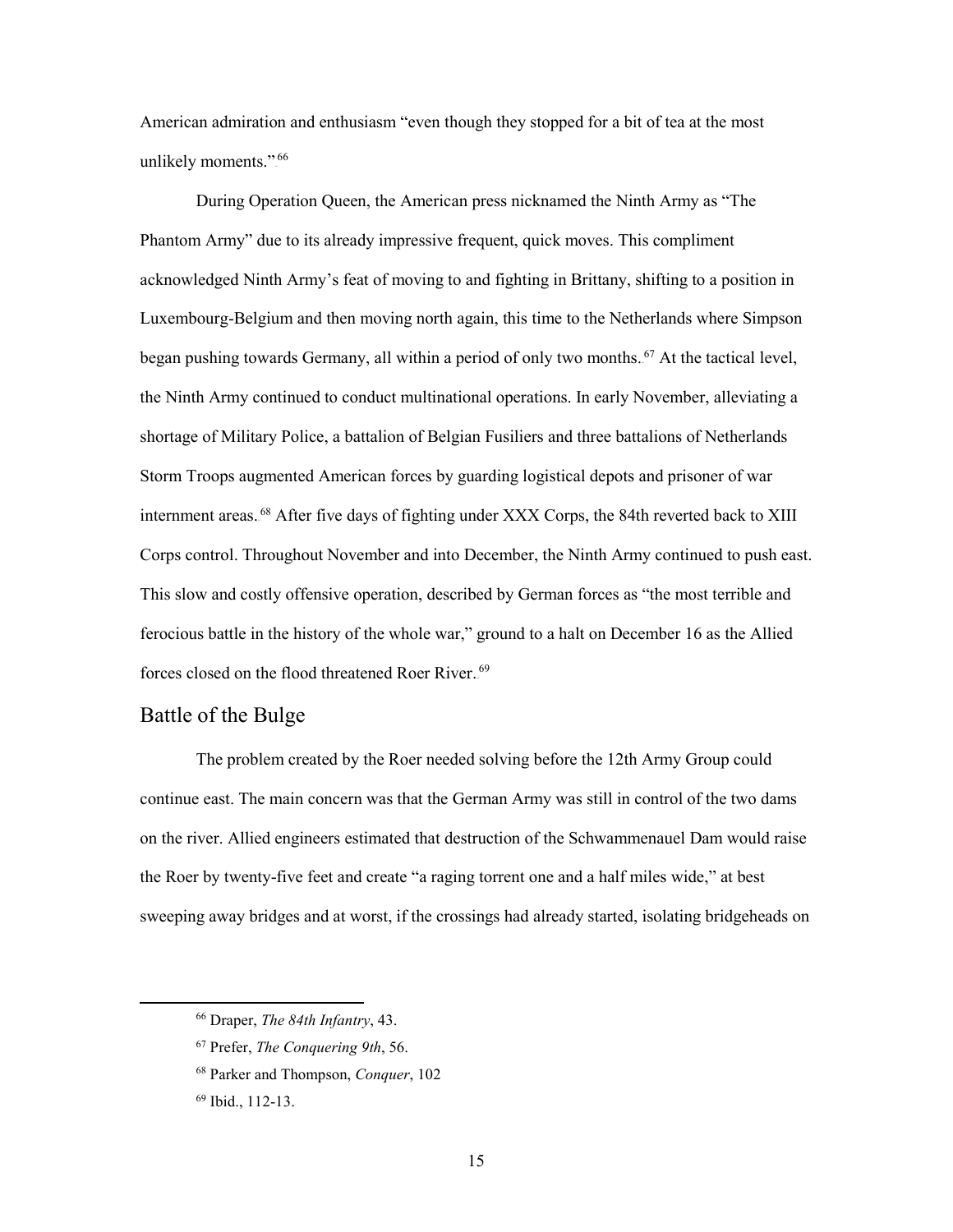American admiration and enthusiasm "even though they stopped for a bit of tea at the most unlikely moments.".<sup>66</sup>

 Phantom Army" due to its already impressive frequent, quick moves. This compliment Luxembourg-Belgium and then moving north again, this time to the Netherlands where Simpson began pushing towards Germany, all within a period of only two months.<sup>67</sup> At the tactical level, Corps control. Throughout November and into December, the Ninth Army continued to push east. forces closed on the flood threatened Roer River.<sup>69</sup> During Operation Queen, the American press nicknamed the Ninth Army as "The acknowledged Ninth Army's feat of moving to and fighting in Brittany, shifting to a position in the Ninth Army continued to conduct multinational operations. In early November, alleviating a shortage of Military Police, a battalion of Belgian Fusiliers and three battalions of Netherlands Storm Troops augmented American forces by guarding logistical depots and prisoner of war internment areas.<sup>68</sup> After five days of fighting under XXX Corps, the 84th reverted back to XIII This slow and costly offensive operation, described by German forces as "the most terrible and ferocious battle in the history of the whole war," ground to a halt on December 16 as the Allied

#### <span id="page-21-0"></span>Battle of the Bulge

 The problem created by the Roer needed solving before the 12th Army Group could continue east. The main concern was that the German Army was still in control of the two dams on the river. Allied engineers estimated that destruction of the Schwammenauel Dam would raise the Roer by twenty-five feet and create "a raging torrent one and a half miles wide," at best sweeping away bridges and at worst, if the crossings had already started, isolating bridgeheads on

<sup>66</sup> Draper, *The 84th Infantry*, 43.

<sup>67</sup> Prefer, *The Conquering 9th*, 56.

<sup>68</sup> Parker and Thompson, *Conquer*, 102

<sup>69</sup> Ibid., 112-13.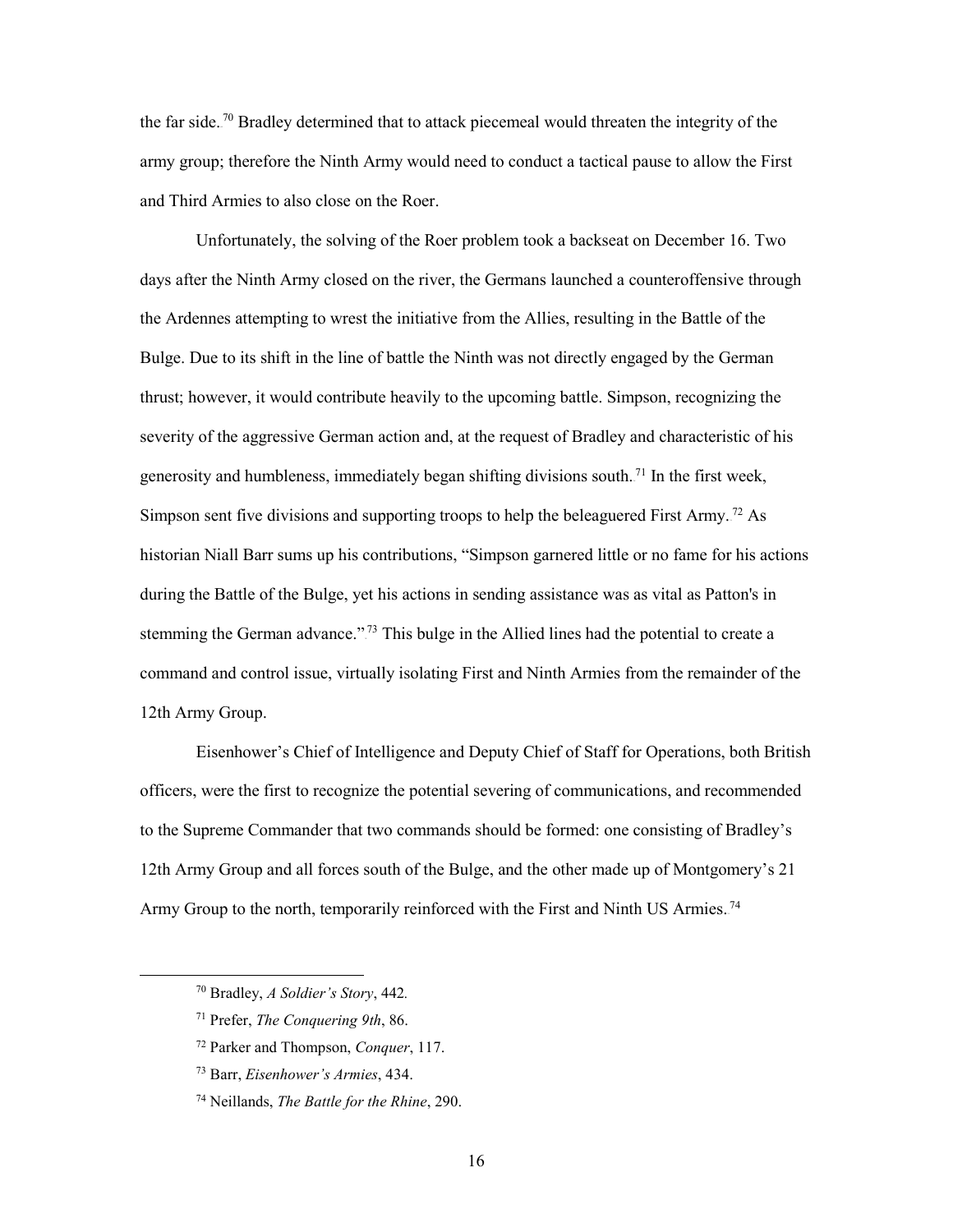the far side.<sup>70</sup> Bradley determined that to attack piecemeal would threaten the integrity of the army group; therefore the Ninth Army would need to conduct a tactical pause to allow the First and Third Armies to also close on the Roer.

 Unfortunately, the solving of the Roer problem took a backseat on December 16. Two days after the Ninth Army closed on the river, the Germans launched a counteroffensive through the Ardennes attempting to wrest the initiative from the Allies, resulting in the Battle of the thrust; however, it would contribute heavily to the upcoming battle. Simpson, recognizing the historian Niall Barr sums up his contributions, "Simpson garnered little or no fame for his actions stemming the German advance."<sup>73</sup> This bulge in the Allied lines had the potential to create a 12th Army Group. Bulge. Due to its shift in the line of battle the Ninth was not directly engaged by the German severity of the aggressive German action and, at the request of Bradley and characteristic of his generosity and humbleness, immediately began shifting divisions south.<sup>71</sup> In the first week, Simpson sent five divisions and supporting troops to help the beleaguered First Army.<sup>72</sup> As during the Battle of the Bulge, yet his actions in sending assistance was as vital as Patton's in command and control issue, virtually isolating First and Ninth Armies from the remainder of the

 officers, were the first to recognize the potential severing of communications, and recommended Eisenhower's Chief of Intelligence and Deputy Chief of Staff for Operations, both British to the Supreme Commander that two commands should be formed: one consisting of Bradley's 12th Army Group and all forces south of the Bulge, and the other made up of Montgomery's 21 Army Group to the north, temporarily reinforced with the First and Ninth US Armies.<sup>74</sup>

-

<sup>70</sup> Bradley, *A Soldier's Story*, 442*.* 

<sup>71</sup> Prefer, *The Conquering 9th*, 86.

<sup>72</sup> Parker and Thompson, *Conquer*, 117.

<sup>73</sup> Barr, *Eisenhower's Armies*, 434.

<sup>74</sup> Neillands, *The Battle for the Rhine*, 290.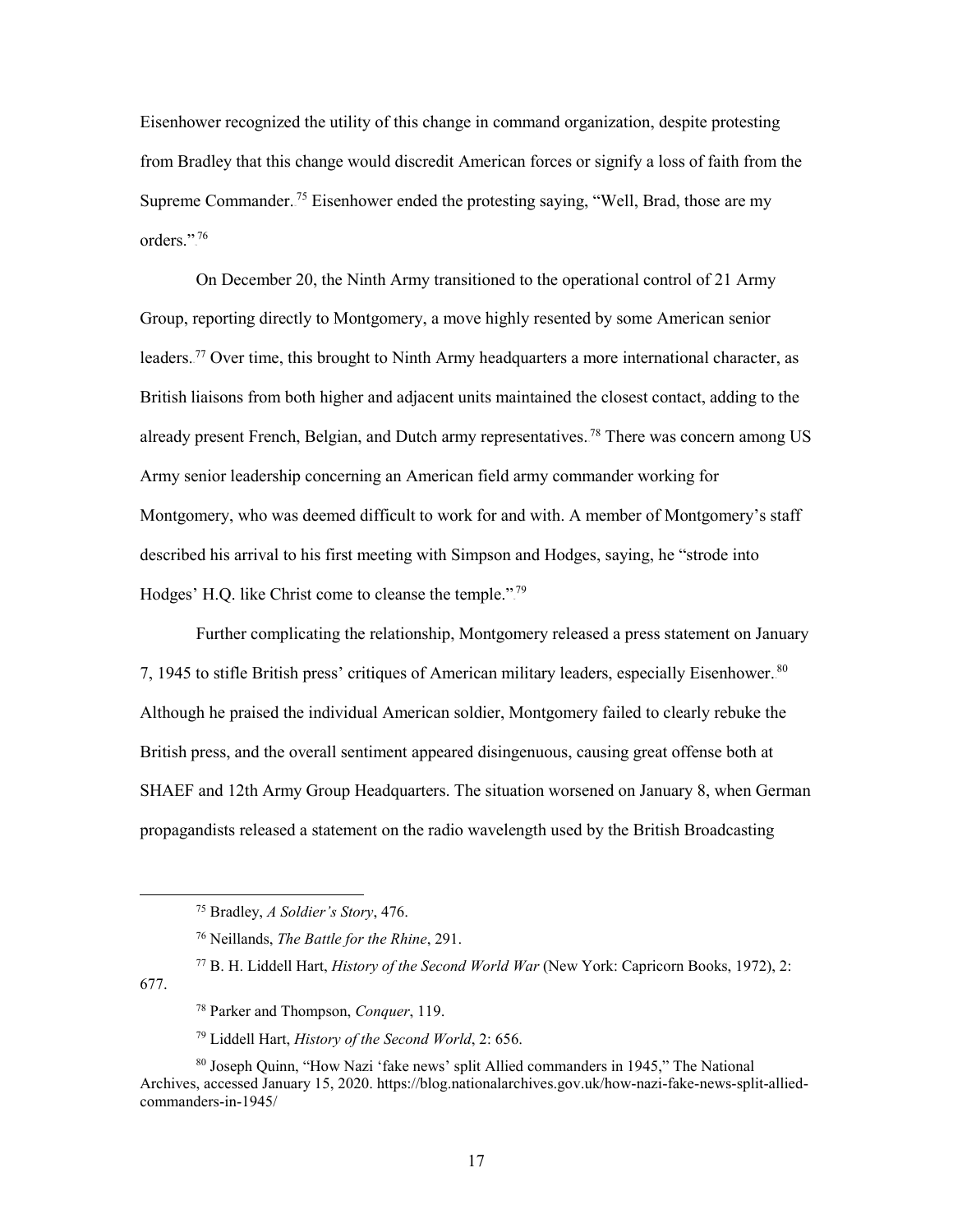from Bradley that this change would discredit American forces or signify a loss of faith from the orders."<sup>76</sup> Eisenhower recognized the utility of this change in command organization, despite protesting Supreme Commander.<sup>75</sup> Eisenhower ended the protesting saying, "Well, Brad, those are my

leaders.<sup>77</sup> Over time, this brought to Ninth Army headquarters a more international character, as British liaisons from both higher and adjacent units maintained the closest contact, adding to the Montgomery, who was deemed difficult to work for and with. A member of Montgomery's staff Hodges' H.Q. like Christ come to cleanse the temple.".<sup>79</sup> On December 20, the Ninth Army transitioned to the operational control of 21 Army Group, reporting directly to Montgomery, a move highly resented by some American senior already present French, Belgian, and Dutch army representatives.<sup>78</sup> There was concern among US Army senior leadership concerning an American field army commander working for described his arrival to his first meeting with Simpson and Hodges, saying, he "strode into

 Further complicating the relationship, Montgomery released a press statement on January 7, 1945 to stifle British press' critiques of American military leaders, especially Eisenhower.<sup>80</sup> Although he praised the individual American soldier, Montgomery failed to clearly rebuke the British press, and the overall sentiment appeared disingenuous, causing great offense both at SHAEF and 12th Army Group Headquarters. The situation worsened on January 8, when German propagandists released a statement on the radio wavelength used by the British Broadcasting

677.

<sup>75</sup> Bradley, *A Soldier's Story*, 476.

<sup>76</sup> Neillands, *The Battle for the Rhine*, 291.

<sup>77</sup> B. H. Liddell Hart, *History of the Second World War* (New York: Capricorn Books, 1972), 2:

<sup>78</sup> Parker and Thompson, *Conquer*, 119.

<sup>79</sup> Liddell Hart, *History of the Second World*, 2: 656.

 80 Joseph Quinn, "How Nazi 'fake news' split Allied commanders in 1945," The National Archives, accessed January 15, 2020.<https://blog.nationalarchives.gov.uk/how-nazi-fake-news-split-allied>commanders-in-1945/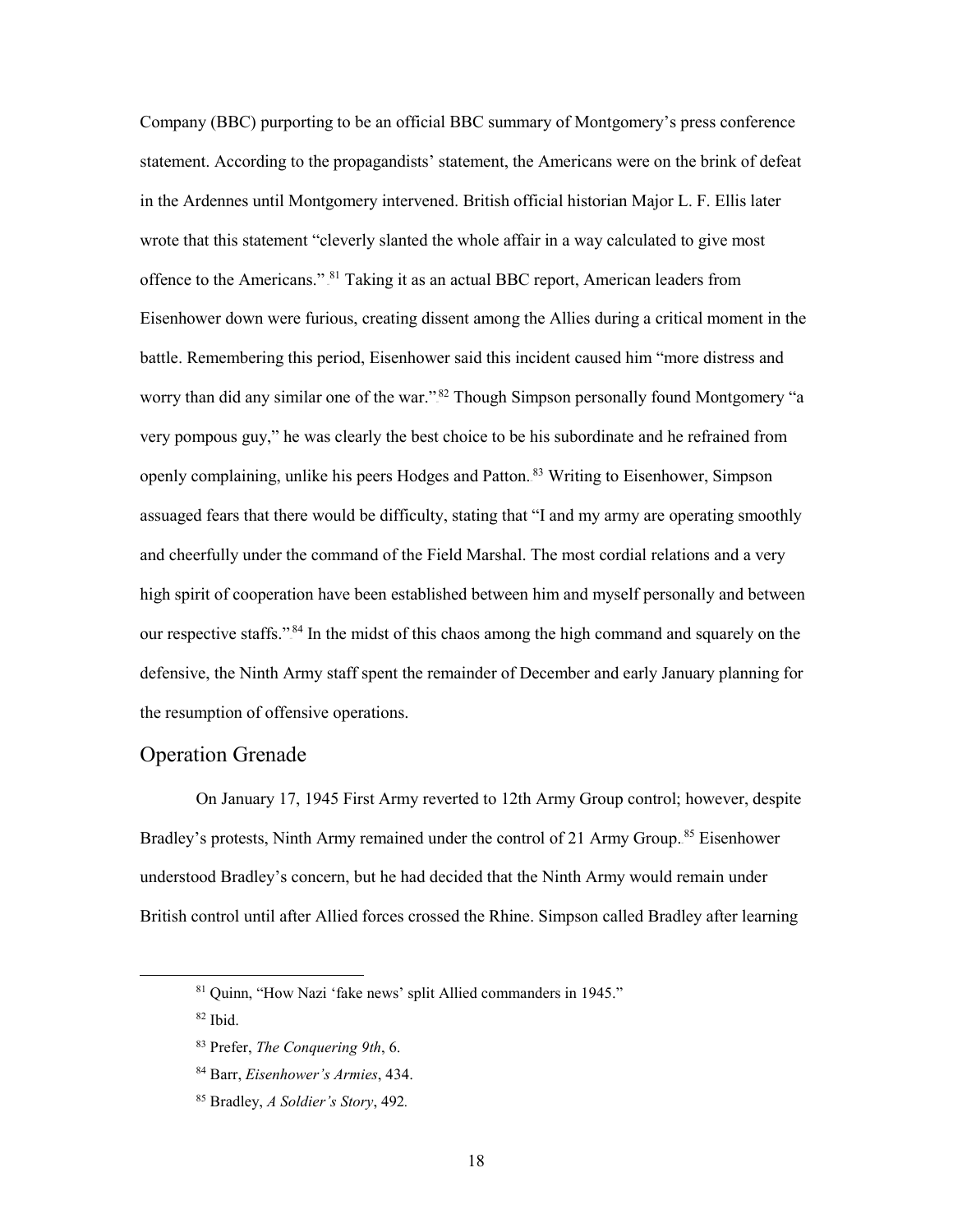statement. According to the propagandists' statement, the Americans were on the brink of defeat in the Ardennes until Montgomery intervened. British official historian Major L. F. Ellis later offence to the Americans." <sup>81</sup> Taking it as an actual BBC report, American leaders from Eisenhower down were furious, creating dissent among the Allies during a critical moment in the worry than did any similar one of the war."<sup>82</sup> Though Simpson personally found Montgomery "a very pompous guy," he was clearly the best choice to be his subordinate and he refrained from assuaged fears that there would be difficulty, stating that "I and my army are operating smoothly our respective staffs."<sup>84</sup> In the midst of this chaos among the high command and squarely on the Company (BBC) purporting to be an official BBC summary of Montgomery's press conference wrote that this statement "cleverly slanted the whole affair in a way calculated to give most battle. Remembering this period, Eisenhower said this incident caused him "more distress and openly complaining, unlike his peers Hodges and Patton.<sup>83</sup> Writing to Eisenhower, Simpson and cheerfully under the command of the Field Marshal. The most cordial relations and a very high spirit of cooperation have been established between him and myself personally and between defensive, the Ninth Army staff spent the remainder of December and early January planning for the resumption of offensive operations.

#### <span id="page-24-0"></span>Operation Grenade

 On January 17, 1945 First Army reverted to 12th Army Group control; however, despite Bradley's protests, Ninth Army remained under the control of 21 Army Group.<sup>85</sup> Eisenhower British control until after Allied forces crossed the Rhine. Simpson called Bradley after learning understood Bradley's concern, but he had decided that the Ninth Army would remain under

82 Ibid.

 $\ddot{\phantom{a}}$ 

 81 Quinn, "How Nazi 'fake news' split Allied commanders in 1945."

<sup>83</sup> Prefer, *The Conquering 9th*, 6.

<sup>84</sup> Barr, *Eisenhower's Armies*, 434.

<sup>85</sup> Bradley, *A Soldier's Story*, 492*.*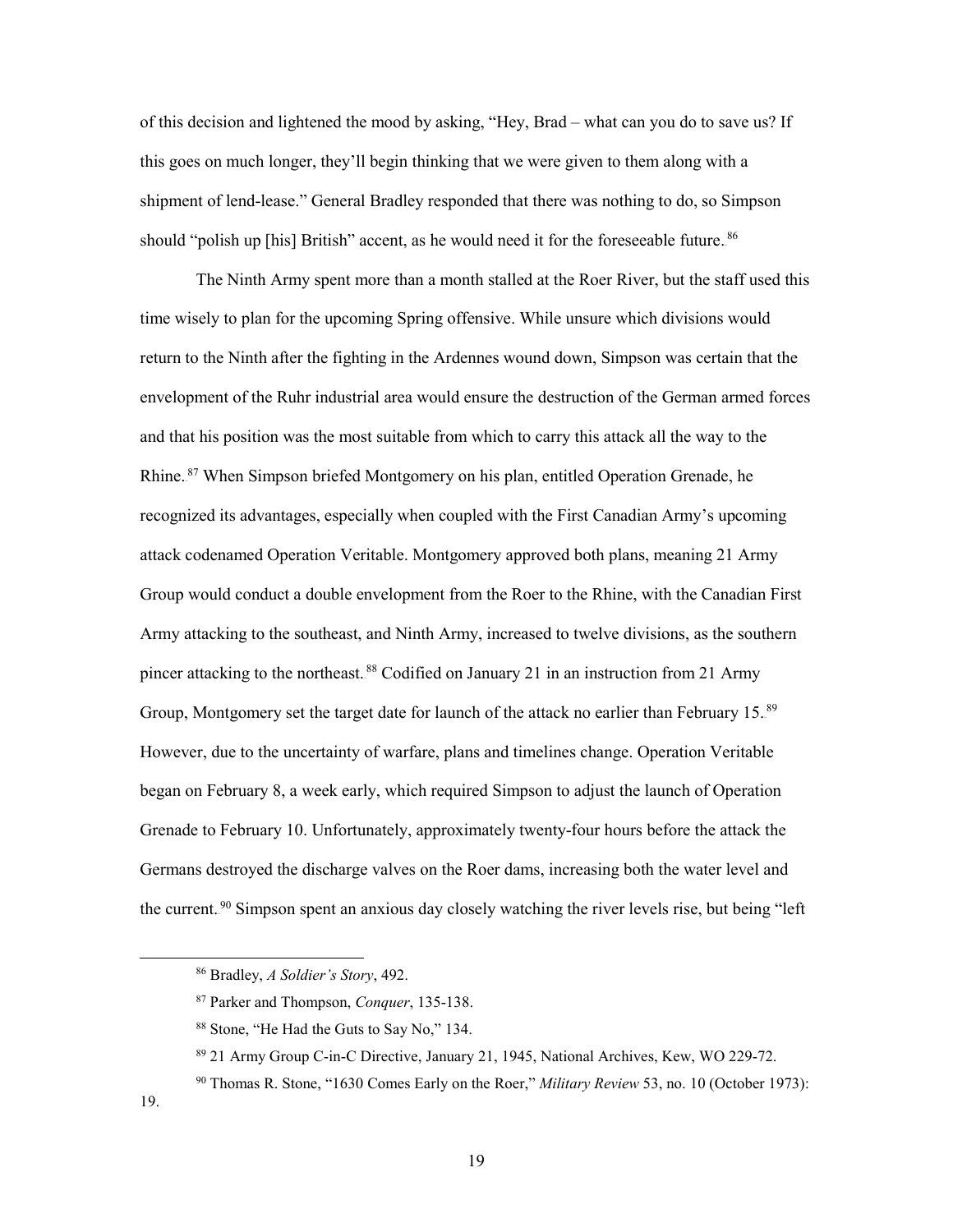of this decision and lightened the mood by asking, "Hey, Brad – what can you do to save us? If shipment of lend-lease." General Bradley responded that there was nothing to do, so Simpson this goes on much longer, they'll begin thinking that we were given to them along with a should "polish up [his] British" accent, as he would need it for the foreseeable future.<sup>86</sup>

 time wisely to plan for the upcoming Spring offensive. While unsure which divisions would return to the Ninth after the fighting in the Ardennes wound down, Simpson was certain that the envelopment of the Ruhr industrial area would ensure the destruction of the German armed forces and that his position was the most suitable from which to carry this attack all the way to the recognized its advantages, especially when coupled with the First Canadian Army's upcoming Group, Montgomery set the target date for launch of the attack no earlier than February 15.<sup>89</sup> began on February 8, a week early, which required Simpson to adjust the launch of Operation Grenade to February 10. Unfortunately, approximately twenty-four hours before the attack the The Ninth Army spent more than a month stalled at the Roer River, but the staff used this Rhine.<sup>87</sup> When Simpson briefed Montgomery on his plan, entitled Operation Grenade, he attack codenamed Operation Veritable. Montgomery approved both plans, meaning 21 Army Group would conduct a double envelopment from the Roer to the Rhine, with the Canadian First Army attacking to the southeast, and Ninth Army, increased to twelve divisions, as the southern pincer attacking to the northeast.<sup>88</sup> Codified on January 21 in an instruction from 21 Army However, due to the uncertainty of warfare, plans and timelines change. Operation Veritable Germans destroyed the discharge valves on the Roer dams, increasing both the water level and the current.<sup>90</sup> Simpson spent an anxious day closely watching the river levels rise, but being "left

<sup>86</sup> Bradley, *A Soldier's Story*, 492.

<sup>87</sup> Parker and Thompson, *Conquer*, 135-138.

<sup>88</sup> Stone, "He Had the Guts to Say No," 134.

<sup>89 21</sup> Army Group C-in-C Directive, January 21, 1945, National Archives, Kew, WO 229-72.

 90 Thomas R. Stone, "1630 Comes Early on the Roer," *Military Review* 53, no. 10 (October 1973):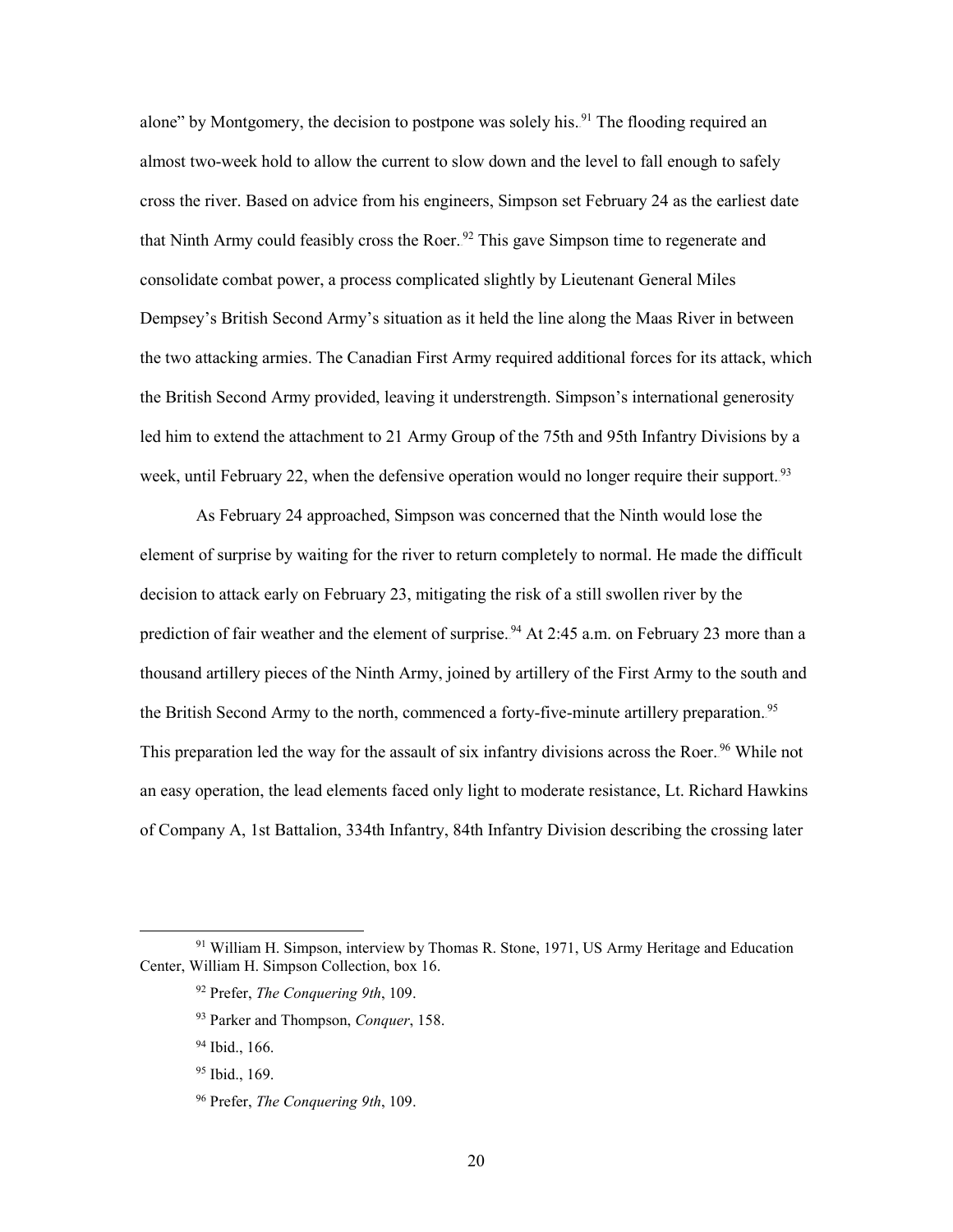almost two-week hold to allow the current to slow down and the level to fall enough to safely Dempsey's British Second Army's situation as it held the line along the Maas River in between week, until February 22, when the defensive operation would no longer require their support.<sup>93</sup> alone" by Montgomery, the decision to postpone was solely his.<sup>91</sup> The flooding required an cross the river. Based on advice from his engineers, Simpson set February 24 as the earliest date that Ninth Army could feasibly cross the Roer.<sup>92</sup> This gave Simpson time to regenerate and consolidate combat power, a process complicated slightly by Lieutenant General Miles the two attacking armies. The Canadian First Army required additional forces for its attack, which the British Second Army provided, leaving it understrength. Simpson's international generosity led him to extend the attachment to 21 Army Group of the 75th and 95th Infantry Divisions by a

 decision to attack early on February 23, mitigating the risk of a still swollen river by the prediction of fair weather and the element of surprise.<sup>94</sup> At 2:45 a.m. on February 23 more than a This preparation led the way for the assault of six infantry divisions across the Roer.<sup>96</sup> While not an easy operation, the lead elements faced only light to moderate resistance, Lt. Richard Hawkins As February 24 approached, Simpson was concerned that the Ninth would lose the element of surprise by waiting for the river to return completely to normal. He made the difficult thousand artillery pieces of the Ninth Army, joined by artillery of the First Army to the south and the British Second Army to the north, commenced a forty-five-minute artillery preparation.<sup>95</sup> of Company A, 1st Battalion, 334th Infantry, 84th Infantry Division describing the crossing later

<sup>&</sup>lt;sup>91</sup> William H. Simpson, interview by Thomas R. Stone, 1971, US Army Heritage and Education Center, William H. Simpson Collection, box 16.

<sup>92</sup> Prefer, *The Conquering 9th*, 109.

<sup>93</sup> Parker and Thompson, *Conquer*, 158.

 94 Ibid., 166.

<sup>&</sup>lt;sup>95</sup> Ibid., 169.

<sup>96</sup> Prefer, *The Conquering 9th*, 109.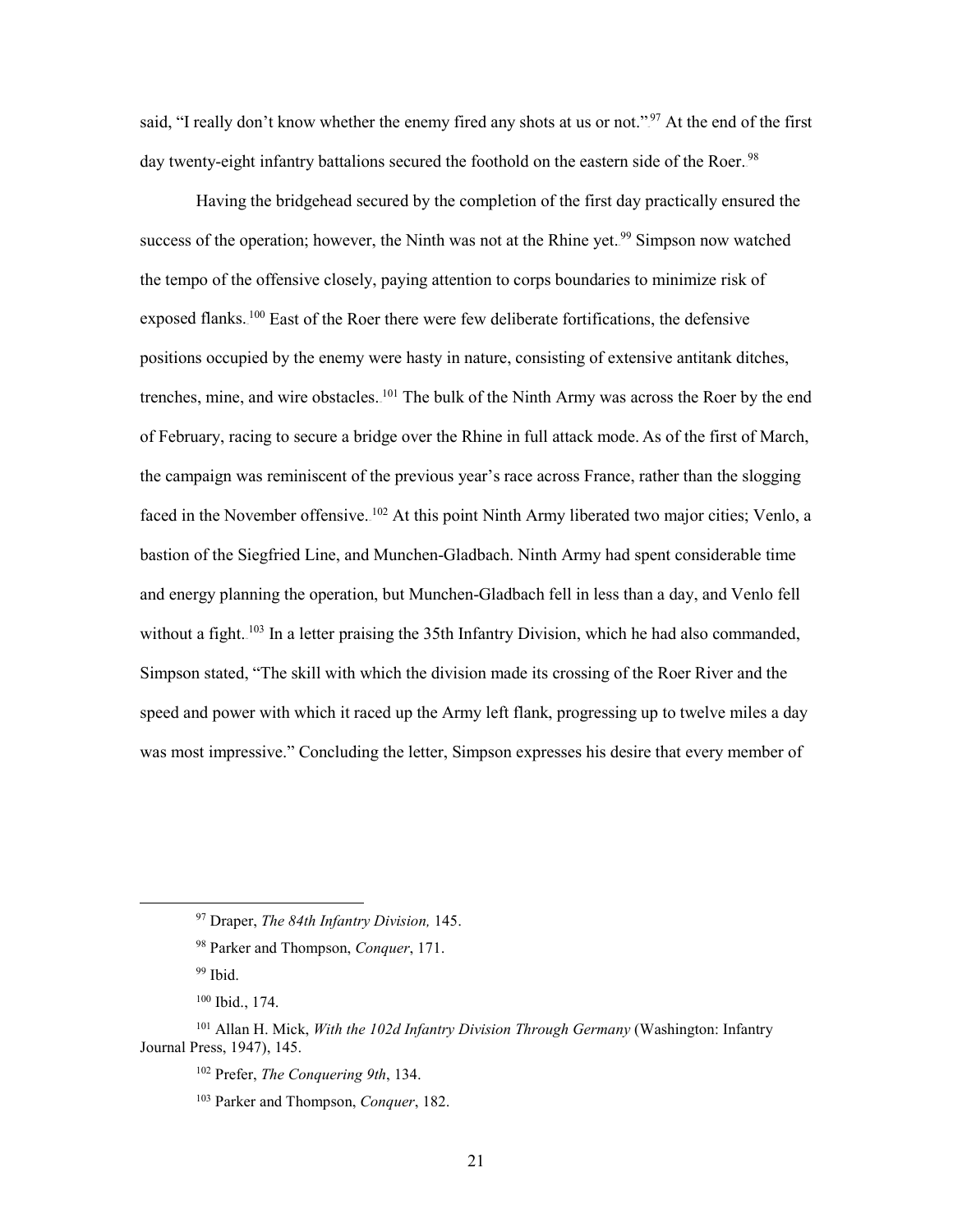said, "I really don't know whether the enemy fired any shots at us or not."<sup>97</sup> At the end of the first day twenty-eight infantry battalions secured the foothold on the eastern side of the Roer.<sup>98</sup>

trenches, mine, and wire obstacles. <sup>101</sup> The bulk of the Ninth Army was across the Roer by the end of February, racing to secure a bridge over the Rhine in full attack mode. As of the first of March, faced in the November offensive. <sup>102</sup> At this point Ninth Army liberated two major cities; Venlo, a Simpson stated, "The skill with which the division made its crossing of the Roer River and the Having the bridgehead secured by the completion of the first day practically ensured the success of the operation; however, the Ninth was not at the Rhine yet.<sup>99</sup> Simpson now watched the tempo of the offensive closely, paying attention to corps boundaries to minimize risk of exposed flanks.<sup>100</sup> East of the Roer there were few deliberate fortifications, the defensive positions occupied by the enemy were hasty in nature, consisting of extensive antitank ditches, the campaign was reminiscent of the previous year's race across France, rather than the slogging bastion of the Siegfried Line, and Munchen-Gladbach. Ninth Army had spent considerable time and energy planning the operation, but Munchen-Gladbach fell in less than a day, and Venlo fell without a fight.<sup>103</sup> In a letter praising the 35th Infantry Division, which he had also commanded, speed and power with which it raced up the Army left flank, progressing up to twelve miles a day was most impressive." Concluding the letter, Simpson expresses his desire that every member of

<sup>97</sup> Draper, *The 84th Infantry Division,* 145.

<sup>98</sup> Parker and Thompson, *Conquer*, 171.

<sup>&</sup>lt;sup>99</sup> Ibid.

 100 Ibid., 174.

<sup>101</sup> Allan H. Mick, *With the 102d Infantry Division Through Germany* (Washington: Infantry Journal Press, 1947), 145.

<sup>102</sup> Prefer, *The Conquering 9th*, 134.

<sup>103</sup> Parker and Thompson, *Conquer*, 182.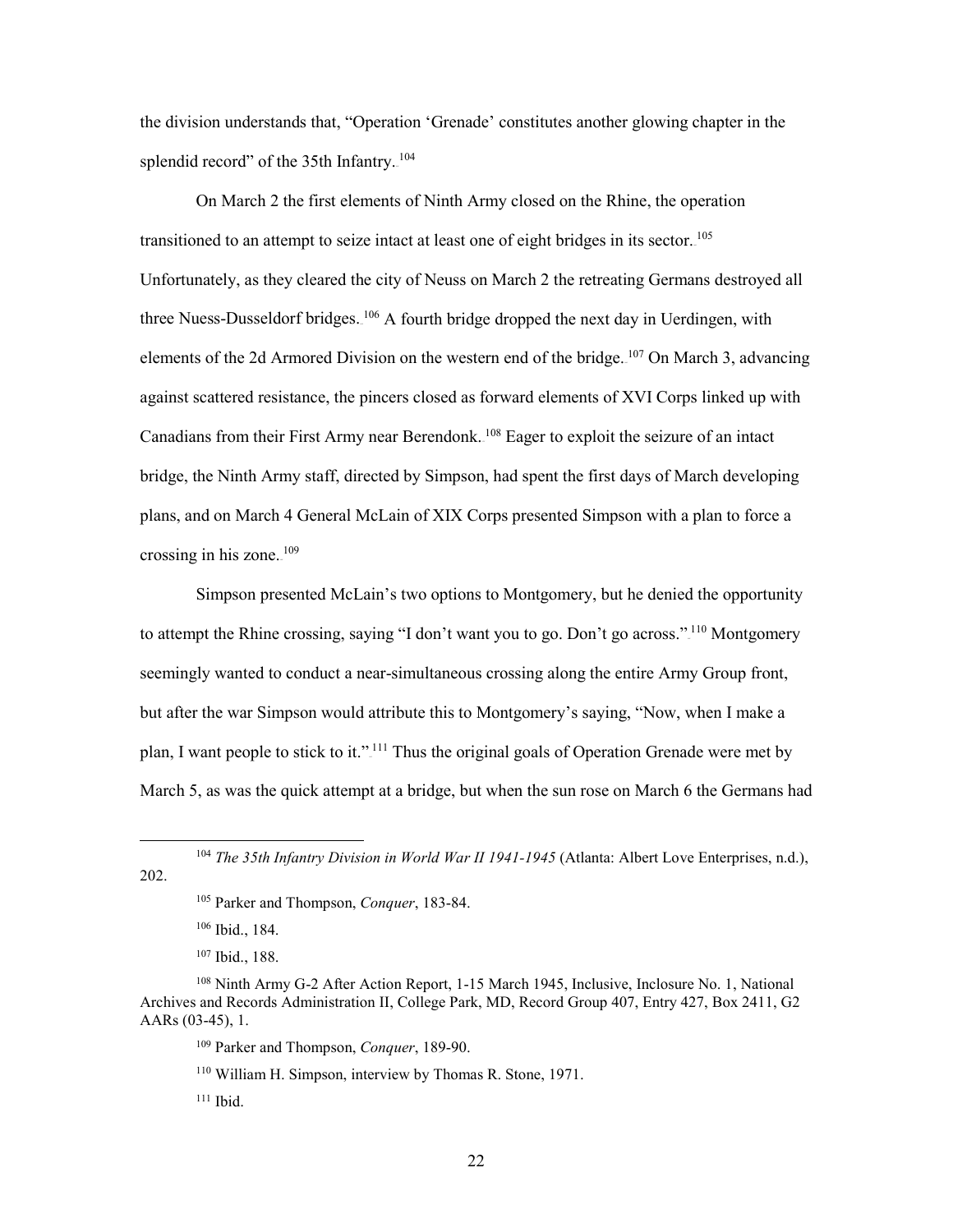the division understands that, "Operation 'Grenade' constitutes another glowing chapter in the splendid record" of the 35th Infantry.<sup>104</sup>

Canadians from their First Army near Berendonk.<sup>108</sup> Eager to exploit the seizure of an intact plans, and on March 4 General McLain of XIX Corps presented Simpson with a plan to force a On March 2 the first elements of Ninth Army closed on the Rhine, the operation transitioned to an attempt to seize intact at least one of eight bridges in its sector. <sup>105</sup> Unfortunately, as they cleared the city of Neuss on March 2 the retreating Germans destroyed all three Nuess-Dusseldorf bridges.<sup>106</sup> A fourth bridge dropped the next day in Uerdingen, with elements of the 2d Armored Division on the western end of the bridge.<sup>107</sup> On March 3, advancing against scattered resistance, the pincers closed as forward elements of XVI Corps linked up with bridge, the Ninth Army staff, directed by Simpson, had spent the first days of March developing crossing in his zone. $109$ 

 Simpson presented McLain's two options to Montgomery, but he denied the opportunity seemingly wanted to conduct a near-simultaneous crossing along the entire Army Group front, but after the war Simpson would attribute this to Montgomery's saying, "Now, when I make a March 5, as was the quick attempt at a bridge, but when the sun rose on March 6 the Germans had to attempt the Rhine crossing, saying "I don't want you to go. Don't go across."<sup>110</sup> Montgomery plan, I want people to stick to it."<sup>111</sup> Thus the original goals of Operation Grenade were met by

-

<sup>&</sup>lt;sup>104</sup> The 35th Infantry Division in World War II 1941-1945 (Atlanta: Albert Love Enterprises, n.d.), 202.

<sup>105</sup> Parker and Thompson, *Conquer*, 183-84.

 106 Ibid., 184.

 107 Ibid., 188.

<sup>108</sup> Ninth Army G-2 After Action Report, 1-15 March 1945, Inclusive, Inclosure No. 1, National Archives and Records Administration II, College Park, MD, Record Group 407, Entry 427, Box 2411, G2 AARs (03-45), 1.

<sup>109</sup> Parker and Thompson, *Conquer*, 189-90.

<sup>110</sup> William H. Simpson, interview by Thomas R. Stone, 1971.

 111 Ibid.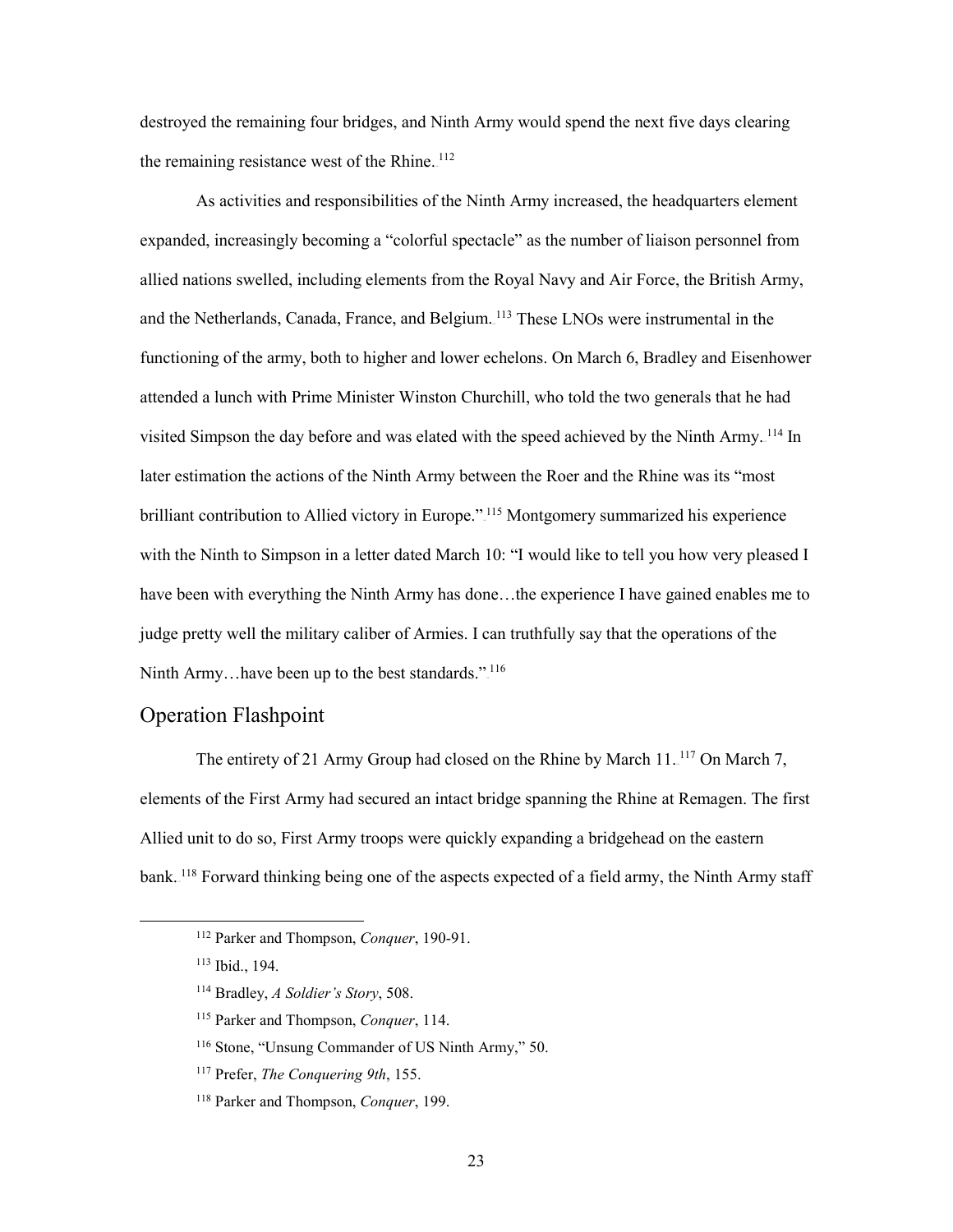the remaining resistance west of the Rhine. $112$ destroyed the remaining four bridges, and Ninth Army would spend the next five days clearing

 functioning of the army, both to higher and lower echelons. On March 6, Bradley and Eisenhower later estimation the actions of the Ninth Army between the Roer and the Rhine was its "most with the Ninth to Simpson in a letter dated March 10: "I would like to tell you how very pleased I judge pretty well the military caliber of Armies. I can truthfully say that the operations of the Ninth Army...have been up to the best standards."<sup>116</sup> As activities and responsibilities of the Ninth Army increased, the headquarters element expanded, increasingly becoming a "colorful spectacle" as the number of liaison personnel from allied nations swelled, including elements from the Royal Navy and Air Force, the British Army, and the Netherlands, Canada, France, and Belgium.<sup>113</sup> These LNOs were instrumental in the attended a lunch with Prime Minister Winston Churchill, who told the two generals that he had visited Simpson the day before and was elated with the speed achieved by the Ninth Army.<sup>114</sup> In brilliant contribution to Allied victory in Europe."<sup>115</sup> Montgomery summarized his experience have been with everything the Ninth Army has done…the experience I have gained enables me to

#### <span id="page-29-0"></span>Operation Flashpoint

bank.<sup>118</sup> Forward thinking being one of the aspects expected of a field army, the Ninth Army staff The entirety of 21 Army Group had closed on the Rhine by March  $11.^{117}$  On March 7, elements of the First Army had secured an intact bridge spanning the Rhine at Remagen. The first Allied unit to do so, First Army troops were quickly expanding a bridgehead on the eastern

<sup>112</sup> Parker and Thompson, *Conquer*, 190-91.

 113 Ibid., 194.

<sup>114</sup> Bradley, *A Soldier's Story*, 508.

<sup>115</sup> Parker and Thompson, *Conquer*, 114.

<sup>116</sup> Stone, "Unsung Commander of US Ninth Army," 50.

<sup>117</sup> Prefer, *The Conquering 9th*, 155.

<sup>118</sup> Parker and Thompson, *Conquer*, 199.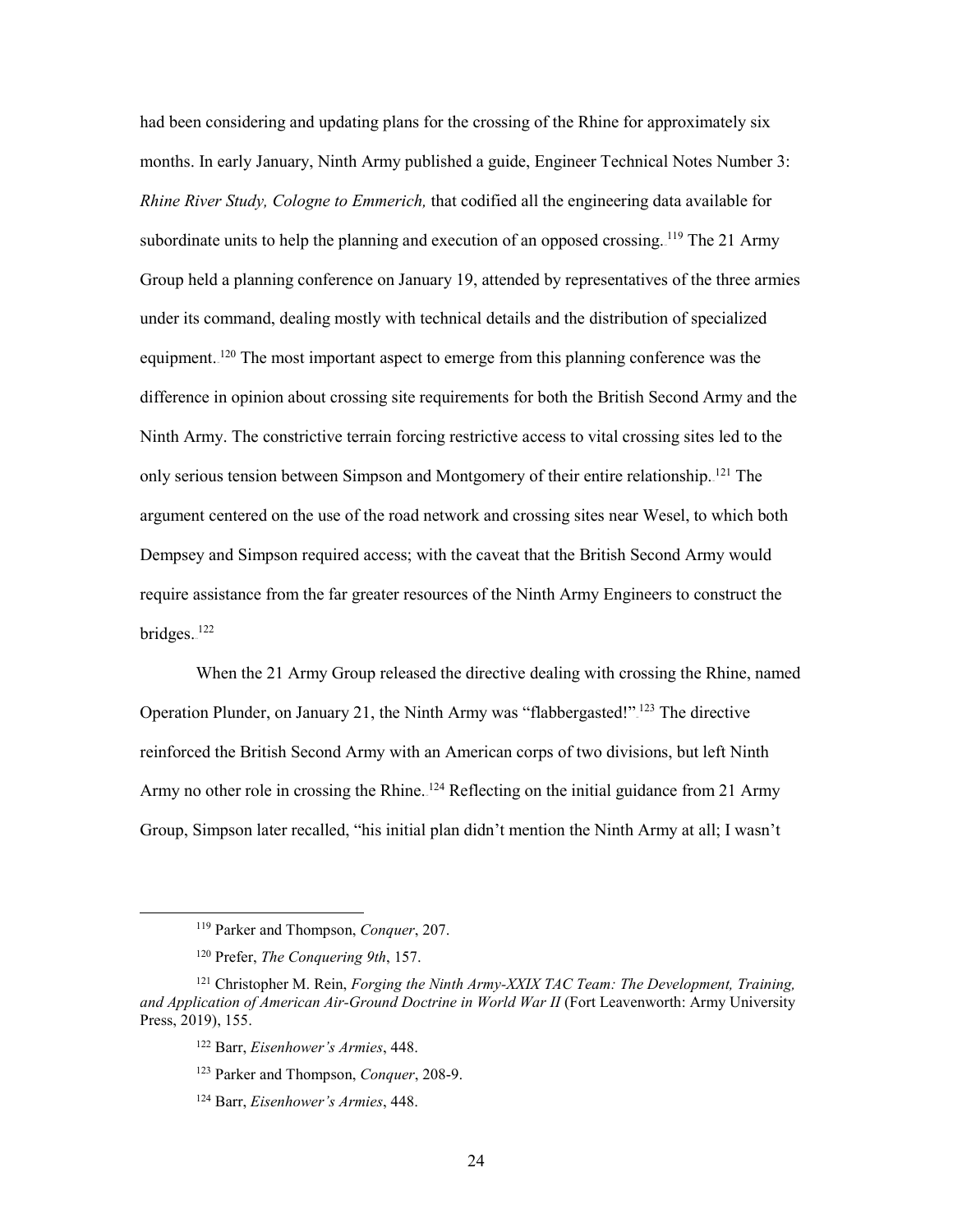*Rhine River Study, Cologne to Emmerich,* that codified all the engineering data available for subordinate units to help the planning and execution of an opposed crossing. <sup>119</sup> The 21 Army difference in opinion about crossing site requirements for both the British Second Army and the argument centered on the use of the road network and crossing sites near Wesel, to which both Dempsey and Simpson required access; with the caveat that the British Second Army would had been considering and updating plans for the crossing of the Rhine for approximately six months. In early January, Ninth Army published a guide, Engineer Technical Notes Number 3: Group held a planning conference on January 19, attended by representatives of the three armies under its command, dealing mostly with technical details and the distribution of specialized equipment.<sup>120</sup> The most important aspect to emerge from this planning conference was the Ninth Army. The constrictive terrain forcing restrictive access to vital crossing sites led to the only serious tension between Simpson and Montgomery of their entire relationship.<sup>121</sup> The require assistance from the far greater resources of the Ninth Army Engineers to construct the bridges.<sup>122</sup>

When the 21 Army Group released the directive dealing with crossing the Rhine, named Operation Plunder, on January 21, the Ninth Army was "flabbergasted!"<sup>123</sup> The directive reinforced the British Second Army with an American corps of two divisions, but left Ninth Army no other role in crossing the Rhine. <sup>124</sup> Reflecting on the initial guidance from 21 Army Group, Simpson later recalled, "his initial plan didn't mention the Ninth Army at all; I wasn't

<sup>119</sup> Parker and Thompson, *Conquer*, 207.

<sup>120</sup> Prefer, *The Conquering 9th*, 157.

<sup>121</sup> Christopher M. Rein, *Forging the Ninth Army-XXIX TAC Team: The Development, Training,*  and Application of American Air-Ground Doctrine in World War II (Fort Leavenworth: Army University Press, 2019), 155.

<sup>122</sup> Barr, *Eisenhower's Armies*, 448.

<sup>123</sup> Parker and Thompson, *Conquer*, 208-9.

<sup>124</sup> Barr, *Eisenhower's Armies*, 448.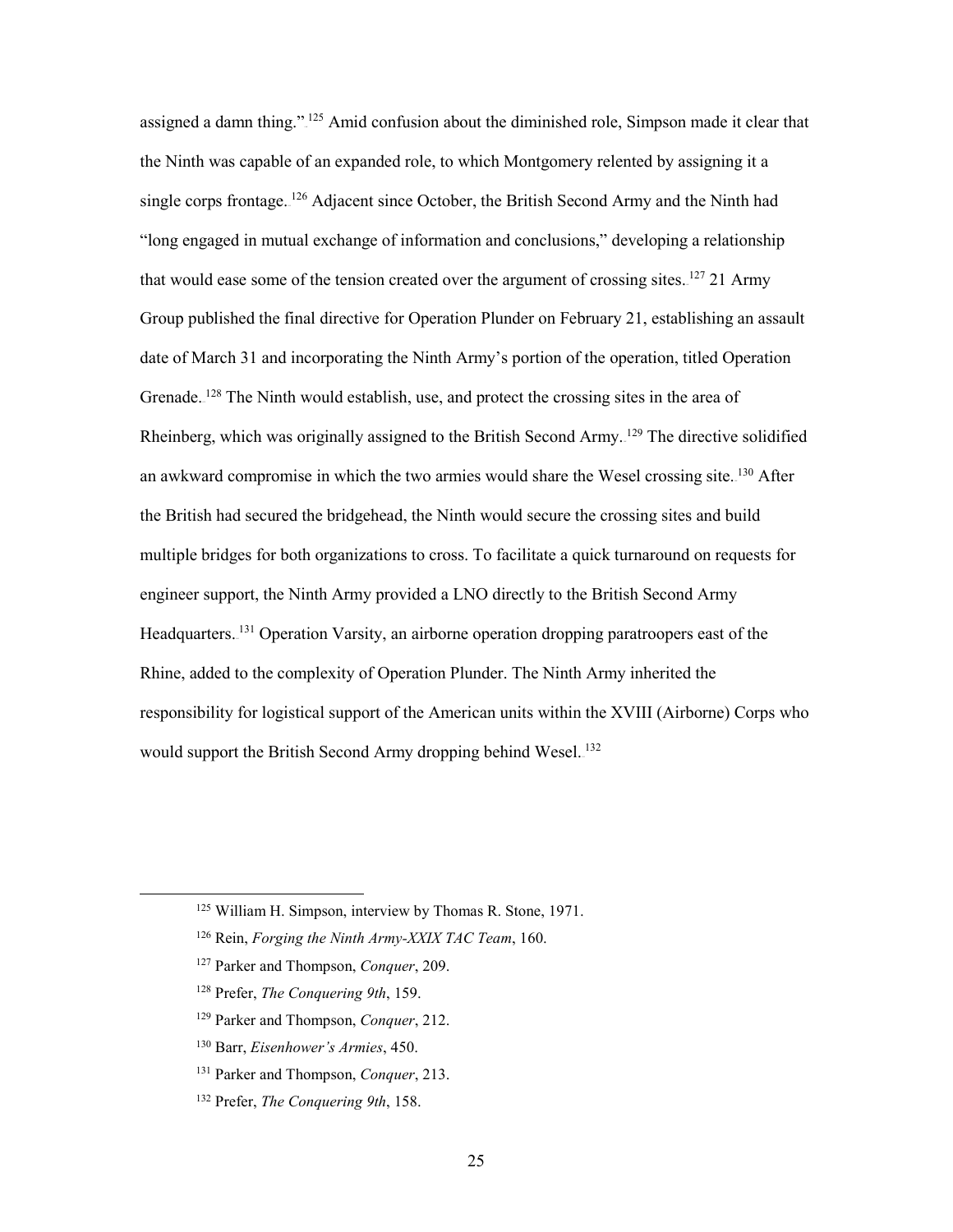assigned a damn thing."<sup>125</sup> Amid confusion about the diminished role, Simpson made it clear that single corps frontage. <sup>126</sup> Adjacent since October, the British Second Army and the Ninth had that would ease some of the tension created over the argument of crossing sites. $127$  21 Army date of March 31 and incorporating the Ninth Army's portion of the operation, titled Operation the British had secured the bridgehead, the Ninth would secure the crossing sites and build engineer support, the Ninth Army provided a LNO directly to the British Second Army Headquarters.<sup>131</sup> Operation Varsity, an airborne operation dropping paratroopers east of the responsibility for logistical support of the American units within the XVIII (Airborne) Corps who the Ninth was capable of an expanded role, to which Montgomery relented by assigning it a "long engaged in mutual exchange of information and conclusions," developing a relationship Group published the final directive for Operation Plunder on February 21, establishing an assault Grenade.<sup>128</sup> The Ninth would establish, use, and protect the crossing sites in the area of Rheinberg, which was originally assigned to the British Second Army.<sup>129</sup> The directive solidified an awkward compromise in which the two armies would share the Wesel crossing site. <sup>130</sup> After multiple bridges for both organizations to cross. To facilitate a quick turnaround on requests for Rhine, added to the complexity of Operation Plunder. The Ninth Army inherited the would support the British Second Army dropping behind Wesel.<sup>132</sup>

- 126 Rein, *Forging the Ninth Army-XXIX TAC Team*, 160.
- 127 Parker and Thompson, *Conquer*, 209.
- 128 Prefer, *The Conquering 9th*, 159.

- 129 Parker and Thompson, *Conquer*, 212.
- 130 Barr, *Eisenhower's Armies*, 450.
- 131 Parker and Thompson, *Conquer*, 213.
- 132 Prefer, *The Conquering 9th*, 158.

<sup>125</sup> William H. Simpson, interview by Thomas R. Stone, 1971.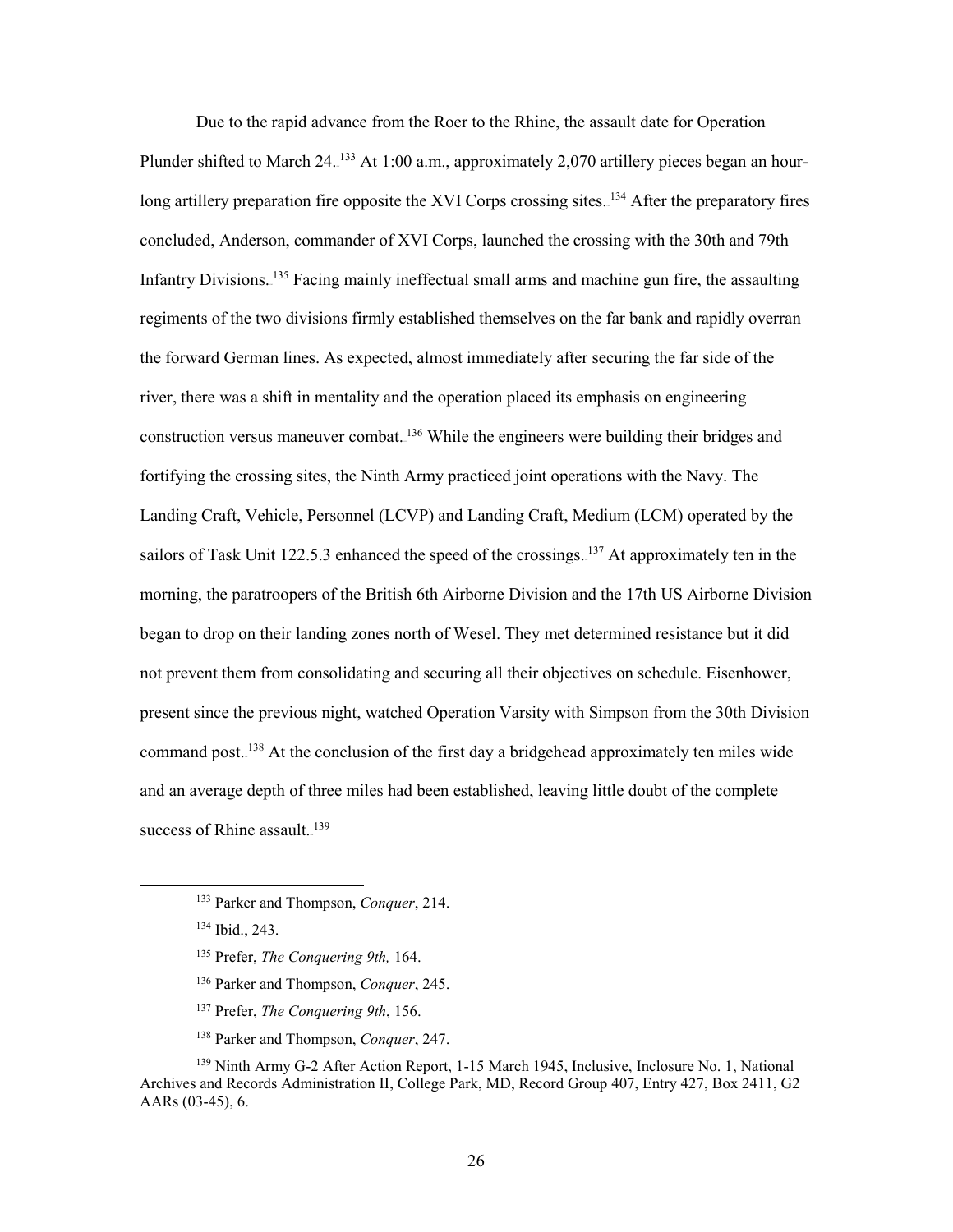long artillery preparation fire opposite the XVI Corps crossing sites.<sup>134</sup> After the preparatory fires concluded, Anderson, commander of XVI Corps, launched the crossing with the 30th and 79th regiments of the two divisions firmly established themselves on the far bank and rapidly overran the forward German lines. As expected, almost immediately after securing the far side of the river, there was a shift in mentality and the operation placed its emphasis on engineering sailors of Task Unit 122.5.3 enhanced the speed of the crossings.  $^{137}$  At approximately ten in the began to drop on their landing zones north of Wesel. They met determined resistance but it did present since the previous night, watched Operation Varsity with Simpson from the 30th Division command post.<sup>138</sup> At the conclusion of the first day a bridgehead approximately ten miles wide Due to the rapid advance from the Roer to the Rhine, the assault date for Operation Plunder shifted to March 24.<sup>133</sup> At 1:00 a.m., approximately 2,070 artillery pieces began an hour-Infantry Divisions.<sup>135</sup> Facing mainly ineffectual small arms and machine gun fire, the assaulting construction versus maneuver combat.<sup>136</sup> While the engineers were building their bridges and fortifying the crossing sites, the Ninth Army practiced joint operations with the Navy. The Landing Craft, Vehicle, Personnel (LCVP) and Landing Craft, Medium (LCM) operated by the morning, the paratroopers of the British 6th Airborne Division and the 17th US Airborne Division not prevent them from consolidating and securing all their objectives on schedule. Eisenhower, and an average depth of three miles had been established, leaving little doubt of the complete success of Rhine assault. $139$ 

- 135 Prefer, *The Conquering 9th,* 164.
- 136 Parker and Thompson, *Conquer*, 245.
- 137 Prefer, *The Conquering 9th*, 156.
- 138 Parker and Thompson, *Conquer*, 247.

<sup>133</sup> Parker and Thompson, *Conquer*, 214.

 134 Ibid., 243.

<sup>139</sup> Ninth Army G-2 After Action Report, 1-15 March 1945, Inclusive, Inclosure No. 1, National Archives and Records Administration II, College Park, MD, Record Group 407, Entry 427, Box 2411, G2 AARs (03-45), 6.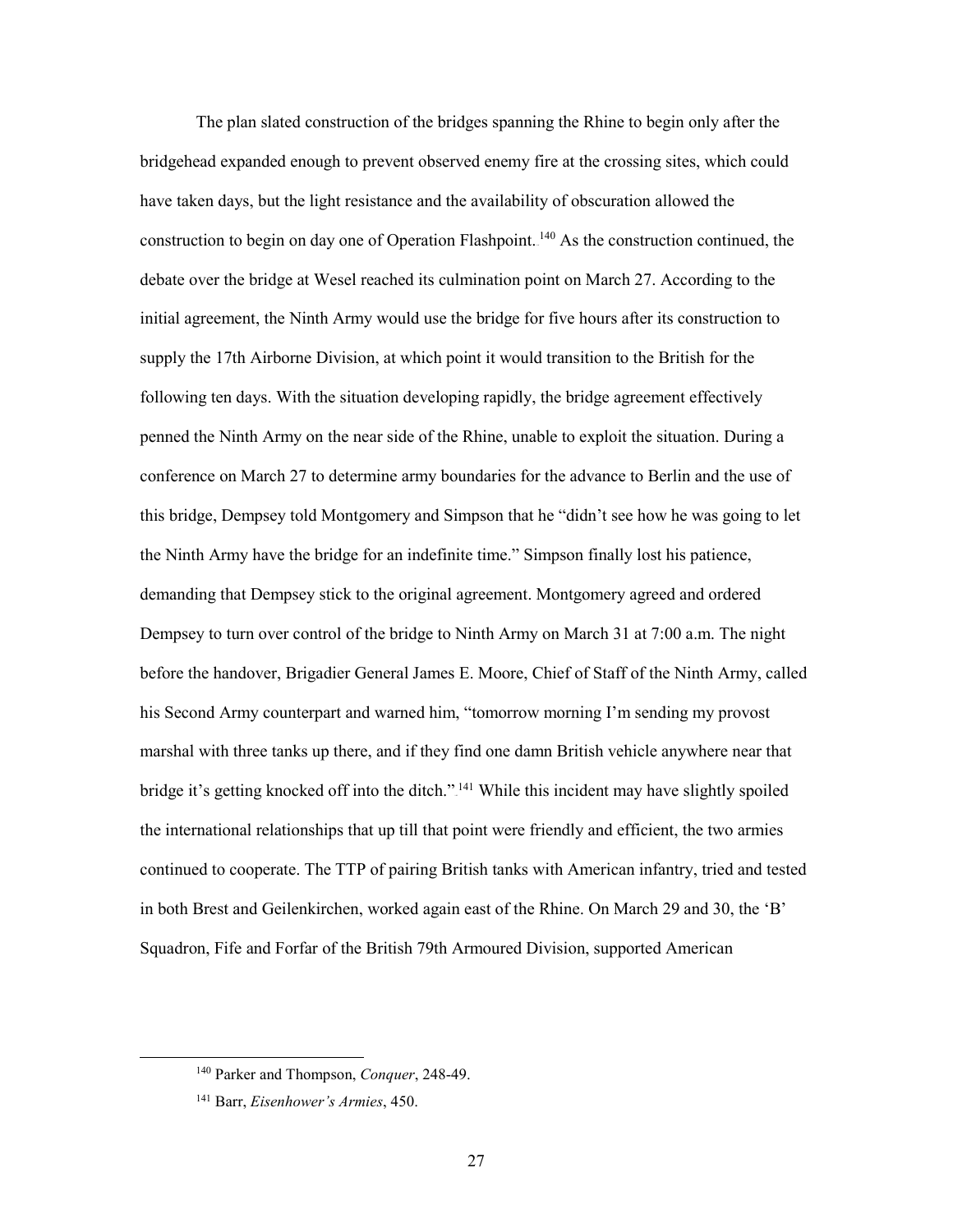supply the 17th Airborne Division, at which point it would transition to the British for the penned the Ninth Army on the near side of the Rhine, unable to exploit the situation. During a conference on March 27 to determine army boundaries for the advance to Berlin and the use of this bridge, Dempsey told Montgomery and Simpson that he "didn't see how he was going to let the Ninth Army have the bridge for an indefinite time." Simpson finally lost his patience, demanding that Dempsey stick to the original agreement. Montgomery agreed and ordered Dempsey to turn over control of the bridge to Ninth Army on March 31 at 7:00 a.m. The night before the handover, Brigadier General James E. Moore, Chief of Staff of the Ninth Army, called marshal with three tanks up there, and if they find one damn British vehicle anywhere near that the international relationships that up till that point were friendly and efficient, the two armies in both Brest and Geilenkirchen, worked again east of the Rhine. On March 29 and 30, the 'B' The plan slated construction of the bridges spanning the Rhine to begin only after the bridgehead expanded enough to prevent observed enemy fire at the crossing sites, which could have taken days, but the light resistance and the availability of obscuration allowed the construction to begin on day one of Operation Flashpoint.<sup>140</sup> As the construction continued, the debate over the bridge at Wesel reached its culmination point on March 27. According to the initial agreement, the Ninth Army would use the bridge for five hours after its construction to following ten days. With the situation developing rapidly, the bridge agreement effectively his Second Army counterpart and warned him, "tomorrow morning I'm sending my provost bridge it's getting knocked off into the ditch."<sup>141</sup> While this incident may have slightly spoiled continued to cooperate. The TTP of pairing British tanks with American infantry, tried and tested Squadron, Fife and Forfar of the British 79th Armoured Division, supported American

-

<sup>140</sup> Parker and Thompson, *Conquer*, 248-49.

<sup>141</sup> Barr, *Eisenhower's Armies*, 450.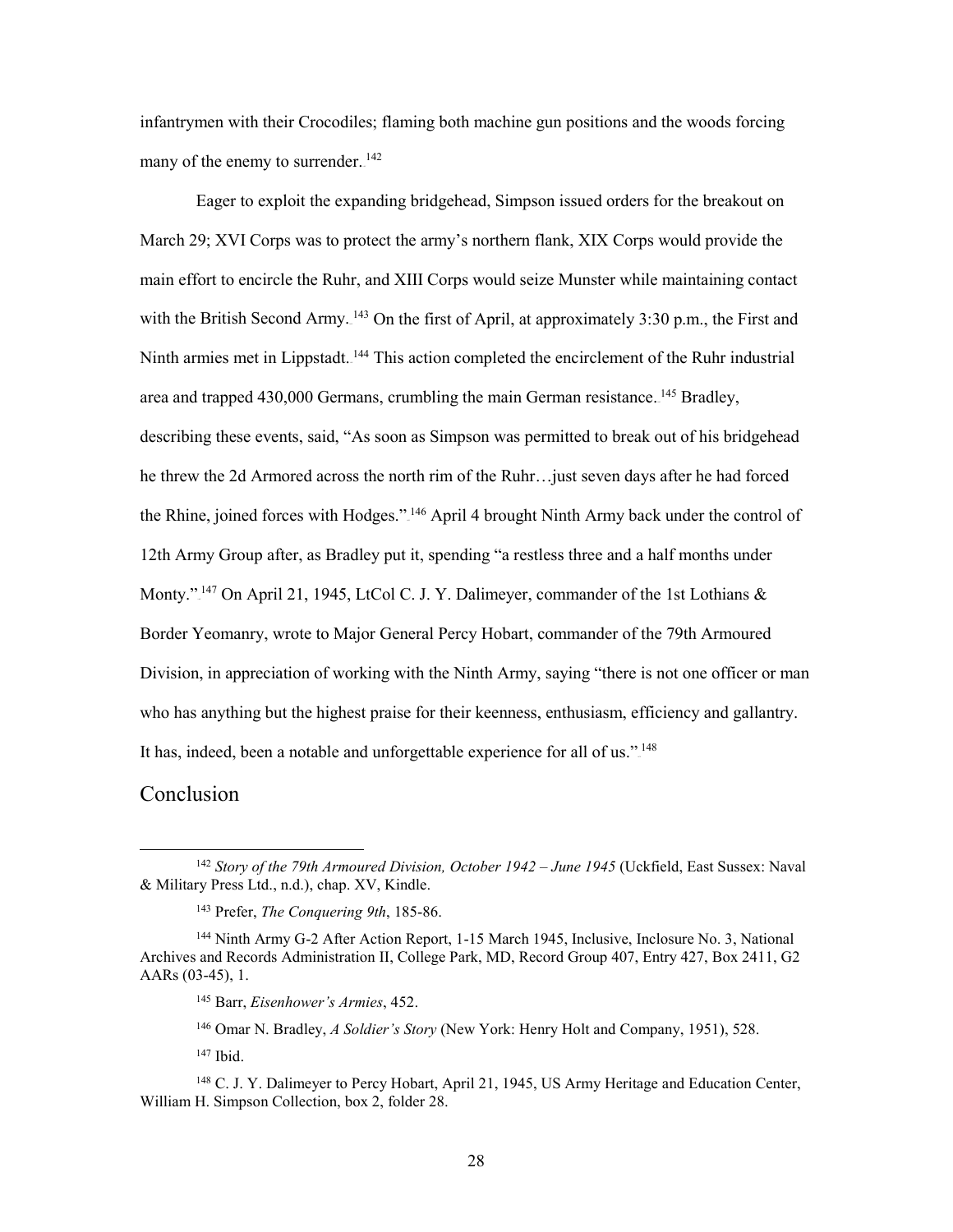many of the enemy to surrender.<sup>142</sup> infantrymen with their Crocodiles; flaming both machine gun positions and the woods forcing

 Eager to exploit the expanding bridgehead, Simpson issued orders for the breakout on March 29; XVI Corps was to protect the army's northern flank, XIX Corps would provide the with the British Second Army.  $143$  On the first of April, at approximately 3:30 p.m., the First and area and trapped 430,000 Germans, crumbling the main German resistance. <sup>145</sup> Bradley, describing these events, said, "As soon as Simpson was permitted to break out of his bridgehead he threw the 2d Armored across the north rim of the Ruhr…just seven days after he had forced 12th Army Group after, as Bradley put it, spending "a restless three and a half months under Monty."<sup>147</sup> On April 21, 1945, LtCol C. J. Y. Dalimeyer, commander of the 1st Lothians & Border Yeomanry, wrote to Major General Percy Hobart, commander of the 79th Armoured who has anything but the highest praise for their keenness, enthusiasm, efficiency and gallantry. It has, indeed, been a notable and unforgettable experience for all of us."<sup>148</sup> main effort to encircle the Ruhr, and XIII Corps would seize Munster while maintaining contact Ninth armies met in Lippstadt.<sup>144</sup> This action completed the encirclement of the Ruhr industrial the Rhine, joined forces with Hodges."<sup>146</sup> April 4 brought Ninth Army back under the control of Division, in appreciation of working with the Ninth Army, saying "there is not one officer or man

#### <span id="page-34-0"></span>Conclusion

<sup>&</sup>lt;sup>142</sup> Story of the 79th Armoured Division, October 1942 – June 1945 (Uckfield, East Sussex: Naval & Military Press Ltd., n.d.), chap. XV, Kindle.

<sup>143</sup> Prefer, *The Conquering 9th*, 185-86.

<sup>144</sup> Ninth Army G-2 After Action Report, 1-15 March 1945, Inclusive, Inclosure No. 3, National Archives and Records Administration II, College Park, MD, Record Group 407, Entry 427, Box 2411, G2 AARs (03-45), 1.

<sup>145</sup> Barr, *Eisenhower's Armies*, 452.

<sup>146</sup> Omar N. Bradley, *A Soldier's Story* (New York: Henry Holt and Company, 1951), 528.

 147 Ibid.

<sup>&</sup>lt;sup>148</sup> C. J. Y. Dalimeyer to Percy Hobart, April 21, 1945, US Army Heritage and Education Center, William H. Simpson Collection, box 2, folder 28.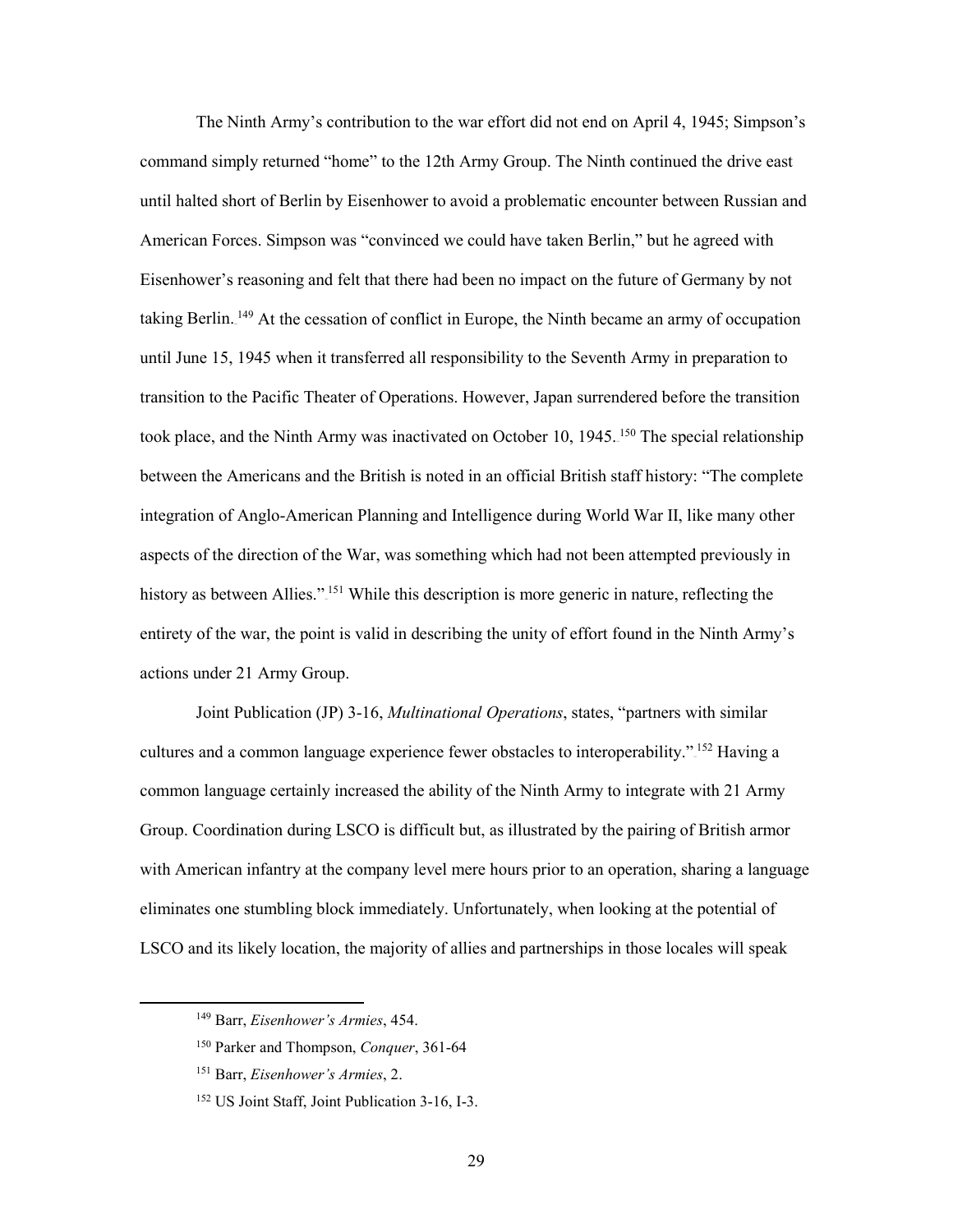American Forces. Simpson was "convinced we could have taken Berlin," but he agreed with Eisenhower's reasoning and felt that there had been no impact on the future of Germany by not taking Berlin.<sup>149</sup> At the cessation of conflict in Europe, the Ninth became an army of occupation transition to the Pacific Theater of Operations. However, Japan surrendered before the transition aspects of the direction of the War, was something which had not been attempted previously in The Ninth Army's contribution to the war effort did not end on April 4, 1945; Simpson's command simply returned "home" to the 12th Army Group. The Ninth continued the drive east until halted short of Berlin by Eisenhower to avoid a problematic encounter between Russian and until June 15, 1945 when it transferred all responsibility to the Seventh Army in preparation to took place, and the Ninth Army was inactivated on October 10, 1945.<sup>150</sup> The special relationship between the Americans and the British is noted in an official British staff history: "The complete integration of Anglo-American Planning and Intelligence during World War II, like many other history as between Allies."<sup>151</sup> While this description is more generic in nature, reflecting the entirety of the war, the point is valid in describing the unity of effort found in the Ninth Army's actions under 21 Army Group.

 Group. Coordination during LSCO is difficult but, as illustrated by the pairing of British armor Joint Publication (JP) 3-16, *Multinational Operations*, states, "partners with similar cultures and a common language experience fewer obstacles to interoperability."<sup>152</sup> Having a common language certainly increased the ability of the Ninth Army to integrate with 21 Army with American infantry at the company level mere hours prior to an operation, sharing a language eliminates one stumbling block immediately. Unfortunately, when looking at the potential of LSCO and its likely location, the majority of allies and partnerships in those locales will speak

<sup>149</sup> Barr, *Eisenhower's Armies*, 454.

<sup>150</sup> Parker and Thompson, *Conquer*, 361-64

<sup>151</sup> Barr, *Eisenhower's Armies*, 2.

<sup>152</sup> US Joint Staff, Joint Publication 3-16, I-3.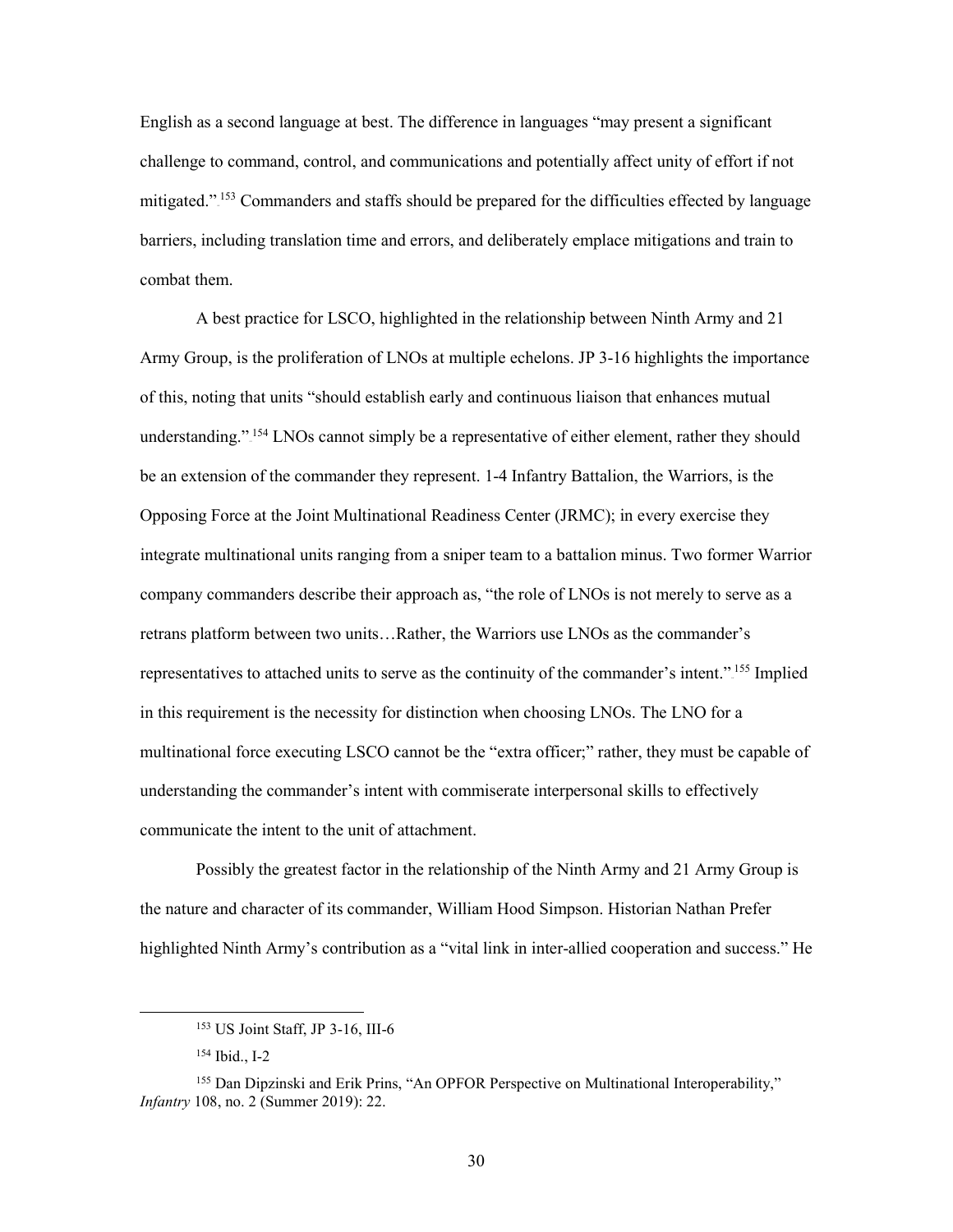mitigated."<sup>153</sup> Commanders and staffs should be prepared for the difficulties effected by language English as a second language at best. The difference in languages "may present a significant challenge to command, control, and communications and potentially affect unity of effort if not barriers, including translation time and errors, and deliberately emplace mitigations and train to combat them.

 Army Group, is the proliferation of LNOs at multiple echelons. JP 3-16 highlights the importance of this, noting that units "should establish early and continuous liaison that enhances mutual company commanders describe their approach as, "the role of LNOs is not merely to serve as a retrans platform between two units…Rather, the Warriors use LNOs as the commander's in this requirement is the necessity for distinction when choosing LNOs. The LNO for a communicate the intent to the unit of attachment. A best practice for LSCO, highlighted in the relationship between Ninth Army and 21 understanding."<sup>154</sup> LNOs cannot simply be a representative of either element, rather they should be an extension of the commander they represent. 1-4 Infantry Battalion, the Warriors, is the Opposing Force at the Joint Multinational Readiness Center (JRMC); in every exercise they integrate multinational units ranging from a sniper team to a battalion minus. Two former Warrior representatives to attached units to serve as the continuity of the commander's intent.".<sup>155</sup> Implied multinational force executing LSCO cannot be the "extra officer;" rather, they must be capable of understanding the commander's intent with commiserate interpersonal skills to effectively

 the nature and character of its commander, William Hood Simpson. Historian Nathan Prefer Possibly the greatest factor in the relationship of the Ninth Army and 21 Army Group is highlighted Ninth Army's contribution as a "vital link in inter-allied cooperation and success." He

<u>.</u>

30

<sup>153</sup> US Joint Staff, JP 3-16, III-6

 154 Ibid., I-2

<sup>155</sup> Dan Dipzinski and Erik Prins, "An OPFOR Perspective on Multinational Interoperability," *Infantry* 108, no. 2 (Summer 2019): 22.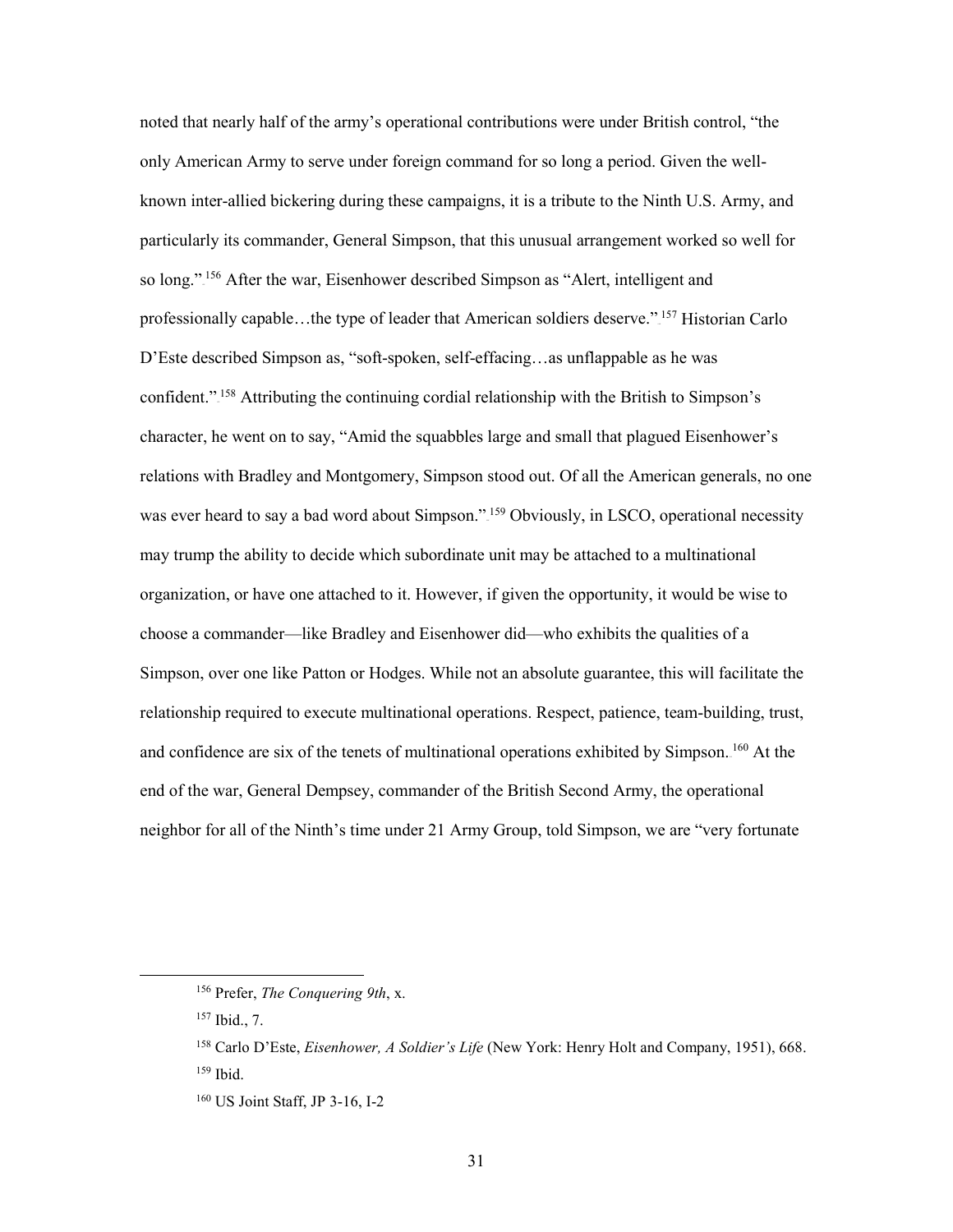particularly its commander, General Simpson, that this unusual arrangement worked so well for D'Este described Simpson as, "soft-spoken, self-effacing…as unflappable as he was choose a commander—like Bradley and Eisenhower did—who exhibits the qualities of a Simpson, over one like Patton or Hodges. While not an absolute guarantee, this will facilitate the neighbor for all of the Ninth's time under 21 Army Group, told Simpson, we are "very fortunate noted that nearly half of the army's operational contributions were under British control, "the only American Army to serve under foreign command for so long a period. Given the wellknown inter-allied bickering during these campaigns, it is a tribute to the Ninth U.S. Army, and so long.".<sup>156</sup> After the war, Eisenhower described Simpson as "Alert, intelligent and professionally capable...the type of leader that American soldiers deserve." <sup>157</sup> Historian Carlo confident."<sup>158</sup> Attributing the continuing cordial relationship with the British to Simpson's character, he went on to say, "Amid the squabbles large and small that plagued Eisenhower's relations with Bradley and Montgomery, Simpson stood out. Of all the American generals, no one was ever heard to say a bad word about Simpson."<sup>159</sup> Obviously, in LSCO, operational necessity may trump the ability to decide which subordinate unit may be attached to a multinational organization, or have one attached to it. However, if given the opportunity, it would be wise to relationship required to execute multinational operations. Respect, patience, team-building, trust, and confidence are six of the tenets of multinational operations exhibited by Simpson.<sup>160</sup> At the end of the war, General Dempsey, commander of the British Second Army, the operational

-

<sup>156</sup> Prefer, *The Conquering 9th*, x.

 157 Ibid., 7.

<sup>&</sup>lt;sup>158</sup> Carlo D'Este, *Eisenhower, A Soldier's Life* (New York: Henry Holt and Company, 1951), 668.<br><sup>159</sup> Ibid.  $159$  Ibid

<sup>160</sup> US Joint Staff, JP 3-16, I-2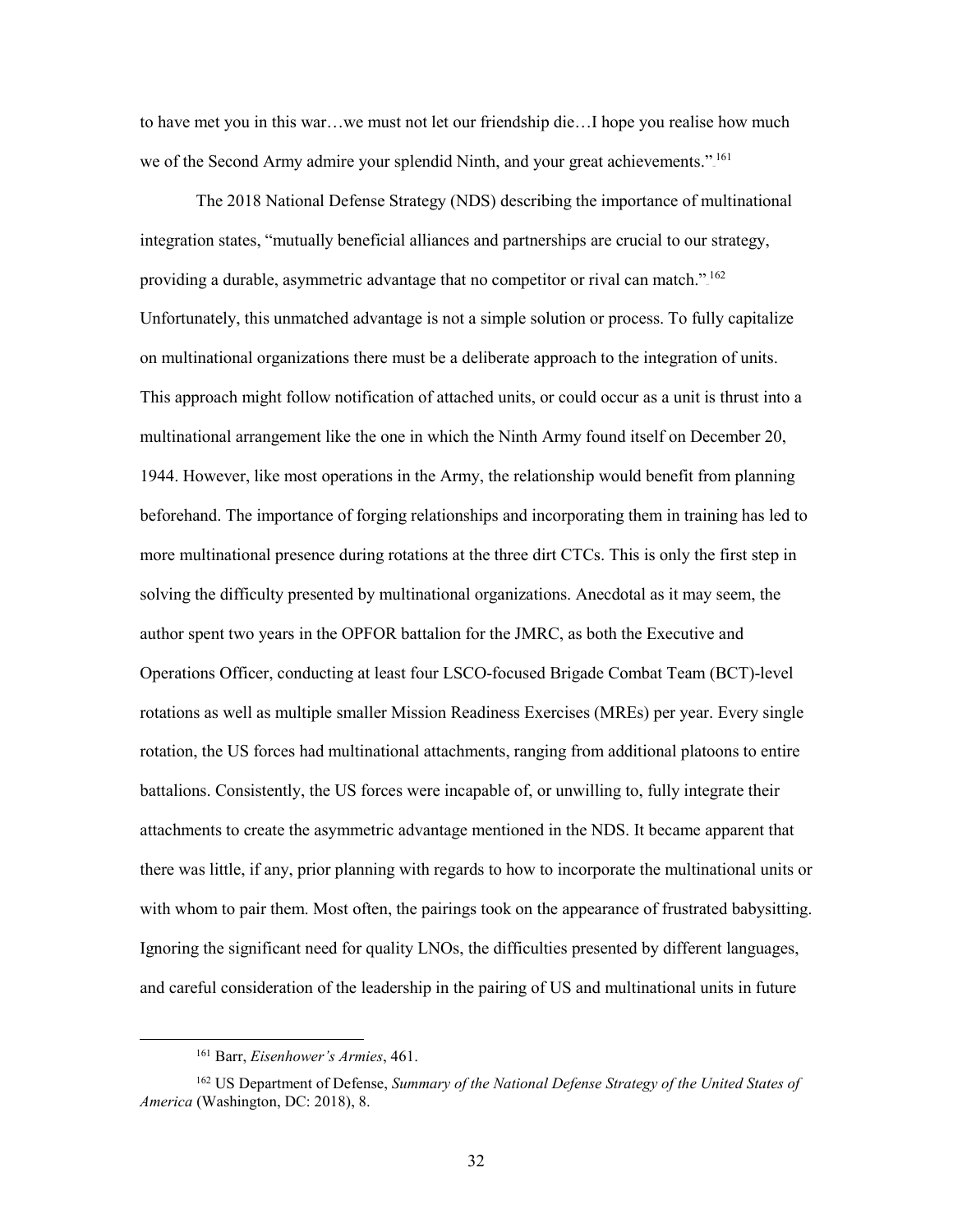to have met you in this war…we must not let our friendship die…I hope you realise how much we of the Second Army admire your splendid Ninth, and your great achievements."<sup>161</sup>

 The 2018 National Defense Strategy (NDS) describing the importance of multinational providing a durable, asymmetric advantage that no competitor or rival can match." $162$  1944. However, like most operations in the Army, the relationship would benefit from planning beforehand. The importance of forging relationships and incorporating them in training has led to more multinational presence during rotations at the three dirt CTCs. This is only the first step in author spent two years in the OPFOR battalion for the JMRC, as both the Executive and rotation, the US forces had multinational attachments, ranging from additional platoons to entire attachments to create the asymmetric advantage mentioned in the NDS. It became apparent that with whom to pair them. Most often, the pairings took on the appearance of frustrated babysitting. and careful consideration of the leadership in the pairing of US and multinational units in future integration states, "mutually beneficial alliances and partnerships are crucial to our strategy, Unfortunately, this unmatched advantage is not a simple solution or process. To fully capitalize on multinational organizations there must be a deliberate approach to the integration of units. This approach might follow notification of attached units, or could occur as a unit is thrust into a multinational arrangement like the one in which the Ninth Army found itself on December 20, solving the difficulty presented by multinational organizations. Anecdotal as it may seem, the Operations Officer, conducting at least four LSCO-focused Brigade Combat Team (BCT)-level rotations as well as multiple smaller Mission Readiness Exercises (MREs) per year. Every single battalions. Consistently, the US forces were incapable of, or unwilling to, fully integrate their there was little, if any, prior planning with regards to how to incorporate the multinational units or Ignoring the significant need for quality LNOs, the difficulties presented by different languages,

<sup>161</sup> Barr, *Eisenhower's Armies*, 461.

<sup>162</sup> US Department of Defense, *Summary of the National Defense Strategy of the United States of America* (Washington, DC: 2018), 8.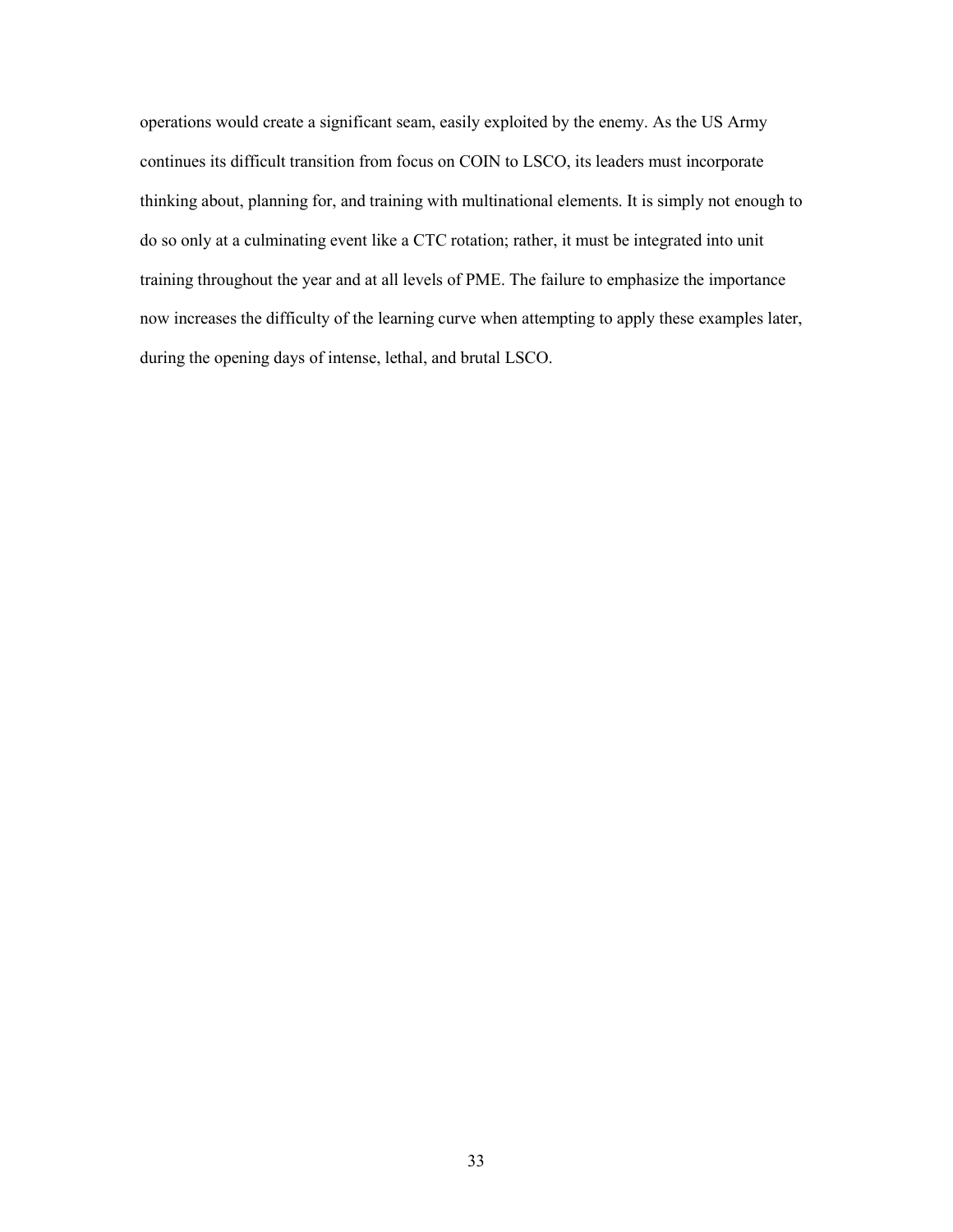thinking about, planning for, and training with multinational elements. It is simply not enough to do so only at a culminating event like a CTC rotation; rather, it must be integrated into unit operations would create a significant seam, easily exploited by the enemy. As the US Army continues its difficult transition from focus on COIN to LSCO, its leaders must incorporate training throughout the year and at all levels of PME. The failure to emphasize the importance now increases the difficulty of the learning curve when attempting to apply these examples later, during the opening days of intense, lethal, and brutal LSCO.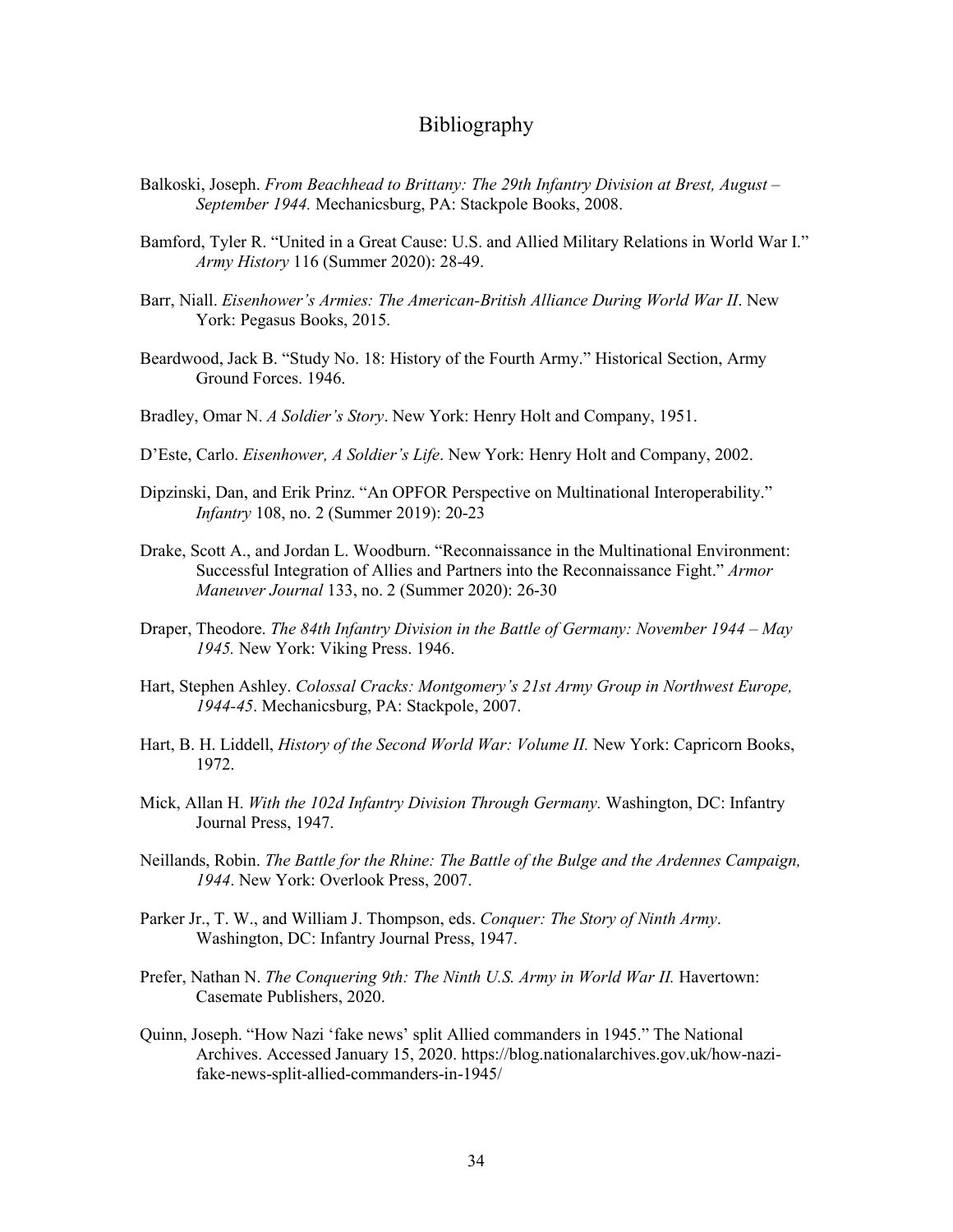#### Bibliography

- <span id="page-40-0"></span> Balkoski, Joseph. *From Beachhead to Brittany: The 29th Infantry Division at Brest, August – September 1944.* Mechanicsburg, PA: Stackpole Books, 2008.
- Bamford, Tyler R. "United in a Great Cause: U.S. and Allied Military Relations in World War I." *Army History* 116 (Summer 2020): 28-49.
- Barr, Niall. *Eisenhower's Armies: The American-British Alliance During World War II*. New York: Pegasus Books, 2015.
- Beardwood, Jack B. "Study No. 18: History of the Fourth Army." Historical Section, Army Ground Forces. 1946.
- Bradley, Omar N. *A Soldier's Story*. New York: Henry Holt and Company, 1951.
- D'Este, Carlo. *Eisenhower, A Soldier's Life*. New York: Henry Holt and Company, 2002.
- Dipzinski, Dan, and Erik Prinz. "An OPFOR Perspective on Multinational Interoperability." *Infantry* 108, no. 2 (Summer 2019): 20-23
- Drake, Scott A., and Jordan L. Woodburn. "Reconnaissance in the Multinational Environment: Successful Integration of Allies and Partners into the Reconnaissance Fight." *Armor Maneuver Journal* 133, no. 2 (Summer 2020): 26-30
- Draper, Theodore. *The 84th Infantry Division in the Battle of Germany: November 1944 May 1945.* New York: Viking Press. 1946.
- Hart, Stephen Ashley. *Colossal Cracks: Montgomery's 21st Army Group in Northwest Europe, 1944-45*. Mechanicsburg, PA: Stackpole, 2007.
- Hart, B. H. Liddell, *History of the Second World War: Volume II.* New York: Capricorn Books, 1972.
- Mick, Allan H. *With the 102d Infantry Division Through Germany.* Washington, DC: Infantry Journal Press, 1947.
- Neillands, Robin. *The Battle for the Rhine: The Battle of the Bulge and the Ardennes Campaign, 1944*. New York: Overlook Press, 2007.
- Parker Jr., T. W., and William J. Thompson, eds. *Conquer: The Story of Ninth Army*. Washington, DC: Infantry Journal Press, 1947.
- Prefer, Nathan N. *The Conquering 9th: The Ninth U.S. Army in World War II*. Havertown: Casemate Publishers, 2020.
- Archives. Accessed January 15, 2020. <https://blog.nationalarchives.gov.uk/how-nazi>-Quinn, Joseph. "How Nazi 'fake news' split Allied commanders in 1945." The National fake-news-split-allied-commanders-in-1945/